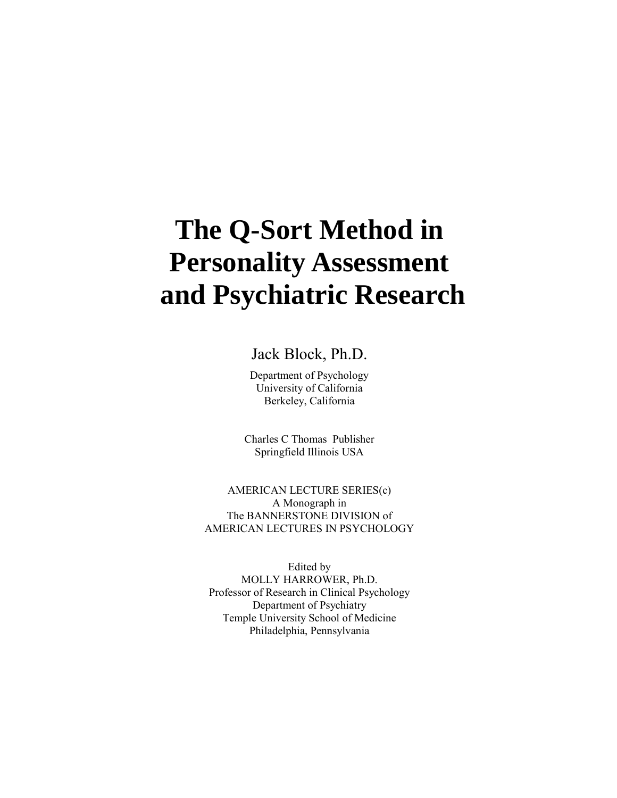# **The Q-Sort Method in Personality Assessment and Psychiatric Research**

Jack Block, Ph.D.

Department of Psychology University of California Berkeley, California

Charles C Thomas Publisher Springfield Illinois USA

# AMERICAN LECTURE SERIES(c) A Monograph in The BANNERSTONE DIVISION of AMERICAN LECTURES IN PSYCHOLOGY

Edited by MOLLY HARROWER, Ph.D. Professor of Research in Clinical Psychology Department of Psychiatry Temple University School of Medicine Philadelphia, Pennsylvania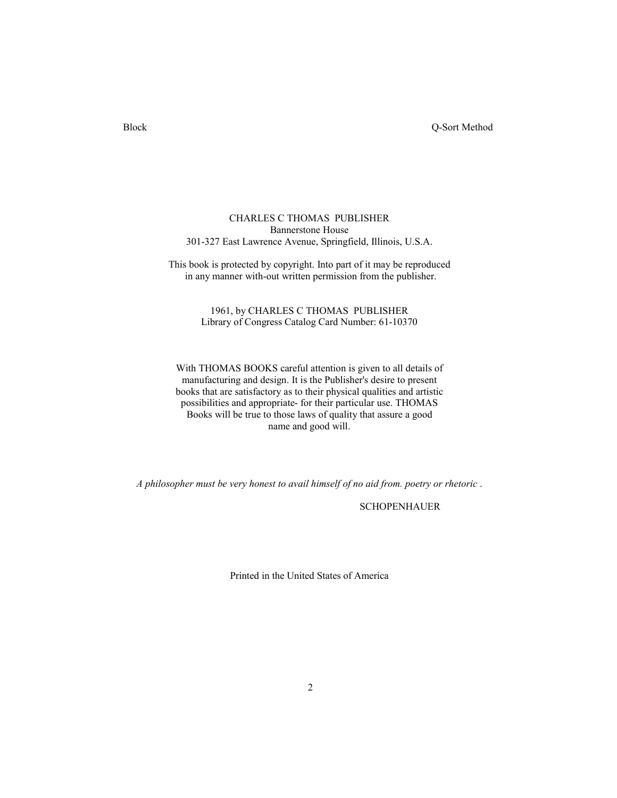### CHARLES C THOMAS PUBLISHER Bannerstone House 301-327 East Lawrence Avenue, Springfield, Illinois, U.S.A.

This book is protected by copyright. Into part of it may be reproduced in any manner with-out written permission from the publisher.

### 1961, by CHARLES C THOMAS PUBLISHER Library of Congress Catalog Card Number: 61-10370

With THOMAS BOOKS careful attention is given to all details of manufacturing and design. It is the Publisher's desire to present books that are satisfactory as to their physical qualities and artistic possibilities and appropriate- for their particular use. THOMAS Books will be true to those laws of quality that assure a good name and good will.

*A philosopher must be very honest to avail himself of no aid from. poetry or rhetoric* .

### **SCHOPENHAUER**

Printed in the United States of America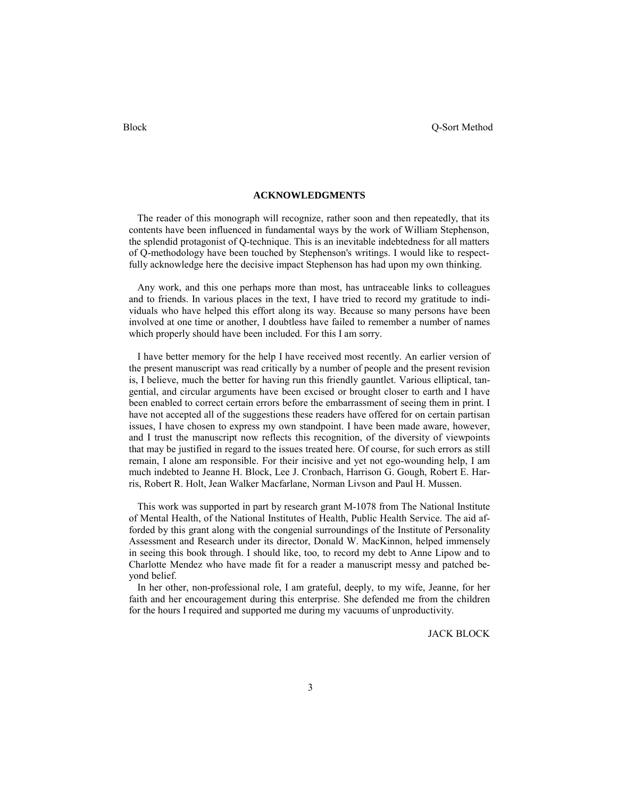### **ACKNOWLEDGMENTS**

The reader of this monograph will recognize, rather soon and then repeatedly, that its contents have been influenced in fundamental ways by the work of William Stephenson, the splendid protagonist of Q-technique. This is an inevitable indebtedness for all matters of Q-methodology have been touched by Stephenson's writings. I would like to respectfully acknowledge here the decisive impact Stephenson has had upon my own thinking.

Any work, and this one perhaps more than most, has untraceable links to colleagues and to friends. In various places in the text, I have tried to record my gratitude to individuals who have helped this effort along its way. Because so many persons have been involved at one time or another, I doubtless have failed to remember a number of names which properly should have been included. For this I am sorry.

I have better memory for the help I have received most recently. An earlier version of the present manuscript was read critically by a number of people and the present revision is, I believe, much the better for having run this friendly gauntlet. Various elliptical, tangential, and circular arguments have been excised or brought closer to earth and I have been enabled to correct certain errors before the embarrassment of seeing them in print. I have not accepted all of the suggestions these readers have offered for on certain partisan issues, I have chosen to express my own standpoint. I have been made aware, however, and I trust the manuscript now reflects this recognition, of the diversity of viewpoints that may be justified in regard to the issues treated here. Of course, for such errors as still remain, I alone am responsible. For their incisive and yet not ego-wounding help, I am much indebted to Jeanne H. Block, Lee J. Cronbach, Harrison G. Gough, Robert E. Harris, Robert R. Holt, Jean Walker Macfarlane, Norman Livson and Paul H. Mussen.

This work was supported in part by research grant M-1078 from The National Institute of Mental Health, of the National Institutes of Health, Public Health Service. The aid afforded by this grant along with the congenial surroundings of the Institute of Personality Assessment and Research under its director, Donald W. MacKinnon, helped immensely in seeing this book through. I should like, too, to record my debt to Anne Lipow and to Charlotte Mendez who have made fit for a reader a manuscript messy and patched beyond belief.

In her other, non-professional role, I am grateful, deeply, to my wife, Jeanne, for her faith and her encouragement during this enterprise. She defended me from the children for the hours I required and supported me during my vacuums of unproductivity.

JACK BLOCK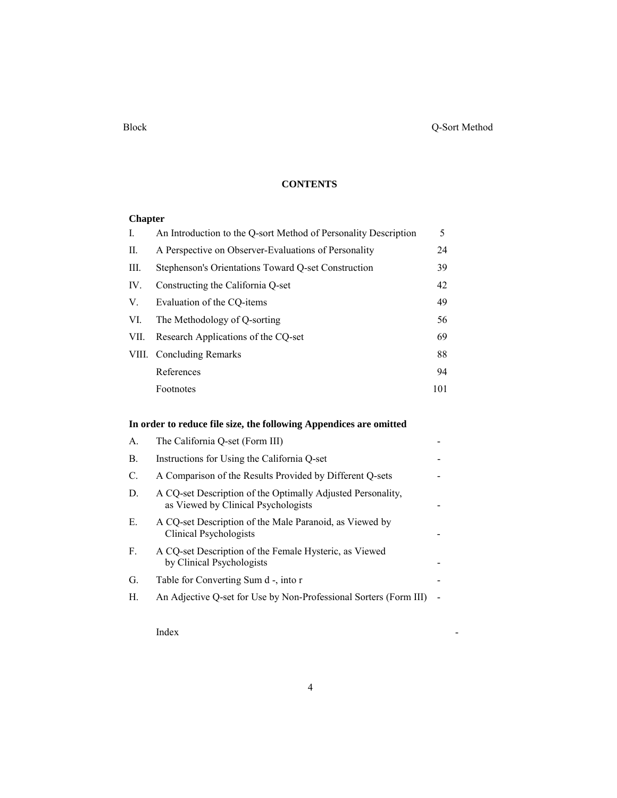# **CONTENTS**

# **Chapter**

| I.   | An Introduction to the Q-sort Method of Personality Description | 5   |
|------|-----------------------------------------------------------------|-----|
| П.   | A Perspective on Observer-Evaluations of Personality            | 24  |
| III. | Stephenson's Orientations Toward Q-set Construction             | 39  |
| IV.  | Constructing the California Q-set                               | 42  |
| V.   | Evaluation of the CO-items                                      | 49  |
| VI.  | The Methodology of Q-sorting                                    | 56  |
| VII. | Research Applications of the CQ-set                             | 69  |
|      | VIII. Concluding Remarks                                        | 88  |
|      | References                                                      | 94  |
|      | Footnotes                                                       | 101 |

# **In order to reduce file size, the following Appendices are omitted**

| A.        | The California Q-set (Form III)                                                                    |  |
|-----------|----------------------------------------------------------------------------------------------------|--|
| <b>B.</b> | Instructions for Using the California Q-set                                                        |  |
| C.        | A Comparison of the Results Provided by Different Q-sets                                           |  |
| D.        | A CQ-set Description of the Optimally Adjusted Personality,<br>as Viewed by Clinical Psychologists |  |
| Е.        | A CQ-set Description of the Male Paranoid, as Viewed by<br>Clinical Psychologists                  |  |
| F.        | A CQ-set Description of the Female Hysteric, as Viewed<br>by Clinical Psychologists                |  |
| G.        | Table for Converting Sum d -, into r                                                               |  |
| Н.        | An Adjective Q-set for Use by Non-Professional Sorters (Form III)                                  |  |
|           |                                                                                                    |  |

Index  $\sim$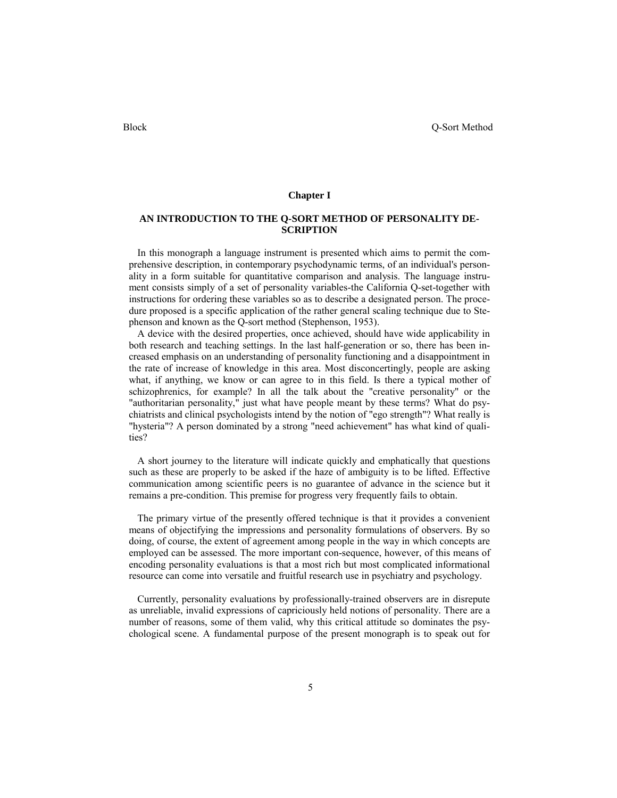### **Chapter I**

### **AN INTRODUCTION TO THE Q-SORT METHOD OF PERSONALITY DE-SCRIPTION**

In this monograph a language instrument is presented which aims to permit the comprehensive description, in contemporary psychodynamic terms, of an individual's personality in a form suitable for quantitative comparison and analysis. The language instrument consists simply of a set of personality variables-the California Q-set-together with instructions for ordering these variables so as to describe a designated person. The procedure proposed is a specific application of the rather general scaling technique due to Stephenson and known as the Q-sort method (Stephenson, 1953).

A device with the desired properties, once achieved, should have wide applicability in both research and teaching settings. In the last half-generation or so, there has been increased emphasis on an understanding of personality functioning and a disappointment in the rate of increase of knowledge in this area. Most disconcertingly, people are asking what, if anything, we know or can agree to in this field. Is there a typical mother of schizophrenics, for example? In all the talk about the "creative personality" or the "authoritarian personality," just what have people meant by these terms? What do psychiatrists and clinical psychologists intend by the notion of "ego strength"? What really is "hysteria"? A person dominated by a strong "need achievement" has what kind of qualities?

A short journey to the literature will indicate quickly and emphatically that questions such as these are properly to be asked if the haze of ambiguity is to be lifted. Effective communication among scientific peers is no guarantee of advance in the science but it remains a pre-condition. This premise for progress very frequently fails to obtain.

The primary virtue of the presently offered technique is that it provides a convenient means of objectifying the impressions and personality formulations of observers. By so doing, of course, the extent of agreement among people in the way in which concepts are employed can be assessed. The more important con-sequence, however, of this means of encoding personality evaluations is that a most rich but most complicated informational resource can come into versatile and fruitful research use in psychiatry and psychology.

Currently, personality evaluations by professionally-trained observers are in disrepute as unreliable, invalid expressions of capriciously held notions of personality. There are a number of reasons, some of them valid, why this critical attitude so dominates the psychological scene. A fundamental purpose of the present monograph is to speak out for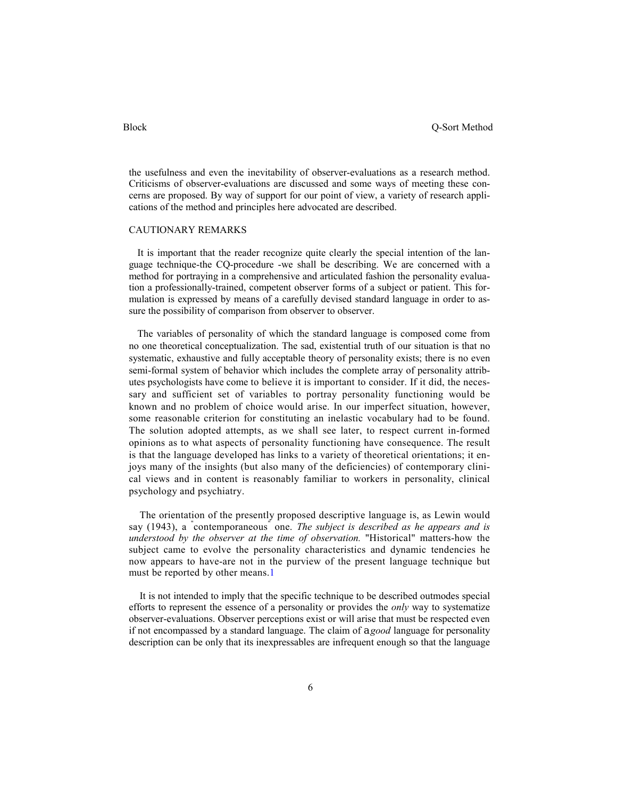the usefulness and even the inevitability of observer-evaluations as a research method. Criticisms of observer-evaluations are discussed and some ways of meeting these concerns are proposed. By way of support for our point of view, a variety of research applications of the method and principles here advocated are described.

### CAUTIONARY REMARKS

It is important that the reader recognize quite clearly the special intention of the language technique-the CQ-procedure -we shall be describing. We are concerned with a method for portraying in a comprehensive and articulated fashion the personality evaluation a professionally-trained, competent observer forms of a subject or patient. This formulation is expressed by means of a carefully devised standard language in order to assure the possibility of comparison from observer to observer.

The variables of personality of which the standard language is composed come from no one theoretical conceptualization. The sad, existential truth of our situation is that no systematic, exhaustive and fully acceptable theory of personality exists; there is no even semi-formal system of behavior which includes the complete array of personality attributes psychologists have come to believe it is important to consider. If it did, the necessary and sufficient set of variables to portray personality functioning would be known and no problem of choice would arise. In our imperfect situation, however, some reasonable criterion for constituting an inelastic vocabulary had to be found. The solution adopted attempts, as we shall see later, to respect current in-formed opinions as to what aspects of personality functioning have consequence. The result is that the language developed has links to a variety of theoretical orientations; it enjoys many of the insights (but also many of the deficiencies) of contemporary clinical views and in content is reasonably familiar to workers in personality, clinical psychology and psychiatry.

The orientation of the presently proposed descriptive language is, as Lewin would say (1943), a contemporaneous one. *The subject is described as he appears and is understood by the observer at the time of observation.* "Historical" matters-how the subject came to evolve the personality characteristics and dynamic tendencies he now appears to have-are not in the purview of the present language technique but must be reported by other means.1

It is not intended to imply that the specific technique to be described outmodes special efforts to represent the essence of a personality or provides the *only* way to systematize observer-evaluations. Observer perceptions exist or will arise that must be respected even if not encompassed by a standard language. The claim of *a good* language for personality description can be only that its inexpressables are infrequent enough so that the language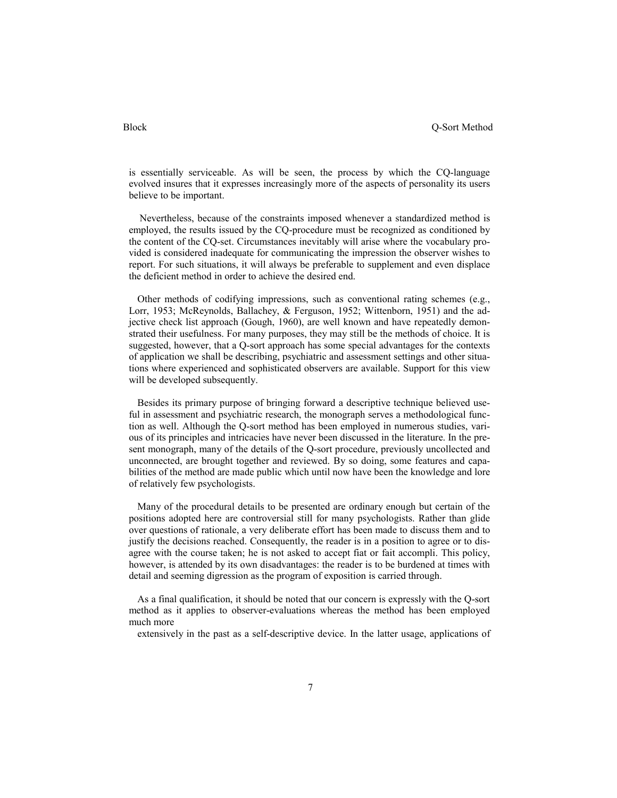is essentially serviceable. As will be seen, the process by which the CQ-language evolved insures that it expresses increasingly more of the aspects of personality its users believe to be important.

Nevertheless, because of the constraints imposed whenever a standardized method is employed, the results issued by the CQ-procedure must be recognized as conditioned by the content of the CQ-set. Circumstances inevitably will arise where the vocabulary provided is considered inadequate for communicating the impression the observer wishes to report. For such situations, it will always be preferable to supplement and even displace the deficient method in order to achieve the desired end.

Other methods of codifying impressions, such as conventional rating schemes (e.g., Lorr, 1953; McReynolds, Ballachey, & Ferguson, 1952; Wittenborn, 1951) and the adjective check list approach (Gough, 1960), are well known and have repeatedly demonstrated their usefulness. For many purposes, they may still be the methods of choice. It is suggested, however, that a Q-sort approach has some special advantages for the contexts of application we shall be describing, psychiatric and assessment settings and other situations where experienced and sophisticated observers are available. Support for this view will be developed subsequently.

Besides its primary purpose of bringing forward a descriptive technique believed useful in assessment and psychiatric research, the monograph serves a methodological function as well. Although the Q-sort method has been employed in numerous studies, various of its principles and intricacies have never been discussed in the literature. In the present monograph, many of the details of the Q-sort procedure, previously uncollected and unconnected, are brought together and reviewed. By so doing, some features and capabilities of the method are made public which until now have been the knowledge and lore of relatively few psychologists.

Many of the procedural details to be presented are ordinary enough but certain of the positions adopted here are controversial still for many psychologists. Rather than glide over questions of rationale, a very deliberate effort has been made to discuss them and to justify the decisions reached. Consequently, the reader is in a position to agree or to disagree with the course taken; he is not asked to accept fiat or fait accompli. This policy, however, is attended by its own disadvantages: the reader is to be burdened at times with detail and seeming digression as the program of exposition is carried through.

As a final qualification, it should be noted that our concern is expressly with the Q-sort method as it applies to observer-evaluations whereas the method has been employed much more

extensively in the past as a self-descriptive device. In the latter usage, applications of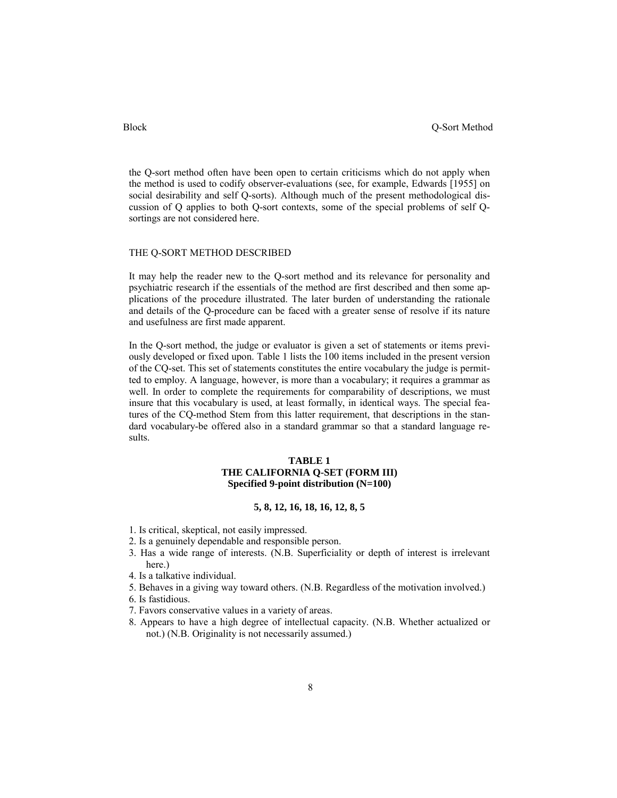the Q-sort method often have been open to certain criticisms which do not apply when the method is used to codify observer-evaluations (see, for example, Edwards [1955] on social desirability and self Q-sorts). Although much of the present methodological discussion of Q applies to both Q-sort contexts, some of the special problems of self Qsortings are not considered here.

### THE Q-SORT METHOD DESCRIBED

It may help the reader new to the Q-sort method and its relevance for personality and psychiatric research if the essentials of the method are first described and then some applications of the procedure illustrated. The later burden of understanding the rationale and details of the Q-procedure can be faced with a greater sense of resolve if its nature and usefulness are first made apparent.

In the Q-sort method, the judge or evaluator is given a set of statements or items previously developed or fixed upon. Table 1 lists the 100 items included in the present version of the CQ-set. This set of statements constitutes the entire vocabulary the judge is permitted to employ. A language, however, is more than a vocabulary; it requires a grammar as well. In order to complete the requirements for comparability of descriptions, we must insure that this vocabulary is used, at least formally, in identical ways. The special features of the CQ-method Stem from this latter requirement, that descriptions in the standard vocabulary-be offered also in a standard grammar so that a standard language results.

## **TABLE 1**

### **THE CALIFORNIA Q-SET (FORM III) Specified 9-point distribution (N=100)**

### **5, 8, 12, 16, 18, 16, 12, 8, 5**

- 1. Is critical, skeptical, not easily impressed.
- 2. Is a genuinely dependable and responsible person.
- 3. Has a wide range of interests. (N.B. Superficiality or depth of interest is irrelevant here.)
- 4. Is a talkative individual.
- 5. Behaves in a giving way toward others. (N.B. Regardless of the motivation involved.)
- 6. Is fastidious.
- 7. Favors conservative values in a variety of areas.
- 8. Appears to have a high degree of intellectual capacity. (N.B. Whether actualized or not.) (N.B. Originality is not necessarily assumed.)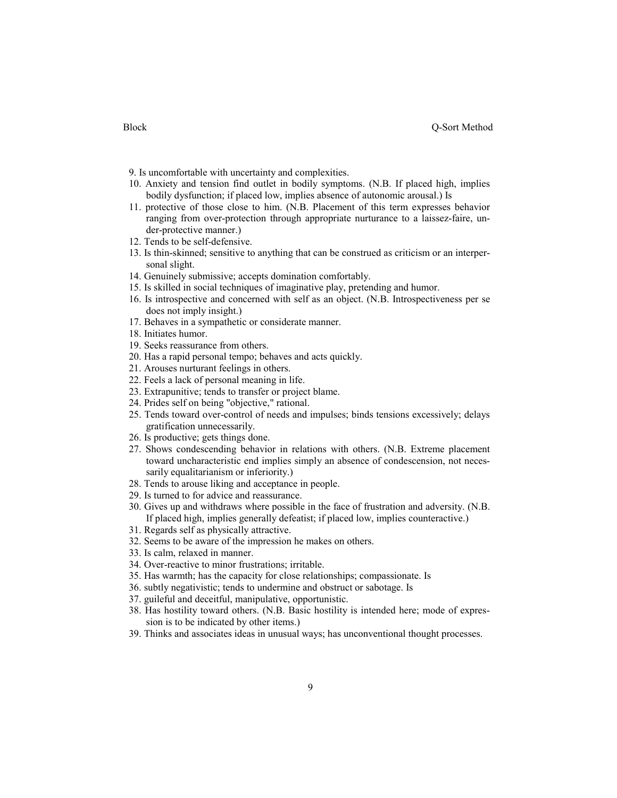- 9. Is uncomfortable with uncertainty and complexities.
- 10. Anxiety and tension find outlet in bodily symptoms. (N.B. If placed high, implies bodily dysfunction; if placed low, implies absence of autonomic arousal.) Is
- 11. protective of those close to him. (N.B. Placement of this term expresses behavior ranging from over-protection through appropriate nurturance to a laissez-faire, under-protective manner.)
- 12. Tends to be self-defensive.
- 13. Is thin-skinned; sensitive to anything that can be construed as criticism or an interpersonal slight.
- 14. Genuinely submissive; accepts domination comfortably.
- 15. Is skilled in social techniques of imaginative play, pretending and humor.
- 16. Is introspective and concerned with self as an object. (N.B. Introspectiveness per se does not imply insight.)
- 17. Behaves in a sympathetic or considerate manner.
- 18. Initiates humor.
- 19. Seeks reassurance from others.
- 20. Has a rapid personal tempo; behaves and acts quickly.
- 21. Arouses nurturant feelings in others.
- 22. Feels a lack of personal meaning in life.
- 23. Extrapunitive; tends to transfer or project blame.
- 24. Prides self on being "objective," rational.
- 25. Tends toward over-control of needs and impulses; binds tensions excessively; delays gratification unnecessarily.
- 26. Is productive; gets things done.
- 27. Shows condescending behavior in relations with others. (N.B. Extreme placement toward uncharacteristic end implies simply an absence of condescension, not necessarily equalitarianism or inferiority.)
- 28. Tends to arouse liking and acceptance in people.
- 29. Is turned to for advice and reassurance.
- 30. Gives up and withdraws where possible in the face of frustration and adversity. (N.B. If placed high, implies generally defeatist; if placed low, implies counteractive.)
- 31. Regards self as physically attractive.
- 32. Seems to be aware of the impression he makes on others.
- 33. Is calm, relaxed in manner.
- 34. Over-reactive to minor frustrations; irritable.
- 35. Has warmth; has the capacity for close relationships; compassionate. Is
- 36. subtly negativistic; tends to undermine and obstruct or sabotage. Is
- 37. guileful and deceitful, manipulative, opportunistic.
- 38. Has hostility toward others. (N.B. Basic hostility is intended here; mode of expression is to be indicated by other items.)
- 39. Thinks and associates ideas in unusual ways; has unconventional thought processes.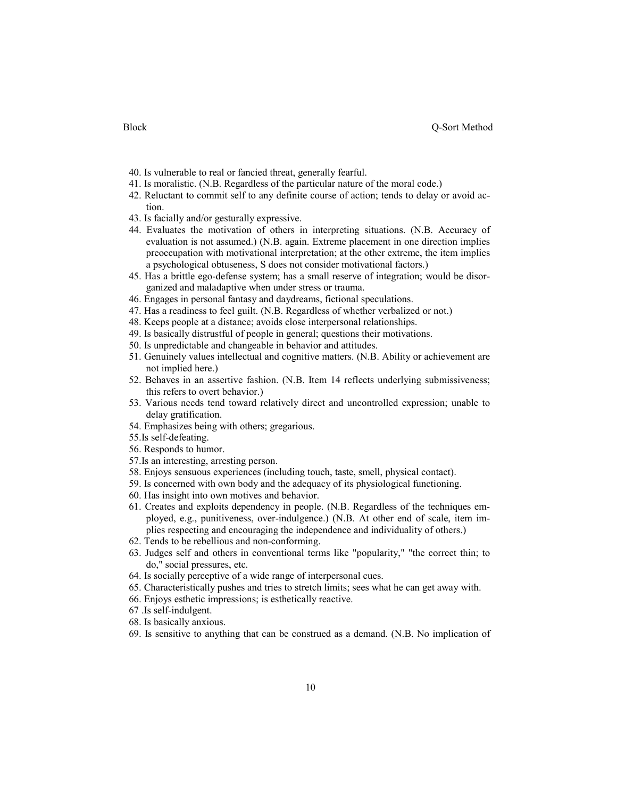- 40. Is vulnerable to real or fancied threat, generally fearful.
- 41. Is moralistic. (N.B. Regardless of the particular nature of the moral code.)
- 42. Reluctant to commit self to any definite course of action; tends to delay or avoid action.
- 43. Is facially and/or gesturally expressive.
- 44. Evaluates the motivation of others in interpreting situations. (N.B. Accuracy of evaluation is not assumed.) (N.B. again. Extreme placement in one direction implies preoccupation with motivational interpretation; at the other extreme, the item implies a psychological obtuseness, S does not consider motivational factors.)
- 45. Has a brittle ego-defense system; has a small reserve of integration; would be disorganized and maladaptive when under stress or trauma.
- 46. Engages in personal fantasy and daydreams, fictional speculations.
- 47. Has a readiness to feel guilt. (N.B. Regardless of whether verbalized or not.)
- 48. Keeps people at a distance; avoids close interpersonal relationships.
- 49. Is basically distrustful of people in general; questions their motivations.
- 50. Is unpredictable and changeable in behavior and attitudes.
- 51. Genuinely values intellectual and cognitive matters. (N.B. Ability or achievement are not implied here.)
- 52. Behaves in an assertive fashion. (N.B. Item 14 reflects underlying submissiveness; this refers to overt behavior.)
- 53. Various needs tend toward relatively direct and uncontrolled expression; unable to delay gratification.
- 54. Emphasizes being with others; gregarious.
- 55.Is self-defeating.
- 56. Responds to humor.
- 57.Is an interesting, arresting person.
- 58. Enjoys sensuous experiences (including touch, taste, smell, physical contact).
- 59. Is concerned with own body and the adequacy of its physiological functioning.
- 60. Has insight into own motives and behavior.
- 61. Creates and exploits dependency in people. (N.B. Regardless of the techniques employed, e.g., punitiveness, over-indulgence.) (N.B. At other end of scale, item implies respecting and encouraging the independence and individuality of others.)
- 62. Tends to be rebellious and non-conforming.
- 63. Judges self and others in conventional terms like "popularity," "the correct thin; to do," social pressures, etc.
- 64. Is socially perceptive of a wide range of interpersonal cues.
- 65. Characteristically pushes and tries to stretch limits; sees what he can get away with.
- 66. Enjoys esthetic impressions; is esthetically reactive.
- 67 .Is self-indulgent.
- 68. Is basically anxious.
- 69. Is sensitive to anything that can be construed as a demand. (N.B. No implication of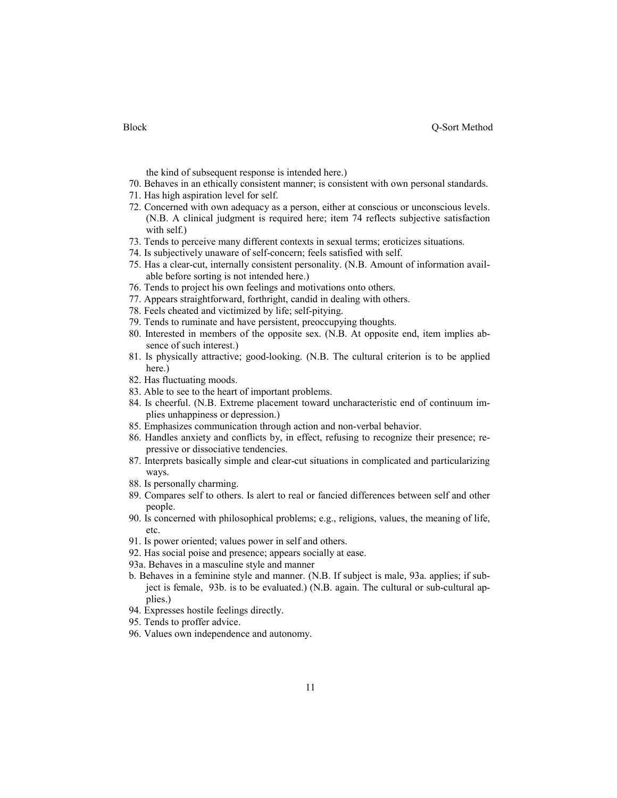the kind of subsequent response is intended here.)

- 70. Behaves in an ethically consistent manner; is consistent with own personal standards.
- 71. Has high aspiration level for self.
- 72. Concerned with own adequacy as a person, either at conscious or unconscious levels. (N.B. A clinical judgment is required here; item 74 reflects subjective satisfaction with self.)
- 73. Tends to perceive many different contexts in sexual terms; eroticizes situations.
- 74. Is subjectively unaware of self-concern; feels satisfied with self.
- 75. Has a clear-cut, internally consistent personality. (N.B. Amount of information available before sorting is not intended here.)
- 76. Tends to project his own feelings and motivations onto others.
- 77. Appears straightforward, forthright, candid in dealing with others.
- 78. Feels cheated and victimized by life; self-pitying.
- 79. Tends to ruminate and have persistent, preoccupying thoughts.
- 80. Interested in members of the opposite sex. (N.B. At opposite end, item implies absence of such interest.)
- 81. Is physically attractive; good-looking. (N.B. The cultural criterion is to be applied here.)
- 82. Has fluctuating moods.
- 83. Able to see to the heart of important problems.
- 84. Is cheerful. (N.B. Extreme placement toward uncharacteristic end of continuum implies unhappiness or depression.)
- 85. Emphasizes communication through action and non-verbal behavior.
- 86. Handles anxiety and conflicts by, in effect, refusing to recognize their presence; repressive or dissociative tendencies.
- 87. Interprets basically simple and clear-cut situations in complicated and particularizing ways.
- 88. Is personally charming.
- 89. Compares self to others. Is alert to real or fancied differences between self and other people.
- 90. Is concerned with philosophical problems; e.g., religions, values, the meaning of life, etc.
- 91. Is power oriented; values power in self and others.
- 92. Has social poise and presence; appears socially at ease.
- 93a. Behaves in a masculine style and manner
- b. Behaves in a feminine style and manner. (N.B. If subject is male, 93a. applies; if subject is female, 93b. is to be evaluated.) (N.B. again. The cultural or sub-cultural applies.)
- 94. Expresses hostile feelings directly.
- 95. Tends to proffer advice.
- 96. Values own independence and autonomy.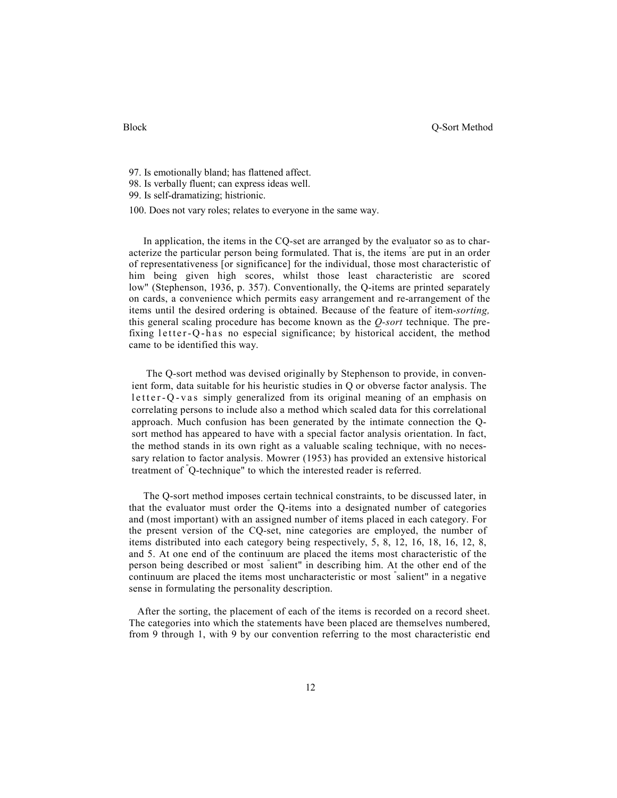- 
- 97. Is emotionally bland; has flattened affect.
- 98. Is verbally fluent; can express ideas well.
- 99. Is self-dramatizing; histrionic.
- 100. Does not vary roles; relates to everyone in the same way.

In application, the items in the CQ-set are arranged by the evaluator so as to characterize the particular person being formulated. That is, the items " are put in an order of representativeness [or significance] for the individual, those most characteristic of him being given high scores, whilst those least characteristic are scored low" (Stephenson, 1936, p. 357). Conventionally, the Q-items are printed separately on cards, a convenience which permits easy arrangement and re-arrangement of the items until the desired ordering is obtained. Because of the feature of item-*sorting,*  this general scaling procedure has become known as the *Q-sort* technique. The prefixing letter-Q-has no especial significance; by historical accident, the method came to be identified this way.

The Q-sort method was devised originally by Stephenson to provide, in convenient form, data suitable for his heuristic studies in Q or obverse factor analysis. The l etter - Q - v as simply generalized from its original meaning of an emphasis on correlating persons to include also a method which scaled data for this correlational approach. Much confusion has been generated by the intimate connection the Qsort method has appeared to have with a special factor analysis orientation. In fact, the method stands in its own right as a valuable scaling technique, with no necessary relation to factor analysis. Mowrer (1953) has provided an extensive historical treatment of " Q-technique" to which the interested reader is referred.

The Q-sort method imposes certain technical constraints, to be discussed later, in that the evaluator must order the Q-items into a designated number of categories and (most important) with an assigned number of items placed in each category. For the present version of the CQ-set, nine categories are employed, the number of items distributed into each category being respectively, 5, 8, 12, 16, 18, 16, 12, 8, and 5. At one end of the continuum are placed the items most characteristic of the person being described or most " salient" in describing him. At the other end of the continuum are placed the items most uncharacteristic or most " salient" in a negative sense in formulating the personality description.

After the sorting, the placement of each of the items is recorded on a record sheet. The categories into which the statements have been placed are themselves numbered, from 9 through 1, with 9 by our convention referring to the most characteristic end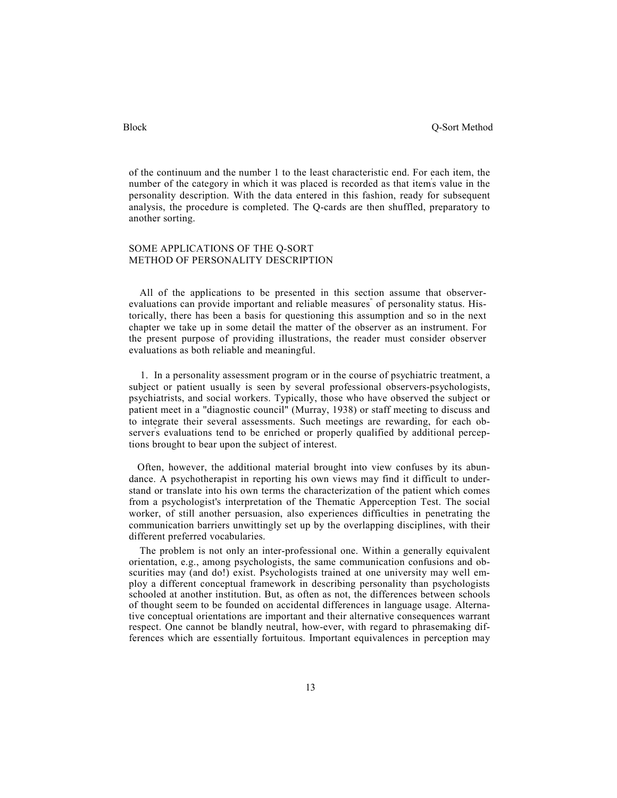of the continuum and the number 1 to the least characteristic end. For each item, the number of the category in which it was placed is recorded as that item's value in the personality description. With the data entered in this fashion, ready for subsequent analysis, the procedure is completed. The Q-cards are then shuffled, preparatory to another sorting.

### SOME APPLICATIONS OF THE Q-SORT METHOD OF PERSONALITY DESCRIPTION

All of the applications to be presented in this section assume that observerevaluations can provide important and reliable measures<sup>"</sup> of personality status. Historically, there has been a basis for questioning this assumption and so in the next chapter we take up in some detail the matter of the observer as an instrument. For the present purpose of providing illustrations, the reader must consider observer evaluations as both reliable and meaningful.

1. In a personality assessment program or in the course of psychiatric treatment, a subject or patient usually is seen by several professional observers-psychologists, psychiatrists, and social workers. Typically, those who have observed the subject or patient meet in a "diagnostic council" (Murray, 1938) or staff meeting to discuss and to integrate their several assessments. Such meetings are rewarding, for each observer' s evaluations tend to be enriched or properly qualified by additional perceptions brought to bear upon the subject of interest.

Often, however, the additional material brought into view confuses by its abundance. A psychotherapist in reporting his own views may find it difficult to understand or translate into his own terms the characterization of the patient which comes from a psychologist's interpretation of the Thematic Apperception Test. The social worker, of still another persuasion, also experiences difficulties in penetrating the communication barriers unwittingly set up by the overlapping disciplines, with their different preferred vocabularies.

The problem is not only an inter-professional one. Within a generally equivalent orientation, e.g., among psychologists, the same communication confusions and obscurities may (and do!) exist. Psychologists trained at one university may well employ a different conceptual framework in describing personality than psychologists schooled at another institution. But, as often as not, the differences between schools of thought seem to be founded on accidental differences in language usage. Alternative conceptual orientations are important and their alternative consequences warrant respect. One cannot be blandly neutral, how-ever, with regard to phrasemaking differences which are essentially fortuitous. Important equivalences in perception may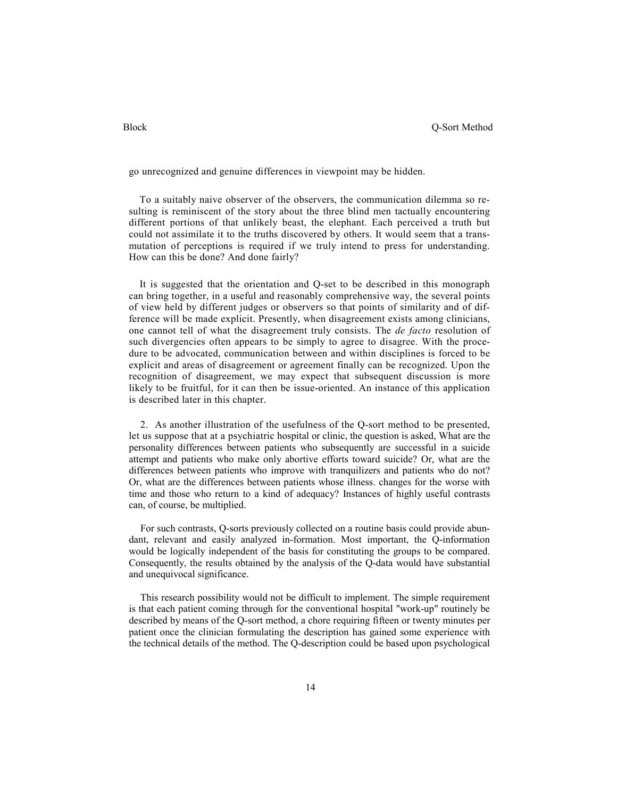go unrecognized and genuine differences in viewpoint may be hidden.

To a suitably naive observer of the observers, the communication dilemma so resulting is reminiscent of the story about the three blind men tactually encountering different portions of that unlikely beast, the elephant. Each perceived a truth but could not assimilate it to the truths discovered by others. It would seem that a transmutation of perceptions is required if we truly intend to press for understanding. How can this be done? And done fairly?

It is suggested that the orientation and Q-set to be described in this monograph can bring together, in a useful and reasonably comprehensive way, the several points of view held by different judges or observers so that points of similarity and of difference will be made explicit. Presently, when disagreement exists among clinicians, one cannot tell of what the disagreement truly consists. The *de facto* resolution of such divergencies often appears to be simply to agree to disagree. With the procedure to be advocated, communication between and within disciplines is forced to be explicit and areas of disagreement or agreement finally can be recognized. Upon the recognition of disagreement, we may expect that subsequent discussion is more likely to be fruitful, for it can then be issue-oriented. An instance of this application is described later in this chapter.

2. As another illustration of the usefulness of the Q-sort method to be presented, let us suppose that at a psychiatric hospital or clinic, the question is asked, What are the personality differences between patients who subsequently are successful in a suicide attempt and patients who make only abortive efforts toward suicide? Or, what are the differences between patients who improve with tranquilizers and patients who do not? Or, what are the differences between patients whose illness. changes for the worse with time and those who return to a kind of adequacy? Instances of highly useful contrasts can, of course, be multiplied.

For such contrasts, Q-sorts previously collected on a routine basis could provide abundant, relevant and easily analyzed in-formation. Most important, the Q-information would be logically independent of the basis for constituting the groups to be compared. Consequently, the results obtained by the analysis of the Q-data would have substantial and unequivocal significance.

This research possibility would not be difficult to implement. The simple requirement is that each patient coming through for the conventional hospital "work-up" routinely be described by means of the Q-sort method, a chore requiring fifteen or twenty minutes per patient once the clinician formulating the description has gained some experience with the technical details of the method. The Q-description could be based upon psychological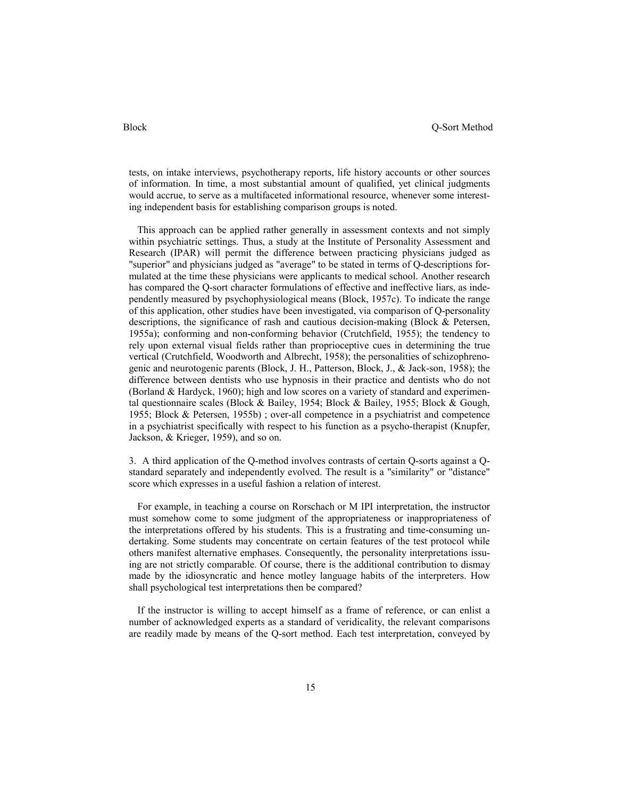tests, on intake interviews, psychotherapy reports, life history accounts or other sources of information. In time, a most substantial amount of qualified, yet clinical judgments would accrue, to serve as a multifaceted informational resource, whenever some interesting independent basis for establishing comparison groups is noted.

This approach can be applied rather generally in assessment contexts and not simply within psychiatric settings. Thus, a study at the Institute of Personality Assessment and Research (IPAR) will permit the difference between practicing physicians judged as "superior" and physicians judged as "average" to be stated in terms of Q-descriptions formulated at the time these physicians were applicants to medical school. Another research has compared the Q-sort character formulations of effective and ineffective liars, as independently measured by psychophysiological means (Block, 1957c). To indicate the range of this application, other studies have been investigated, via comparison of Q-personality descriptions, the significance of rash and cautious decision-making (Block & Petersen, 1955a); conforming and non-conforming behavior (Crutchfield, 1955); the tendency to rely upon external visual fields rather than proprioceptive cues in determining the true vertical (Crutchfield, Woodworth and Albrecht, 1958); the personalities of schizophrenogenic and neurotogenic parents (Block, J. H., Patterson, Block, J., & Jack-son, 1958); the difference between dentists who use hypnosis in their practice and dentists who do not (Borland & Hardyck, 1960); high and low scores on a variety of standard and experimental questionnaire scales (Block & Bailey, 1954; Block & Bailey, 1955; Block & Gough, 1955; Block & Petersen, 1955b) ; over-all competence in a psychiatrist and competence in a psychiatrist specifically with respect to his function as a psycho-therapist (Knupfer, Jackson, & Krieger, 1959), and so on.

3. A third application of the Q-method involves contrasts of certain Q-sorts against a Qstandard separately and independently evolved. The result is a "similarity" or "distance" score which expresses in a useful fashion a relation of interest.

For example, in teaching a course on Rorschach or M IPI interpretation, the instructor must somehow come to some judgment of the appropriateness or inappropriateness of the interpretations offered by his students. This is a frustrating and time-consuming undertaking. Some students may concentrate on certain features of the test protocol while others manifest alternative emphases. Consequently, the personality interpretations issuing are not strictly comparable. Of course, there is the additional contribution to dismay made by the idiosyncratic and hence motley language habits of the interpreters. How shall psychological test interpretations then be compared?

If the instructor is willing to accept himself as a frame of reference, or can enlist a number of acknowledged experts as a standard of veridicality, the relevant comparisons are readily made by means of the Q-sort method. Each test interpretation, conveyed by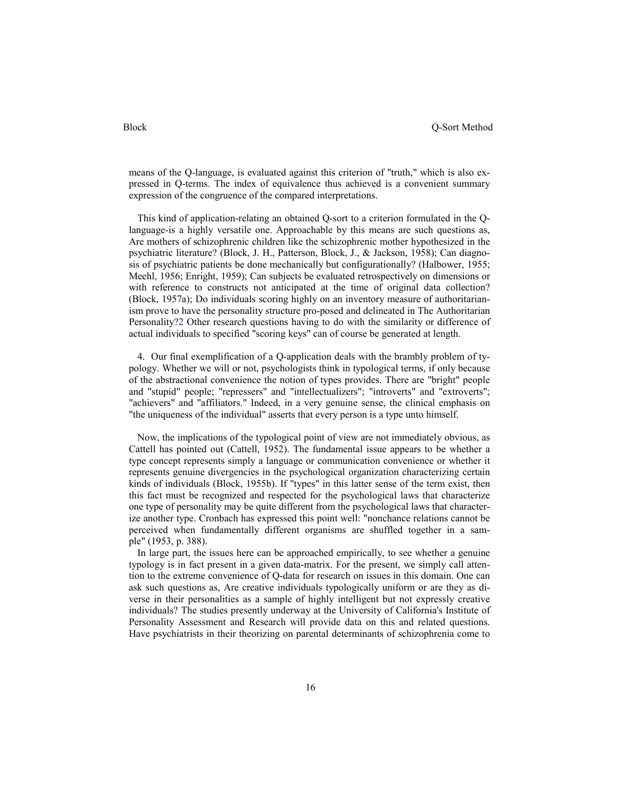means of the Q-language, is evaluated against this criterion of "truth," which is also expressed in Q-terms. The index of equivalence thus achieved is a convenient summary expression of the congruence of the compared interpretations.

This kind of application-relating an obtained Q-sort to a criterion formulated in the Qlanguage-is a highly versatile one. Approachable by this means are such questions as, Are mothers of schizophrenic children like the schizophrenic mother hypothesized in the psychiatric literature? (Block, J. H., Patterson, Block, J., & Jackson, 1958); Can diagnosis of psychiatric patients be done mechanically but configurationally? (Halbower, 1955; Meehl, 1956; Enright, 1959); Can subjects be evaluated retrospectively on dimensions or with reference to constructs not anticipated at the time of original data collection? (Block, 1957a); Do individuals scoring highly on an inventory measure of authoritarianism prove to have the personality structure pro-posed and delineated in The Authoritarian Personality?2 Other research questions having to do with the similarity or difference of actual individuals to specified "scoring keys" can of course be generated at length.

4. Our final exemplification of a Q-application deals with the brambly problem of typology. Whether we will or not, psychologists think in typological terms, if only because of the abstractional convenience the notion of types provides. There are "bright" people and "stupid" people; "repressers" and "intellectualizers"; "introverts" and "extroverts"; "achievers" and "affiliators." Indeed, in a very genuine sense, the clinical emphasis on "the uniqueness of the individual" asserts that every person is a type unto himself.

Now, the implications of the typological point of view are not immediately obvious, as Cattell has pointed out (Cattell, 1952). The fundamental issue appears to be whether a type concept represents simply a language or communication convenience or whether it represents genuine divergencies in the psychological organization characterizing certain kinds of individuals (Block, 1955b). If "types" in this latter sense of the term exist, then this fact must be recognized and respected for the psychological laws that characterize one type of personality may be quite different from the psychological laws that characterize another type. Cronbach has expressed this point well: "nonchance relations cannot be perceived when fundamentally different organisms are shuffled together in a sample" (1953, p. 388).

In large part, the issues here can be approached empirically, to see whether a genuine typology is in fact present in a given data-matrix. For the present, we simply call attention to the extreme convenience of Q-data for research on issues in this domain. One can ask such questions as, Are creative individuals typologically uniform or are they as diverse in their personalities as a sample of highly intelligent but not expressly creative individuals? The studies presently underway at the University of California's Institute of Personality Assessment and Research will provide data on this and related questions. Have psychiatrists in their theorizing on parental determinants of schizophrenia come to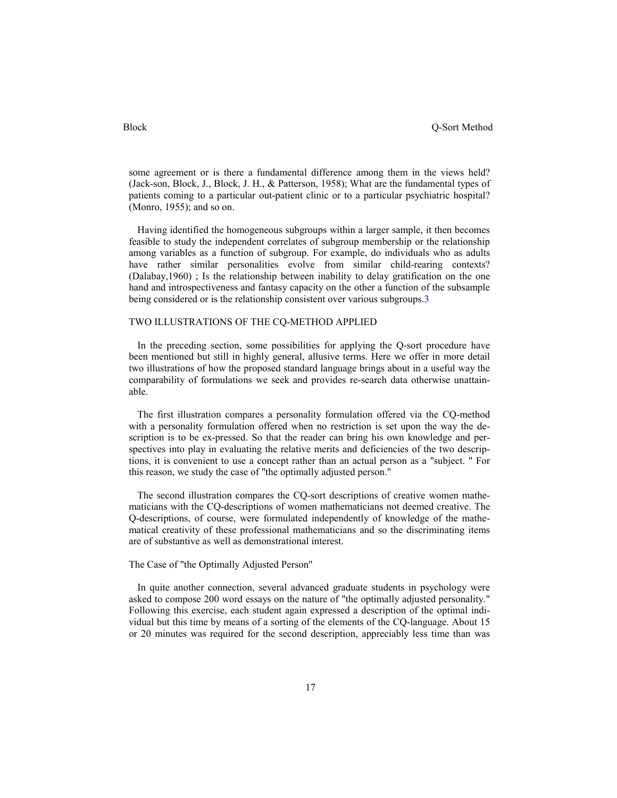some agreement or is there a fundamental difference among them in the views held? (Jack-son, Block, J., Block, J. H., & Patterson, 1958); What are the fundamental types of patients coming to a particular out-patient clinic or to a particular psychiatric hospital? (Monro, 1955); and so on.

Having identified the homogeneous subgroups within a larger sample, it then becomes feasible to study the independent correlates of subgroup membership or the relationship among variables as a function of subgroup. For example, do individuals who as adults have rather similar personalities evolve from similar child-rearing contexts? (Dalabay,1960) ; Is the relationship between inability to delay gratification on the one hand and introspectiveness and fantasy capacity on the other a function of the subsample being considered or is the relationship consistent over various subgroups.3

### TWO ILLUSTRATIONS OF THE CQ-METHOD APPLIED

In the preceding section, some possibilities for applying the Q-sort procedure have been mentioned but still in highly general, allusive terms. Here we offer in more detail two illustrations of how the proposed standard language brings about in a useful way the comparability of formulations we seek and provides re-search data otherwise unattainable.

The first illustration compares a personality formulation offered via the CQ-method with a personality formulation offered when no restriction is set upon the way the description is to be ex-pressed. So that the reader can bring his own knowledge and perspectives into play in evaluating the relative merits and deficiencies of the two descriptions, it is convenient to use a concept rather than an actual person as a "subject. " For this reason, we study the case of "the optimally adjusted person."

The second illustration compares the CQ-sort descriptions of creative women mathematicians with the CQ-descriptions of women mathematicians not deemed creative. The Q-descriptions, of course, were formulated independently of knowledge of the mathematical creativity of these professional mathematicians and so the discriminating items are of substantive as well as demonstrational interest.

### The Case of "the Optimally Adjusted Person"

In quite another connection, several advanced graduate students in psychology were asked to compose 200 word essays on the nature of "the optimally adjusted personality." Following this exercise, each student again expressed a description of the optimal individual but this time by means of a sorting of the elements of the CQ-language. About 15 or 20 minutes was required for the second description, appreciably less time than was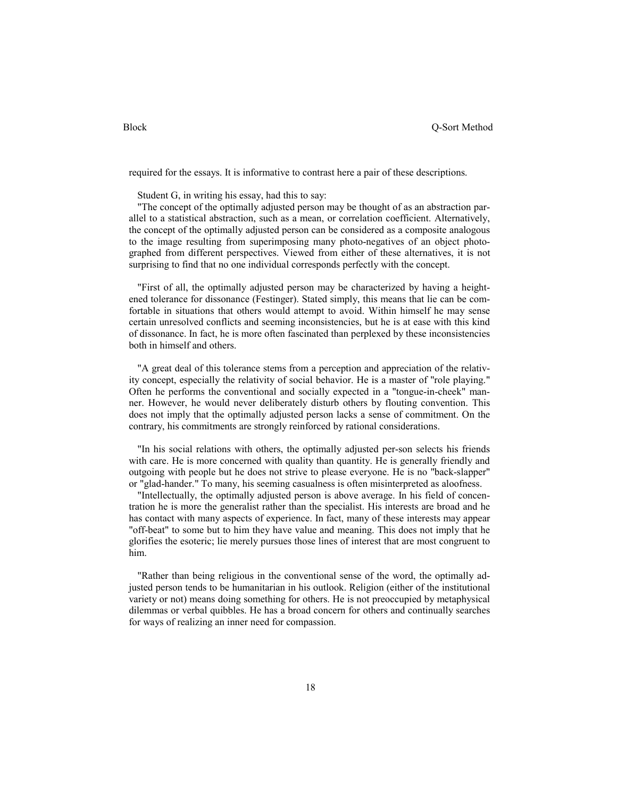required for the essays. It is informative to contrast here a pair of these descriptions.

Student G, in writing his essay, had this to say:

"The concept of the optimally adjusted person may be thought of as an abstraction parallel to a statistical abstraction, such as a mean, or correlation coefficient. Alternatively, the concept of the optimally adjusted person can be considered as a composite analogous to the image resulting from superimposing many photo-negatives of an object photographed from different perspectives. Viewed from either of these alternatives, it is not surprising to find that no one individual corresponds perfectly with the concept.

"First of all, the optimally adjusted person may be characterized by having a heightened tolerance for dissonance (Festinger). Stated simply, this means that lie can be comfortable in situations that others would attempt to avoid. Within himself he may sense certain unresolved conflicts and seeming inconsistencies, but he is at ease with this kind of dissonance. In fact, he is more often fascinated than perplexed by these inconsistencies both in himself and others.

"A great deal of this tolerance stems from a perception and appreciation of the relativity concept, especially the relativity of social behavior. He is a master of "role playing." Often he performs the conventional and socially expected in a "tongue-in-cheek" manner. However, he would never deliberately disturb others by flouting convention. This does not imply that the optimally adjusted person lacks a sense of commitment. On the contrary, his commitments are strongly reinforced by rational considerations.

"In his social relations with others, the optimally adjusted per-son selects his friends with care. He is more concerned with quality than quantity. He is generally friendly and outgoing with people but he does not strive to please everyone. He is no "back-slapper" or "glad-hander." To many, his seeming casualness is often misinterpreted as aloofness.

"Intellectually, the optimally adjusted person is above average. In his field of concentration he is more the generalist rather than the specialist. His interests are broad and he has contact with many aspects of experience. In fact, many of these interests may appear "off-beat" to some but to him they have value and meaning. This does not imply that he glorifies the esoteric; lie merely pursues those lines of interest that are most congruent to him.

"Rather than being religious in the conventional sense of the word, the optimally adjusted person tends to be humanitarian in his outlook. Religion (either of the institutional variety or not) means doing something for others. He is not preoccupied by metaphysical dilemmas or verbal quibbles. He has a broad concern for others and continually searches for ways of realizing an inner need for compassion.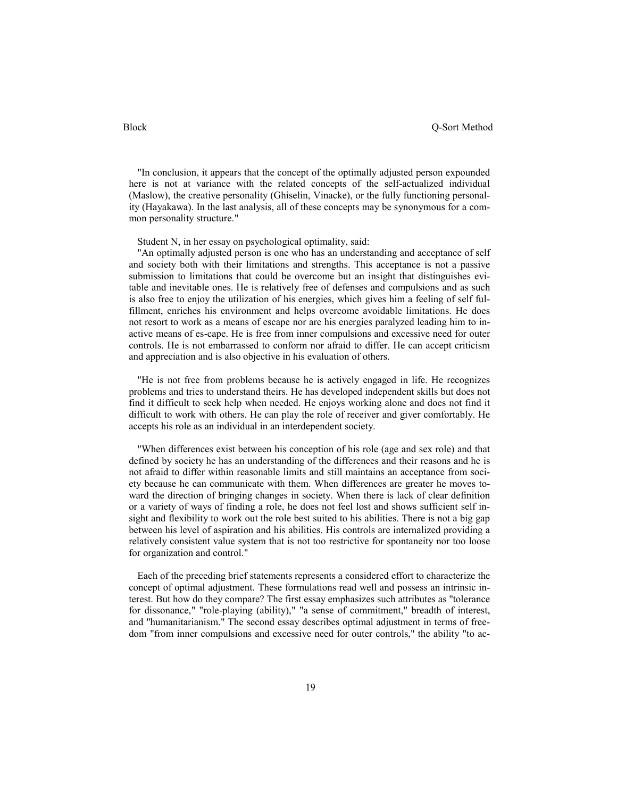"In conclusion, it appears that the concept of the optimally adjusted person expounded here is not at variance with the related concepts of the self-actualized individual (Maslow), the creative personality (Ghiselin, Vinacke), or the fully functioning personality (Hayakawa). In the last analysis, all of these concepts may be synonymous for a common personality structure."

Student N, in her essay on psychological optimality, said:

"An optimally adjusted person is one who has an understanding and acceptance of self and society both with their limitations and strengths. This acceptance is not a passive submission to limitations that could be overcome but an insight that distinguishes evitable and inevitable ones. He is relatively free of defenses and compulsions and as such is also free to enjoy the utilization of his energies, which gives him a feeling of self fulfillment, enriches his environment and helps overcome avoidable limitations. He does not resort to work as a means of escape nor are his energies paralyzed leading him to inactive means of es-cape. He is free from inner compulsions and excessive need for outer controls. He is not embarrassed to conform nor afraid to differ. He can accept criticism and appreciation and is also objective in his evaluation of others.

"He is not free from problems because he is actively engaged in life. He recognizes problems and tries to understand theirs. He has developed independent skills but does not find it difficult to seek help when needed. He enjoys working alone and does not find it difficult to work with others. He can play the role of receiver and giver comfortably. He accepts his role as an individual in an interdependent society.

"When differences exist between his conception of his role (age and sex role) and that defined by society he has an understanding of the differences and their reasons and he is not afraid to differ within reasonable limits and still maintains an acceptance from society because he can communicate with them. When differences are greater he moves toward the direction of bringing changes in society. When there is lack of clear definition or a variety of ways of finding a role, he does not feel lost and shows sufficient self insight and flexibility to work out the role best suited to his abilities. There is not a big gap between his level of aspiration and his abilities. His controls are internalized providing a relatively consistent value system that is not too restrictive for spontaneity nor too loose for organization and control."

Each of the preceding brief statements represents a considered effort to characterize the concept of optimal adjustment. These formulations read well and possess an intrinsic interest. But how do they compare? The first essay emphasizes such attributes as "tolerance for dissonance," "role-playing (ability)," "a sense of commitment," breadth of interest, and "humanitarianism." The second essay describes optimal adjustment in terms of freedom "from inner compulsions and excessive need for outer controls," the ability "to ac-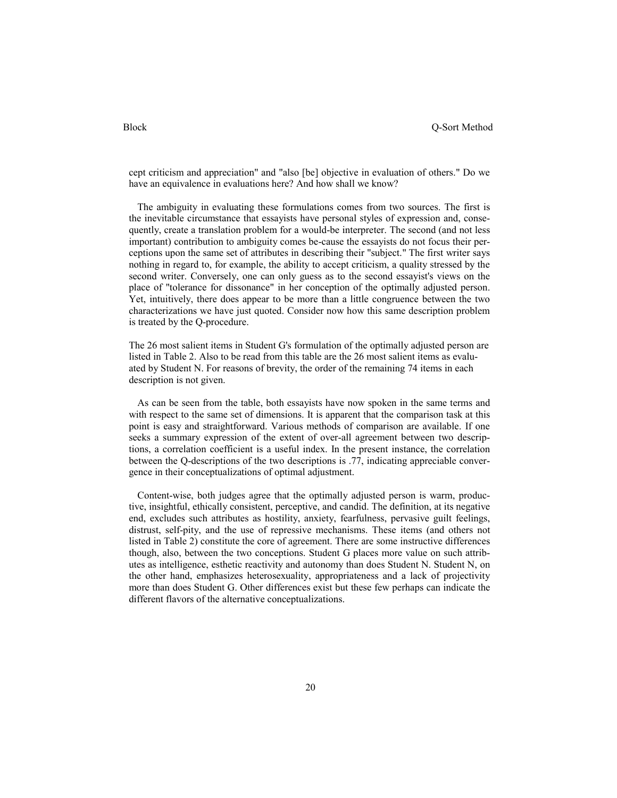cept criticism and appreciation" and "also [be] objective in evaluation of others." Do we have an equivalence in evaluations here? And how shall we know?

The ambiguity in evaluating these formulations comes from two sources. The first is the inevitable circumstance that essayists have personal styles of expression and, consequently, create a translation problem for a would-be interpreter. The second (and not less important) contribution to ambiguity comes be-cause the essayists do not focus their perceptions upon the same set of attributes in describing their "subject." The first writer says nothing in regard to, for example, the ability to accept criticism, a quality stressed by the second writer. Conversely, one can only guess as to the second essayist's views on the place of "tolerance for dissonance" in her conception of the optimally adjusted person. Yet, intuitively, there does appear to be more than a little congruence between the two characterizations we have just quoted. Consider now how this same description problem is treated by the Q-procedure.

The 26 most salient items in Student G's formulation of the optimally adjusted person are listed in Table 2. Also to be read from this table are the 26 most salient items as evaluated by Student N. For reasons of brevity, the order of the remaining 74 items in each description is not given.

As can be seen from the table, both essayists have now spoken in the same terms and with respect to the same set of dimensions. It is apparent that the comparison task at this point is easy and straightforward. Various methods of comparison are available. If one seeks a summary expression of the extent of over-all agreement between two descriptions, a correlation coefficient is a useful index. In the present instance, the correlation between the Q-descriptions of the two descriptions is .77, indicating appreciable convergence in their conceptualizations of optimal adjustment.

Content-wise, both judges agree that the optimally adjusted person is warm, productive, insightful, ethically consistent, perceptive, and candid. The definition, at its negative end, excludes such attributes as hostility, anxiety, fearfulness, pervasive guilt feelings, distrust, self-pity, and the use of repressive mechanisms. These items (and others not listed in Table 2) constitute the core of agreement. There are some instructive differences though, also, between the two conceptions. Student G places more value on such attributes as intelligence, esthetic reactivity and autonomy than does Student N. Student N, on the other hand, emphasizes heterosexuality, appropriateness and a lack of projectivity more than does Student G. Other differences exist but these few perhaps can indicate the different flavors of the alternative conceptualizations.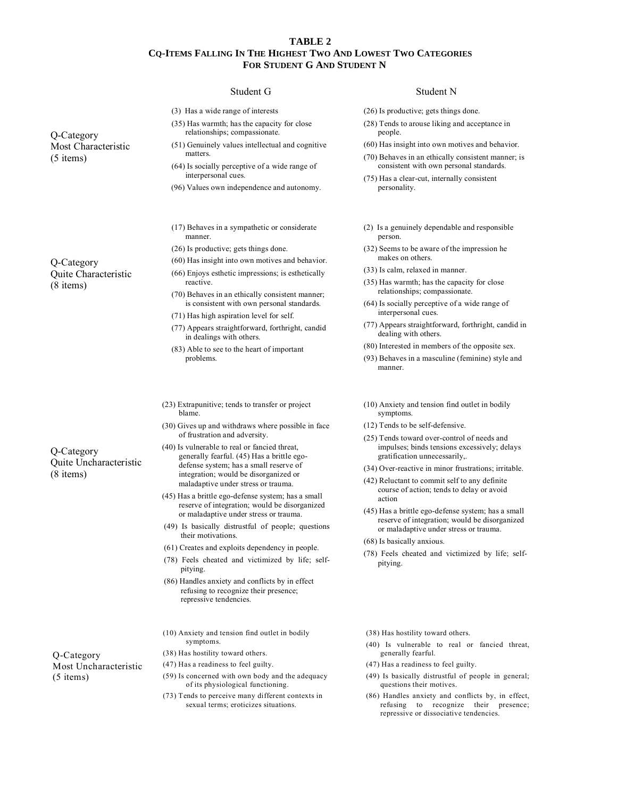### **TABLE 2 CQ-ITEMS FALLING IN THE HIGHEST TWO AND LOWEST TWO CATEGORIES FOR STUDENT G AND STUDENT N**

- (3) Has a wide range of interests
- (35) Has warmth; has the capacity for close relationships; compassionate.
- (51) Genuinely values intellectual and cognitive matters.
- (64) Is socially perceptive of a wide range of interpersonal cues.
- (96) Values own independence and autonomy.
- (17) Behaves in a sympathetic or considerate manner.
- (26) Is productive; gets things done.
- (60) Has insight into own motives and behavior.
- (66) Enjoys esthetic impressions; is esthetically reactive.
- (70) Behaves in an ethically consistent manner; is consistent with own personal standards.
- (71) Has high aspiration level for self.
- (77) Appears straightforward, forthright, candid in dealings with others.
- (83) Able to see to the heart of important problems.
- (23) Extrapunitive; tends to transfer or project blame.
- (30) Gives up and withdraws where possible in face of frustration and adversity.
- (40) Is vulnerable to real or fancied threat, generally fearful. (45) Has a brittle egodefense system; has a small reserve of integration; would be disorganized or maladaptive under stress or trauma.
- (45) Has a brittle ego-defense system; has a small reserve of integration; would be disorganized or maladaptive under stress or trauma.
- (49) Is basically distrustful of people; questions their motivations.
- (61) Creates and exploits dependency in people.
- (78) Feels cheated and victimized by life; selfpitying.
- (86) Handles anxiety and conflicts by in effect refusing to recognize their presence; repressive tendencies.
- (10) Anxiety and tension find outlet in bodily symptoms.
- (38) Has hostility toward others.
- (47) Has a readiness to feel guilty.
- (59) Is concerned with own body and the adequacy of its physiological functioning.
- (73) Tends to perceive many different contexts in sexual terms; eroticizes situations.

### Student G Student N Student N

- (26) Is productive; gets things done.
- (28) Tends to arouse liking and acceptance in people.
- (60) Has insight into own motives and behavior.
- (70) Behaves in an ethically consistent manner; is consistent with own personal standards.
- (75) Has a clear-cut, internally consistent personality.
- (2) Is a genuinely dependable and responsible person.
- (32) Seems to be aware of the impression he makes on others.
- (33) Is calm, relaxed in manner.
- (35) Has warmth; has the capacity for close relationships; compassionate.
- (64) Is socially perceptive of a wide range of interpersonal cues.
- (77) Appears straightforward, forthright, candid in dealing with others.
- (80) Interested in members of the opposite sex.
- (93) Behaves in a masculine (feminine) style and manner.
- (10) Anxiety and tension find outlet in bodily symptoms.
- (12) Tends to be self-defensive.
- (25) Tends toward over-control of needs and impulses; binds tensions excessively; delays gratification unnecessarily,.
- (34) Over-reactive in minor frustrations; irritable.
- (42) Reluctant to commit self to any definite course of action; tends to delay or avoid action
- (45) Has a brittle ego-defense system; has a small reserve of integration; would be disorganized or maladaptive under stress or trauma.
- (68) Is basically anxious.
- (78) Feels cheated and victimized by life; selfpitying.
- (38) Has hostility toward others.
- (40) Is vulnerable to real or fancied threat, generally fearful.
- (47) Has a readiness to feel guilty.
- (49) Is basically distrustful of people in general; questions their motives.
- (86) Handles anxiety and conflicts by, in effect, refusing to recognize their presence; repressive or dissociative tendencies.

Q-Category Most Characteristic (5 items)

Q-Category Quite Characteristic (8 items)

Q-Category Quite Uncharacteristic (8 items)

Q-Category Most Uncharacteristic (5 items)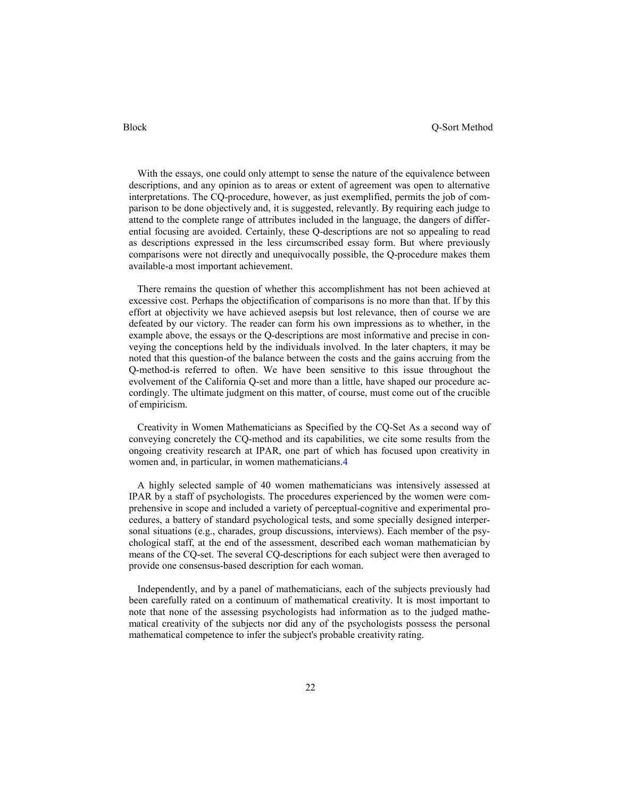With the essays, one could only attempt to sense the nature of the equivalence between descriptions, and any opinion as to areas or extent of agreement was open to alternative interpretations. The CQ-procedure, however, as just exemplified, permits the job of comparison to be done objectively and, it is suggested, relevantly. By requiring each judge to attend to the complete range of attributes included in the language, the dangers of differential focusing are avoided. Certainly, these Q-descriptions are not so appealing to read as descriptions expressed in the less circumscribed essay form. But where previously comparisons were not directly and unequivocally possible, the Q-procedure makes them available-a most important achievement.

There remains the question of whether this accomplishment has not been achieved at excessive cost. Perhaps the objectification of comparisons is no more than that. If by this effort at objectivity we have achieved asepsis but lost relevance, then of course we are defeated by our victory. The reader can form his own impressions as to whether, in the example above, the essays or the Q-descriptions are most informative and precise in conveying the conceptions held by the individuals involved. In the later chapters, it may be noted that this question-of the balance between the costs and the gains accruing from the Q-method-is referred to often. We have been sensitive to this issue throughout the evolvement of the California Q-set and more than a little, have shaped our procedure accordingly. The ultimate judgment on this matter, of course, must come out of the crucible of empiricism.

Creativity in Women Mathematicians as Specified by the CQ-Set As a second way of conveying concretely the CQ-method and its capabilities, we cite some results from the ongoing creativity research at IPAR, one part of which has focused upon creativity in women and, in particular, in women mathematicians.4

A highly selected sample of 40 women mathematicians was intensively assessed at IPAR by a staff of psychologists. The procedures experienced by the women were comprehensive in scope and included a variety of perceptual-cognitive and experimental procedures, a battery of standard psychological tests, and some specially designed interpersonal situations (e.g., charades, group discussions, interviews). Each member of the psychological staff, at the end of the assessment, described each woman mathematician by means of the CQ-set. The several CQ-descriptions for each subject were then averaged to provide one consensus-based description for each woman.

Independently, and by a panel of mathematicians, each of the subjects previously had been carefully rated on a continuum of mathematical creativity. It is most important to note that none of the assessing psychologists had information as to the judged mathematical creativity of the subjects nor did any of the psychologists possess the personal mathematical competence to infer the subject's probable creativity rating.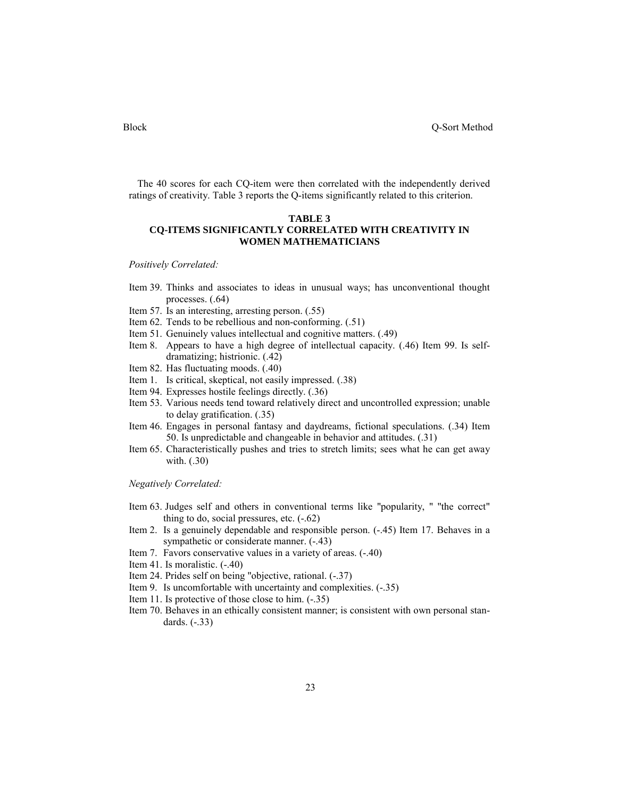The 40 scores for each CQ-item were then correlated with the independently derived ratings of creativity. Table 3 reports the Q-items significantly related to this criterion.

### **TABLE 3 CQ-ITEMS SIGNIFICANTLY CORRELATED WITH CREATIVITY IN WOMEN MATHEMATICIANS**

*Positively Correlated:* 

- Item 39. Thinks and associates to ideas in unusual ways; has unconventional thought processes. (.64)
- Item 57. Is an interesting, arresting person. (.55)
- Item 62. Tends to be rebellious and non-conforming. (.51)
- Item 51. Genuinely values intellectual and cognitive matters. (.49)
- Item 8. Appears to have a high degree of intellectual capacity. (.46) Item 99. Is selfdramatizing; histrionic. (.42)
- Item 82. Has fluctuating moods. (.40)
- Item 1. Is critical, skeptical, not easily impressed. (.38)
- Item 94. Expresses hostile feelings directly. (.36)
- Item 53. Various needs tend toward relatively direct and uncontrolled expression; unable to delay gratification. (.35)
- Item 46. Engages in personal fantasy and daydreams, fictional speculations. (.34) Item 50. Is unpredictable and changeable in behavior and attitudes. (.31)
- Item 65. Characteristically pushes and tries to stretch limits; sees what he can get away with. (.30)

*Negatively Correlated:* 

- Item 63. Judges self and others in conventional terms like "popularity, " "the correct" thing to do, social pressures, etc. (-.62)
- Item 2. Is a genuinely dependable and responsible person. (-.45) Item 17. Behaves in a sympathetic or considerate manner.  $(-.43)$
- Item 7. Favors conservative values in a variety of areas. (-.40)
- Item 41. Is moralistic. (-.40)
- Item 24. Prides self on being "objective, rational. (-.37)
- Item 9. Is uncomfortable with uncertainty and complexities. (-.35)
- Item 11. Is protective of those close to him. (-.35)
- Item 70. Behaves in an ethically consistent manner; is consistent with own personal standards. (-.33)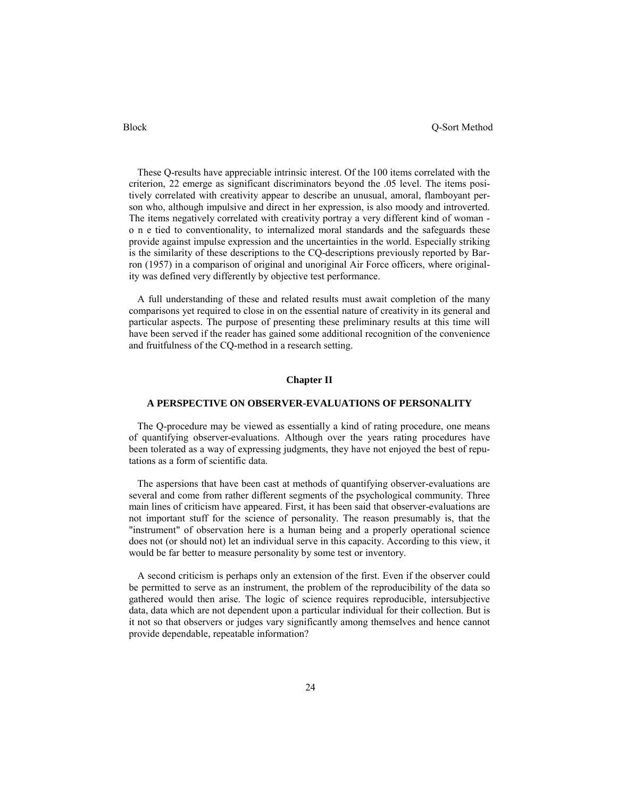These Q-results have appreciable intrinsic interest. Of the 100 items correlated with the criterion, 22 emerge as significant discriminators beyond the .05 level. The items positively correlated with creativity appear to describe an unusual, amoral, flamboyant person who, although impulsive and direct in her expression, is also moody and introverted. The items negatively correlated with creativity portray a very different kind of woman o n e tied to conventionality, to internalized moral standards and the safeguards these provide against impulse expression and the uncertainties in the world. Especially striking is the similarity of these descriptions to the CQ-descriptions previously reported by Barron (1957) in a comparison of original and unoriginal Air Force officers, where originality was defined very differently by objective test performance.

A full understanding of these and related results must await completion of the many comparisons yet required to close in on the essential nature of creativity in its general and particular aspects. The purpose of presenting these preliminary results at this time will have been served if the reader has gained some additional recognition of the convenience and fruitfulness of the CQ-method in a research setting.

### **Chapter II**

### **A PERSPECTIVE ON OBSERVER-EVALUATIONS OF PERSONALITY**

The Q-procedure may be viewed as essentially a kind of rating procedure, one means of quantifying observer-evaluations. Although over the years rating procedures have been tolerated as a way of expressing judgments, they have not enjoyed the best of reputations as a form of scientific data.

The aspersions that have been cast at methods of quantifying observer-evaluations are several and come from rather different segments of the psychological community. Three main lines of criticism have appeared. First, it has been said that observer-evaluations are not important stuff for the science of personality. The reason presumably is, that the "instrument" of observation here is a human being and a properly operational science does not (or should not) let an individual serve in this capacity. According to this view, it would be far better to measure personality by some test or inventory.

A second criticism is perhaps only an extension of the first. Even if the observer could be permitted to serve as an instrument, the problem of the reproducibility of the data so gathered would then arise. The logic of science requires reproducible, intersubjective data, data which are not dependent upon a particular individual for their collection. But is it not so that observers or judges vary significantly among themselves and hence cannot provide dependable, repeatable information?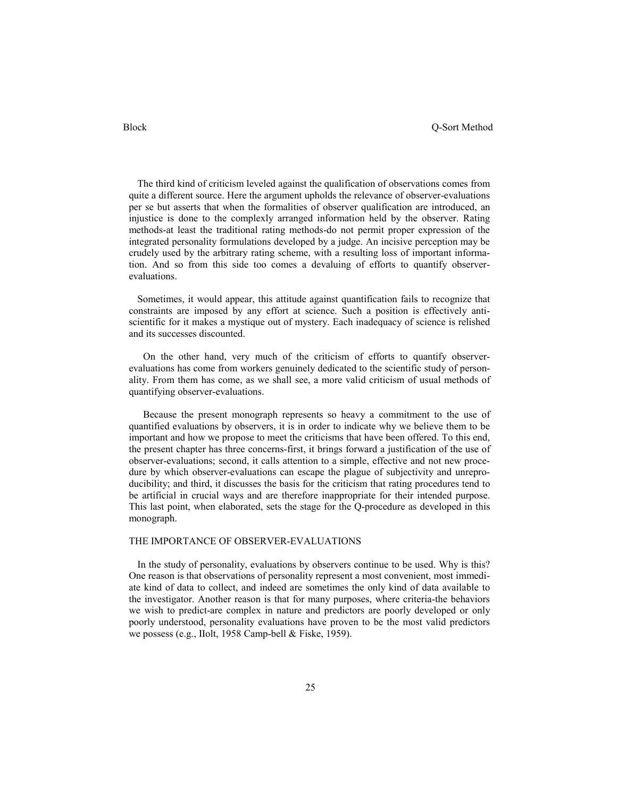The third kind of criticism leveled against the qualification of observations comes from quite a different source. Here the argument upholds the relevance of observer-evaluations per se but asserts that when the formalities of observer qualification are introduced, an injustice is done to the complexly arranged information held by the observer. Rating methods-at least the traditional rating methods-do not permit proper expression of the integrated personality formulations developed by a judge. An incisive perception may be crudely used by the arbitrary rating scheme, with a resulting loss of important information. And so from this side too comes a devaluing of efforts to quantify observerevaluations.

Sometimes, it would appear, this attitude against quantification fails to recognize that constraints are imposed by any effort at science. Such a position is effectively antiscientific for it makes a mystique out of mystery. Each inadequacy of science is relished and its successes discounted.

On the other hand, very much of the criticism of efforts to quantify observerevaluations has come from workers genuinely dedicated to the scientific study of personality. From them has come, as we shall see, a more valid criticism of usual methods of quantifying observer-evaluations.

Because the present monograph represents so heavy a commitment to the use of quantified evaluations by observers, it is in order to indicate why we believe them to be important and how we propose to meet the criticisms that have been offered. To this end, the present chapter has three concerns-first, it brings forward a justification of the use of observer-evaluations; second, it calls attention to a simple, effective and not new procedure by which observer-evaluations can escape the plague of subjectivity and unreproducibility; and third, it discusses the basis for the criticism that rating procedures tend to be artificial in crucial ways and are therefore inappropriate for their intended purpose. This last point, when elaborated, sets the stage for the Q-procedure as developed in this monograph.

### THE IMPORTANCE OF OBSERVER-EVALUATIONS

In the study of personality, evaluations by observers continue to be used. Why is this? One reason is that observations of personality represent a most convenient, most immediate kind of data to collect, and indeed are sometimes the only kind of data available to the investigator. Another reason is that for many purposes, where criteria-the behaviors we wish to predict-are complex in nature and predictors are poorly developed or only poorly understood, personality evaluations have proven to be the most valid predictors we possess (e.g., IIolt, 1958 Camp-bell & Fiske, 1959).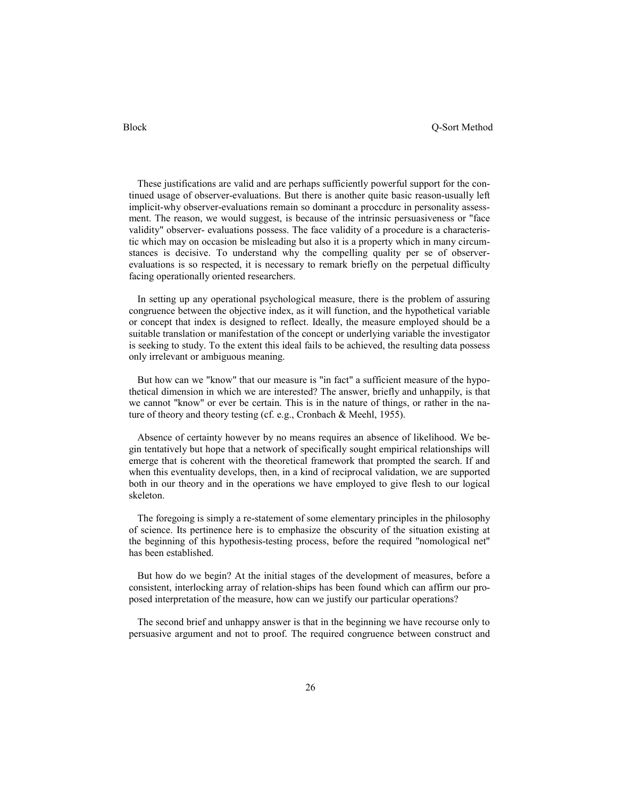Block Q-Sort Method

These justifications are valid and are perhaps sufficiently powerful support for the continued usage of observer-evaluations. But there is another quite basic reason-usually left implicit-why observer-evaluations remain so dominant a proccdurc in personality assessment. The reason, we would suggest, is because of the intrinsic persuasiveness or "face validity" observer- evaluations possess. The face validity of a procedure is a characteristic which may on occasion be misleading but also it is a property which in many circumstances is decisive. To understand why the compelling quality per se of observerevaluations is so respected, it is necessary to remark briefly on the perpetual difficulty facing operationally oriented researchers.

In setting up any operational psychological measure, there is the problem of assuring congruence between the objective index, as it will function, and the hypothetical variable or concept that index is designed to reflect. Ideally, the measure employed should be a suitable translation or manifestation of the concept or underlying variable the investigator is seeking to study. To the extent this ideal fails to be achieved, the resulting data possess only irrelevant or ambiguous meaning.

But how can we "know" that our measure is "in fact" a sufficient measure of the hypothetical dimension in which we are interested? The answer, briefly and unhappily, is that we cannot "know" or ever be certain. This is in the nature of things, or rather in the nature of theory and theory testing (cf. e.g., Cronbach & Meehl, 1955).

Absence of certainty however by no means requires an absence of likelihood. We begin tentatively but hope that a network of specifically sought empirical relationships will emerge that is coherent with the theoretical framework that prompted the search. If and when this eventuality develops, then, in a kind of reciprocal validation, we are supported both in our theory and in the operations we have employed to give flesh to our logical skeleton.

The foregoing is simply a re-statement of some elementary principles in the philosophy of science. Its pertinence here is to emphasize the obscurity of the situation existing at the beginning of this hypothesis-testing process, before the required "nomological net" has been established.

But how do we begin? At the initial stages of the development of measures, before a consistent, interlocking array of relation-ships has been found which can affirm our proposed interpretation of the measure, how can we justify our particular operations?

The second brief and unhappy answer is that in the beginning we have recourse only to persuasive argument and not to proof. The required congruence between construct and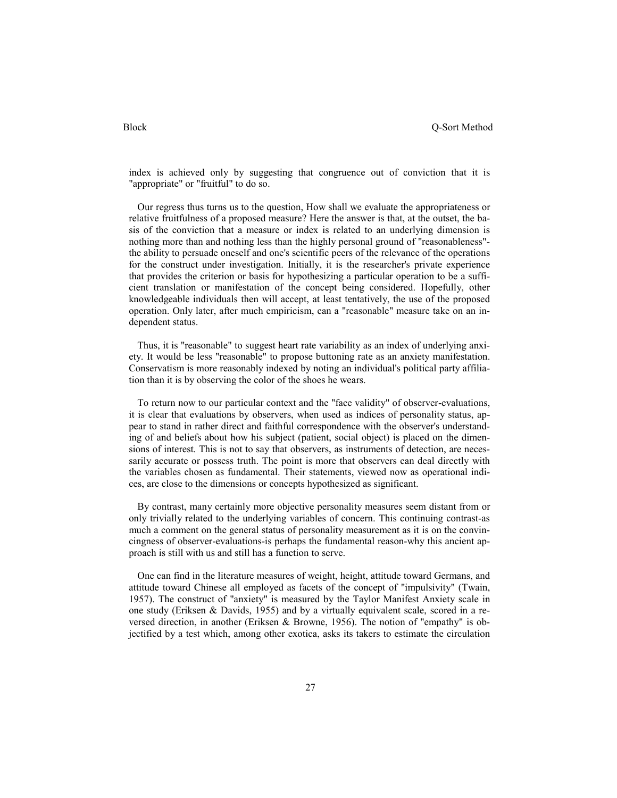index is achieved only by suggesting that congruence out of conviction that it is "appropriate" or "fruitful" to do so.

Our regress thus turns us to the question, How shall we evaluate the appropriateness or relative fruitfulness of a proposed measure? Here the answer is that, at the outset, the basis of the conviction that a measure or index is related to an underlying dimension is nothing more than and nothing less than the highly personal ground of "reasonableness" the ability to persuade oneself and one's scientific peers of the relevance of the operations for the construct under investigation. Initially, it is the researcher's private experience that provides the criterion or basis for hypothesizing a particular operation to be a sufficient translation or manifestation of the concept being considered. Hopefully, other knowledgeable individuals then will accept, at least tentatively, the use of the proposed operation. Only later, after much empiricism, can a "reasonable" measure take on an independent status.

Thus, it is "reasonable" to suggest heart rate variability as an index of underlying anxiety. It would be less "reasonable" to propose buttoning rate as an anxiety manifestation. Conservatism is more reasonably indexed by noting an individual's political party affiliation than it is by observing the color of the shoes he wears.

To return now to our particular context and the "face validity" of observer-evaluations, it is clear that evaluations by observers, when used as indices of personality status, appear to stand in rather direct and faithful correspondence with the observer's understanding of and beliefs about how his subject (patient, social object) is placed on the dimensions of interest. This is not to say that observers, as instruments of detection, are necessarily accurate or possess truth. The point is more that observers can deal directly with the variables chosen as fundamental. Their statements, viewed now as operational indices, are close to the dimensions or concepts hypothesized as significant.

By contrast, many certainly more objective personality measures seem distant from or only trivially related to the underlying variables of concern. This continuing contrast-as much a comment on the general status of personality measurement as it is on the convincingness of observer-evaluations-is perhaps the fundamental reason-why this ancient approach is still with us and still has a function to serve.

One can find in the literature measures of weight, height, attitude toward Germans, and attitude toward Chinese all employed as facets of the concept of "impulsivity" (Twain, 1957). The construct of "anxiety" is measured by the Taylor Manifest Anxiety scale in one study (Eriksen & Davids, 1955) and by a virtually equivalent scale, scored in a reversed direction, in another (Eriksen & Browne, 1956). The notion of "empathy" is objectified by a test which, among other exotica, asks its takers to estimate the circulation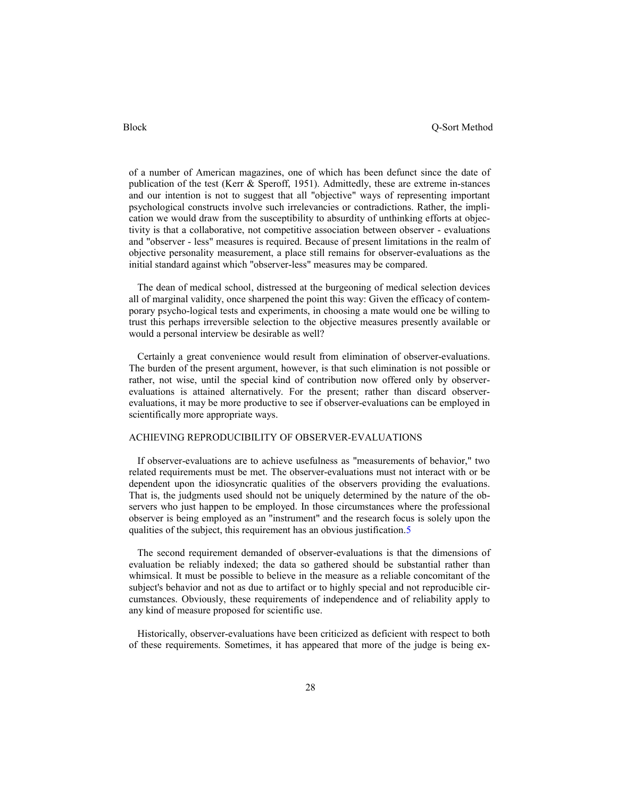of a number of American magazines, one of which has been defunct since the date of publication of the test (Kerr & Speroff, 1951). Admittedly, these are extreme in-stances and our intention is not to suggest that all "objective" ways of representing important psychological constructs involve such irrelevancies or contradictions. Rather, the implication we would draw from the susceptibility to absurdity of unthinking efforts at objectivity is that a collaborative, not competitive association between observer - evaluations and "observer - less" measures is required. Because of present limitations in the realm of objective personality measurement, a place still remains for observer-evaluations as the initial standard against which "observer-less" measures may be compared.

The dean of medical school, distressed at the burgeoning of medical selection devices all of marginal validity, once sharpened the point this way: Given the efficacy of contemporary psycho-logical tests and experiments, in choosing a mate would one be willing to trust this perhaps irreversible selection to the objective measures presently available or would a personal interview be desirable as well?

Certainly a great convenience would result from elimination of observer-evaluations. The burden of the present argument, however, is that such elimination is not possible or rather, not wise, until the special kind of contribution now offered only by observerevaluations is attained alternatively. For the present; rather than discard observerevaluations, it may be more productive to see if observer-evaluations can be employed in scientifically more appropriate ways.

### ACHIEVING REPRODUCIBILITY OF OBSERVER-EVALUATIONS

If observer-evaluations are to achieve usefulness as "measurements of behavior," two related requirements must be met. The observer-evaluations must not interact with or be dependent upon the idiosyncratic qualities of the observers providing the evaluations. That is, the judgments used should not be uniquely determined by the nature of the observers who just happen to be employed. In those circumstances where the professional observer is being employed as an "instrument" and the research focus is solely upon the qualities of the subject, this requirement has an obvious justification.5

The second requirement demanded of observer-evaluations is that the dimensions of evaluation be reliably indexed; the data so gathered should be substantial rather than whimsical. It must be possible to believe in the measure as a reliable concomitant of the subject's behavior and not as due to artifact or to highly special and not reproducible circumstances. Obviously, these requirements of independence and of reliability apply to any kind of measure proposed for scientific use.

Historically, observer-evaluations have been criticized as deficient with respect to both of these requirements. Sometimes, it has appeared that more of the judge is being ex-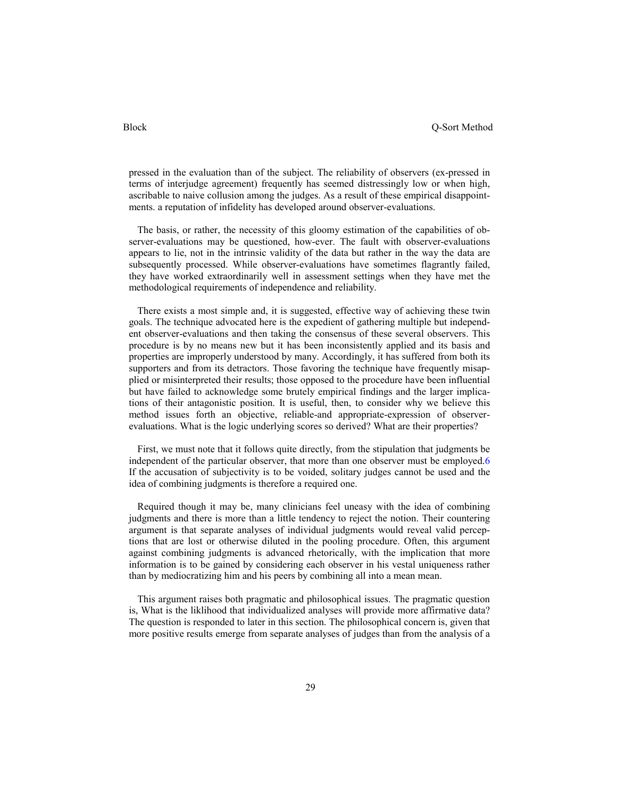pressed in the evaluation than of the subject. The reliability of observers (ex-pressed in terms of interjudge agreement) frequently has seemed distressingly low or when high, ascribable to naive collusion among the judges. As a result of these empirical disappointments. a reputation of infidelity has developed around observer-evaluations.

The basis, or rather, the necessity of this gloomy estimation of the capabilities of observer-evaluations may be questioned, how-ever. The fault with observer-evaluations appears to lie, not in the intrinsic validity of the data but rather in the way the data are subsequently processed. While observer-evaluations have sometimes flagrantly failed, they have worked extraordinarily well in assessment settings when they have met the methodological requirements of independence and reliability.

There exists a most simple and, it is suggested, effective way of achieving these twin goals. The technique advocated here is the expedient of gathering multiple but independent observer-evaluations and then taking the consensus of these several observers. This procedure is by no means new but it has been inconsistently applied and its basis and properties are improperly understood by many. Accordingly, it has suffered from both its supporters and from its detractors. Those favoring the technique have frequently misapplied or misinterpreted their results; those opposed to the procedure have been influential but have failed to acknowledge some brutely empirical findings and the larger implications of their antagonistic position. It is useful, then, to consider why we believe this method issues forth an objective, reliable-and appropriate-expression of observerevaluations. What is the logic underlying scores so derived? What are their properties?

First, we must note that it follows quite directly, from the stipulation that judgments be independent of the particular observer, that more than one observer must be employed.6 If the accusation of subjectivity is to be voided, solitary judges cannot be used and the idea of combining judgments is therefore a required one.

Required though it may be, many clinicians feel uneasy with the idea of combining judgments and there is more than a little tendency to reject the notion. Their countering argument is that separate analyses of individual judgments would reveal valid perceptions that are lost or otherwise diluted in the pooling procedure. Often, this argument against combining judgments is advanced rhetorically, with the implication that more information is to be gained by considering each observer in his vestal uniqueness rather than by mediocratizing him and his peers by combining all into a mean mean.

This argument raises both pragmatic and philosophical issues. The pragmatic question is, What is the liklihood that individualized analyses will provide more affirmative data? The question is responded to later in this section. The philosophical concern is, given that more positive results emerge from separate analyses of judges than from the analysis of a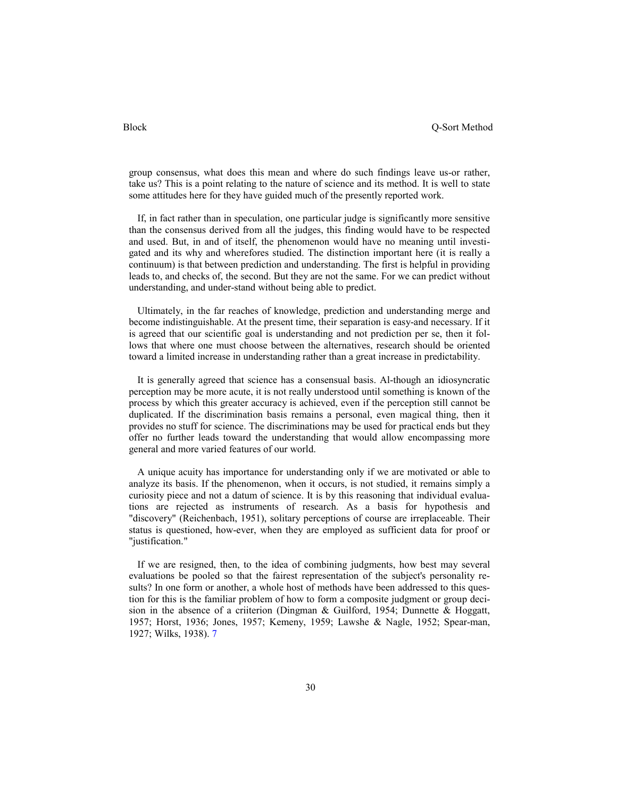group consensus, what does this mean and where do such findings leave us-or rather, take us? This is a point relating to the nature of science and its method. It is well to state some attitudes here for they have guided much of the presently reported work.

If, in fact rather than in speculation, one particular judge is significantly more sensitive than the consensus derived from all the judges, this finding would have to be respected and used. But, in and of itself, the phenomenon would have no meaning until investigated and its why and wherefores studied. The distinction important here (it is really a continuum) is that between prediction and understanding. The first is helpful in providing leads to, and checks of, the second. But they are not the same. For we can predict without understanding, and under-stand without being able to predict.

Ultimately, in the far reaches of knowledge, prediction and understanding merge and become indistinguishable. At the present time, their separation is easy-and necessary. If it is agreed that our scientific goal is understanding and not prediction per se, then it follows that where one must choose between the alternatives, research should be oriented toward a limited increase in understanding rather than a great increase in predictability.

It is generally agreed that science has a consensual basis. Al-though an idiosyncratic perception may be more acute, it is not really understood until something is known of the process by which this greater accuracy is achieved, even if the perception still cannot be duplicated. If the discrimination basis remains a personal, even magical thing, then it provides no stuff for science. The discriminations may be used for practical ends but they offer no further leads toward the understanding that would allow encompassing more general and more varied features of our world.

A unique acuity has importance for understanding only if we are motivated or able to analyze its basis. If the phenomenon, when it occurs, is not studied, it remains simply a curiosity piece and not a datum of science. It is by this reasoning that individual evaluations are rejected as instruments of research. As a basis for hypothesis and "discovery" (Reichenbach, 1951), solitary perceptions of course are irreplaceable. Their status is questioned, how-ever, when they are employed as sufficient data for proof or "justification."

If we are resigned, then, to the idea of combining judgments, how best may several evaluations be pooled so that the fairest representation of the subject's personality results? In one form or another, a whole host of methods have been addressed to this question for this is the familiar problem of how to form a composite judgment or group decision in the absence of a criterion (Dingman  $\&$  Guilford, 1954; Dunnette  $\&$  Hoggatt, 1957; Horst, 1936; Jones, 1957; Kemeny, 1959; Lawshe & Nagle, 1952; Spear-man, 1927; Wilks, 1938). 7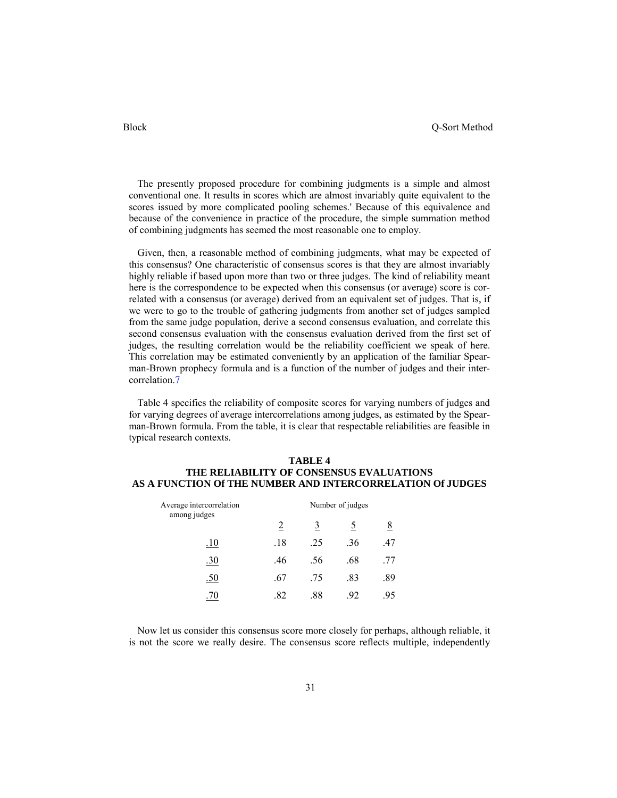The presently proposed procedure for combining judgments is a simple and almost conventional one. It results in scores which are almost invariably quite equivalent to the scores issued by more complicated pooling schemes.' Because of this equivalence and because of the convenience in practice of the procedure, the simple summation method of combining judgments has seemed the most reasonable one to employ.

Given, then, a reasonable method of combining judgments, what may be expected of this consensus? One characteristic of consensus scores is that they are almost invariably highly reliable if based upon more than two or three judges. The kind of reliability meant here is the correspondence to be expected when this consensus (or average) score is correlated with a consensus (or average) derived from an equivalent set of judges. That is, if we were to go to the trouble of gathering judgments from another set of judges sampled from the same judge population, derive a second consensus evaluation, and correlate this second consensus evaluation with the consensus evaluation derived from the first set of judges, the resulting correlation would be the reliability coefficient we speak of here. This correlation may be estimated conveniently by an application of the familiar Spearman-Brown prophecy formula and is a function of the number of judges and their intercorrelation.7

Table 4 specifies the reliability of composite scores for varying numbers of judges and for varying degrees of average intercorrelations among judges, as estimated by the Spearman-Brown formula. From the table, it is clear that respectable reliabilities are feasible in typical research contexts.

### **TABLE 4 THE RELIABILITY OF CONSENSUS EVALUATIONS AS A FUNCTION Of THE NUMBER AND INTERCORRELATION Of JUDGES**

| Average intercorrelation<br>among judges | Number of judges |     |                |          |  |
|------------------------------------------|------------------|-----|----------------|----------|--|
|                                          | $\overline{2}$   | 3   | $\mathfrak{c}$ | <u>8</u> |  |
| <u>.10</u>                               | .18              | .25 | .36            | .47      |  |
| <u>.30</u>                               | .46              | .56 | .68            | .77      |  |
| .50                                      | .67              | .75 | .83            | .89      |  |
|                                          | .82              | .88 | .92            | .95      |  |
|                                          |                  |     |                |          |  |

Now let us consider this consensus score more closely for perhaps, although reliable, it is not the score we really desire. The consensus score reflects multiple, independently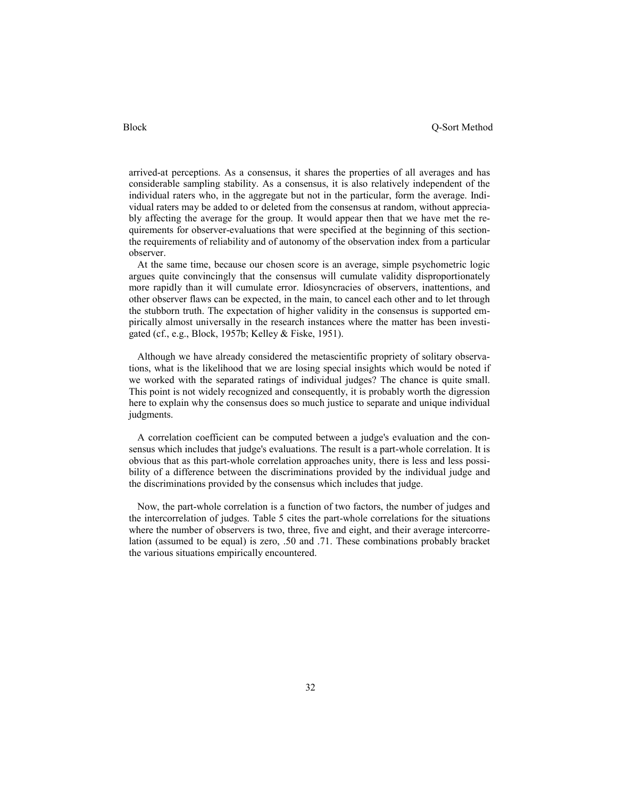arrived-at perceptions. As a consensus, it shares the properties of all averages and has considerable sampling stability. As a consensus, it is also relatively independent of the individual raters who, in the aggregate but not in the particular, form the average. Individual raters may be added to or deleted from the consensus at random, without appreciably affecting the average for the group. It would appear then that we have met the requirements for observer-evaluations that were specified at the beginning of this sectionthe requirements of reliability and of autonomy of the observation index from a particular observer.

At the same time, because our chosen score is an average, simple psychometric logic argues quite convincingly that the consensus will cumulate validity disproportionately more rapidly than it will cumulate error. Idiosyncracies of observers, inattentions, and other observer flaws can be expected, in the main, to cancel each other and to let through the stubborn truth. The expectation of higher validity in the consensus is supported empirically almost universally in the research instances where the matter has been investigated (cf., e.g., Block, 1957b; Kelley & Fiske, 1951).

Although we have already considered the metascientific propriety of solitary observations, what is the likelihood that we are losing special insights which would be noted if we worked with the separated ratings of individual judges? The chance is quite small. This point is not widely recognized and consequently, it is probably worth the digression here to explain why the consensus does so much justice to separate and unique individual judgments.

A correlation coefficient can be computed between a judge's evaluation and the consensus which includes that judge's evaluations. The result is a part-whole correlation. It is obvious that as this part-whole correlation approaches unity, there is less and less possibility of a difference between the discriminations provided by the individual judge and the discriminations provided by the consensus which includes that judge.

Now, the part-whole correlation is a function of two factors, the number of judges and the intercorrelation of judges. Table 5 cites the part-whole correlations for the situations where the number of observers is two, three, five and eight, and their average intercorrelation (assumed to be equal) is zero, .50 and .71. These combinations probably bracket the various situations empirically encountered.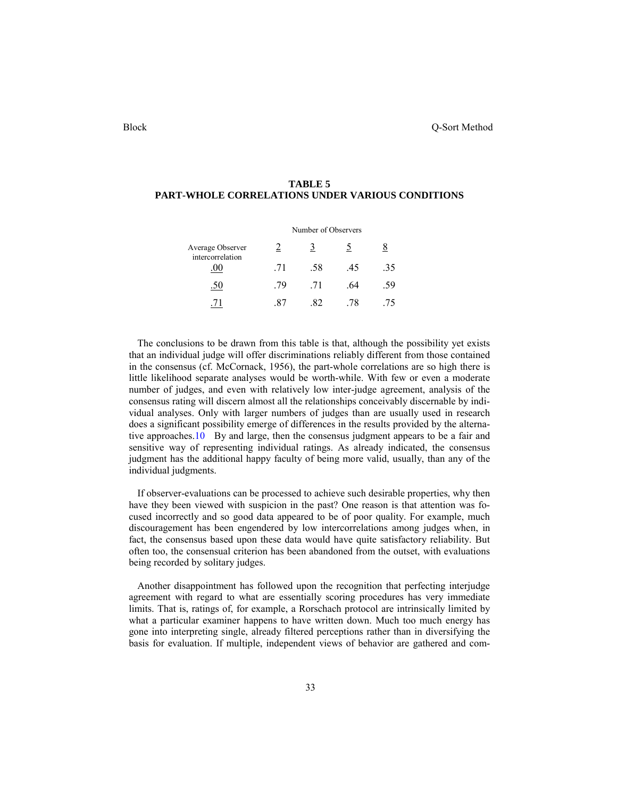|                                      | Number of Observers |     |               |     |
|--------------------------------------|---------------------|-----|---------------|-----|
| Average Observer<br>intercorrelation | 2                   | 3   | $\mathcal{L}$ | 8   |
|                                      | .71                 | .58 | .45           | .35 |
| .50                                  | .79                 | -71 | .64           | .59 |
|                                      |                     | 82  | 78            |     |

### **TABLE 5 PART-WHOLE CORRELATIONS UNDER VARIOUS CONDITIONS**

The conclusions to be drawn from this table is that, although the possibility yet exists that an individual judge will offer discriminations reliably different from those contained in the consensus (cf. McCornack, 1956), the part-whole correlations are so high there is little likelihood separate analyses would be worth-while. With few or even a moderate number of judges, and even with relatively low inter-judge agreement, analysis of the consensus rating will discern almost all the relationships conceivably discernable by individual analyses. Only with larger numbers of judges than are usually used in research does a significant possibility emerge of differences in the results provided by the alternative approaches.10 By and large, then the consensus judgment appears to be a fair and sensitive way of representing individual ratings. As already indicated, the consensus judgment has the additional happy faculty of being more valid, usually, than any of the individual judgments.

If observer-evaluations can be processed to achieve such desirable properties, why then have they been viewed with suspicion in the past? One reason is that attention was focused incorrectly and so good data appeared to be of poor quality. For example, much discouragement has been engendered by low intercorrelations among judges when, in fact, the consensus based upon these data would have quite satisfactory reliability. But often too, the consensual criterion has been abandoned from the outset, with evaluations being recorded by solitary judges.

Another disappointment has followed upon the recognition that perfecting interjudge agreement with regard to what are essentially scoring procedures has very immediate limits. That is, ratings of, for example, a Rorschach protocol are intrinsically limited by what a particular examiner happens to have written down. Much too much energy has gone into interpreting single, already filtered perceptions rather than in diversifying the basis for evaluation. If multiple, independent views of behavior are gathered and com-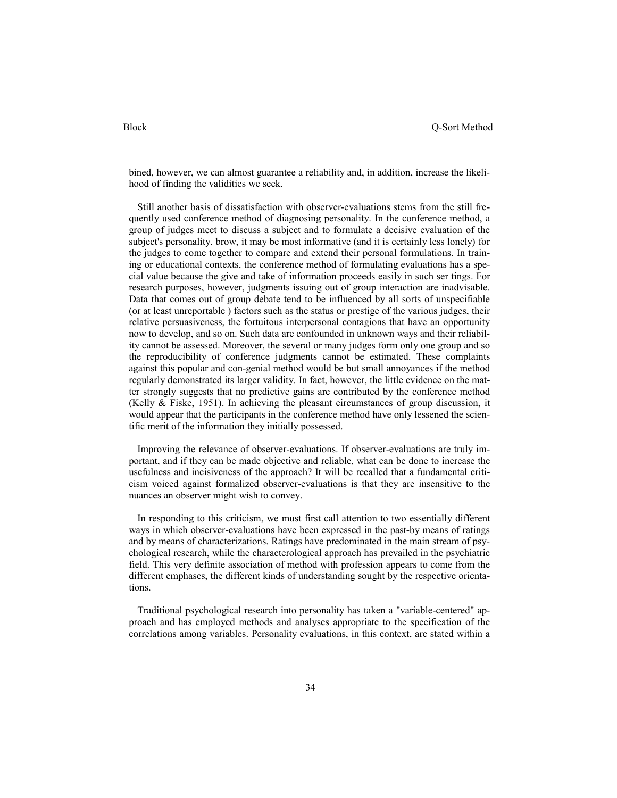bined, however, we can almost guarantee a reliability and, in addition, increase the likelihood of finding the validities we seek.

Still another basis of dissatisfaction with observer-evaluations stems from the still frequently used conference method of diagnosing personality. In the conference method, a group of judges meet to discuss a subject and to formulate a decisive evaluation of the subject's personality. brow, it may be most informative (and it is certainly less lonely) for the judges to come together to compare and extend their personal formulations. In training or educational contexts, the conference method of formulating evaluations has a special value because the give and take of information proceeds easily in such ser tings. For research purposes, however, judgments issuing out of group interaction are inadvisable. Data that comes out of group debate tend to be influenced by all sorts of unspecifiable (or at least unreportable ) factors such as the status or prestige of the various judges, their relative persuasiveness, the fortuitous interpersonal contagions that have an opportunity now to develop, and so on. Such data are confounded in unknown ways and their reliability cannot be assessed. Moreover, the several or many judges form only one group and so the reproducibility of conference judgments cannot be estimated. These complaints against this popular and con-genial method would be but small annoyances if the method regularly demonstrated its larger validity. In fact, however, the little evidence on the matter strongly suggests that no predictive gains are contributed by the conference method (Kelly & Fiske, 1951). In achieving the pleasant circumstances of group discussion, it would appear that the participants in the conference method have only lessened the scientific merit of the information they initially possessed.

Improving the relevance of observer-evaluations. If observer-evaluations are truly important, and if they can be made objective and reliable, what can be done to increase the usefulness and incisiveness of the approach? It will be recalled that a fundamental criticism voiced against formalized observer-evaluations is that they are insensitive to the nuances an observer might wish to convey.

In responding to this criticism, we must first call attention to two essentially different ways in which observer-evaluations have been expressed in the past-by means of ratings and by means of characterizations. Ratings have predominated in the main stream of psychological research, while the characterological approach has prevailed in the psychiatric field. This very definite association of method with profession appears to come from the different emphases, the different kinds of understanding sought by the respective orientations.

Traditional psychological research into personality has taken a "variable-centered" approach and has employed methods and analyses appropriate to the specification of the correlations among variables. Personality evaluations, in this context, are stated within a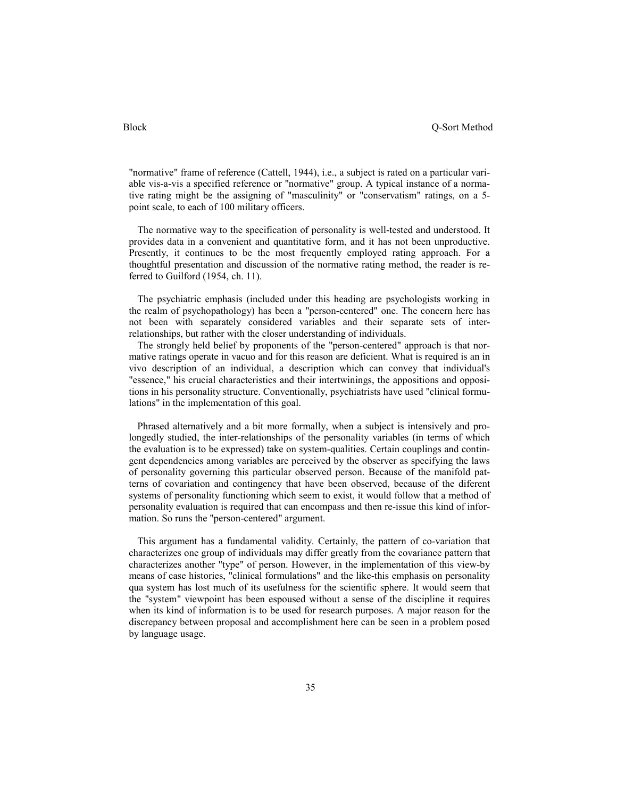"normative" frame of reference (Cattell, 1944), i.e., a subject is rated on a particular variable vis-a-vis a specified reference or "normative" group. A typical instance of a normative rating might be the assigning of "masculinity" or "conservatism" ratings, on a 5 point scale, to each of 100 military officers.

The normative way to the specification of personality is well-tested and understood. It provides data in a convenient and quantitative form, and it has not been unproductive. Presently, it continues to be the most frequently employed rating approach. For a thoughtful presentation and discussion of the normative rating method, the reader is referred to Guilford (1954, ch. 11).

The psychiatric emphasis (included under this heading are psychologists working in the realm of psychopathology) has been a "person-centered" one. The concern here has not been with separately considered variables and their separate sets of interrelationships, but rather with the closer understanding of individuals.

The strongly held belief by proponents of the "person-centered" approach is that normative ratings operate in vacuo and for this reason are deficient. What is required is an in vivo description of an individual, a description which can convey that individual's "essence," his crucial characteristics and their intertwinings, the appositions and oppositions in his personality structure. Conventionally, psychiatrists have used "clinical formulations" in the implementation of this goal.

Phrased alternatively and a bit more formally, when a subject is intensively and prolongedly studied, the inter-relationships of the personality variables (in terms of which the evaluation is to be expressed) take on system-qualities. Certain couplings and contingent dependencies among variables are perceived by the observer as specifying the laws of personality governing this particular observed person. Because of the manifold patterns of covariation and contingency that have been observed, because of the diferent systems of personality functioning which seem to exist, it would follow that a method of personality evaluation is required that can encompass and then re-issue this kind of information. So runs the "person-centered" argument.

This argument has a fundamental validity. Certainly, the pattern of co-variation that characterizes one group of individuals may differ greatly from the covariance pattern that characterizes another "type" of person. However, in the implementation of this view-by means of case histories, "clinical formulations" and the like-this emphasis on personality qua system has lost much of its usefulness for the scientific sphere. It would seem that the "system" viewpoint has been espoused without a sense of the discipline it requires when its kind of information is to be used for research purposes. A major reason for the discrepancy between proposal and accomplishment here can be seen in a problem posed by language usage.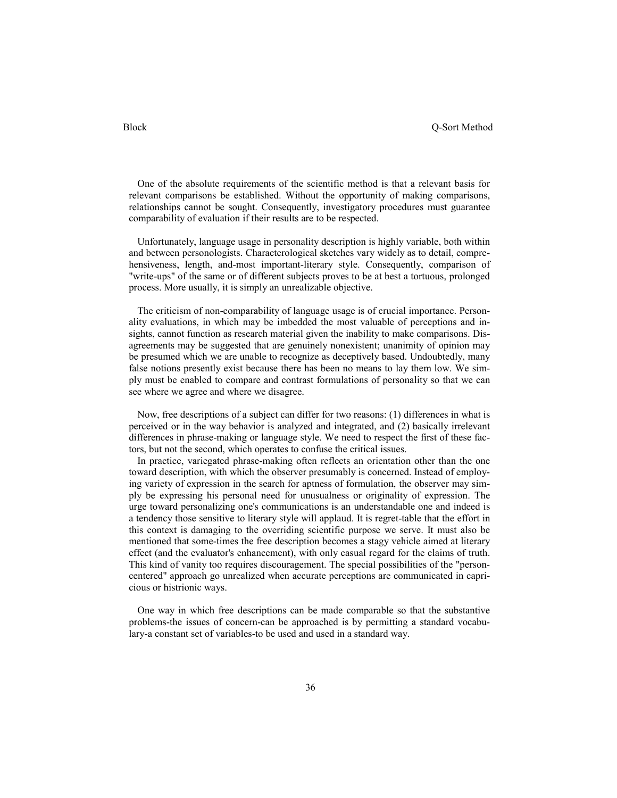One of the absolute requirements of the scientific method is that a relevant basis for relevant comparisons be established. Without the opportunity of making comparisons, relationships cannot be sought. Consequently, investigatory procedures must guarantee comparability of evaluation if their results are to be respected.

Unfortunately, language usage in personality description is highly variable, both within and between personologists. Characterological sketches vary widely as to detail, comprehensiveness, length, and-most important-literary style. Consequently, comparison of "write-ups" of the same or of different subjects proves to be at best a tortuous, prolonged process. More usually, it is simply an unrealizable objective.

The criticism of non-comparability of language usage is of crucial importance. Personality evaluations, in which may be imbedded the most valuable of perceptions and insights, cannot function as research material given the inability to make comparisons. Disagreements may be suggested that are genuinely nonexistent; unanimity of opinion may be presumed which we are unable to recognize as deceptively based. Undoubtedly, many false notions presently exist because there has been no means to lay them low. We simply must be enabled to compare and contrast formulations of personality so that we can see where we agree and where we disagree.

Now, free descriptions of a subject can differ for two reasons: (1) differences in what is perceived or in the way behavior is analyzed and integrated, and (2) basically irrelevant differences in phrase-making or language style. We need to respect the first of these factors, but not the second, which operates to confuse the critical issues.

In practice, variegated phrase-making often reflects an orientation other than the one toward description, with which the observer presumably is concerned. Instead of employing variety of expression in the search for aptness of formulation, the observer may simply be expressing his personal need for unusualness or originality of expression. The urge toward personalizing one's communications is an understandable one and indeed is a tendency those sensitive to literary style will applaud. It is regret-table that the effort in this context is damaging to the overriding scientific purpose we serve. It must also be mentioned that some-times the free description becomes a stagy vehicle aimed at literary effect (and the evaluator's enhancement), with only casual regard for the claims of truth. This kind of vanity too requires discouragement. The special possibilities of the "personcentered" approach go unrealized when accurate perceptions are communicated in capricious or histrionic ways.

One way in which free descriptions can be made comparable so that the substantive problems-the issues of concern-can be approached is by permitting a standard vocabulary-a constant set of variables-to be used and used in a standard way.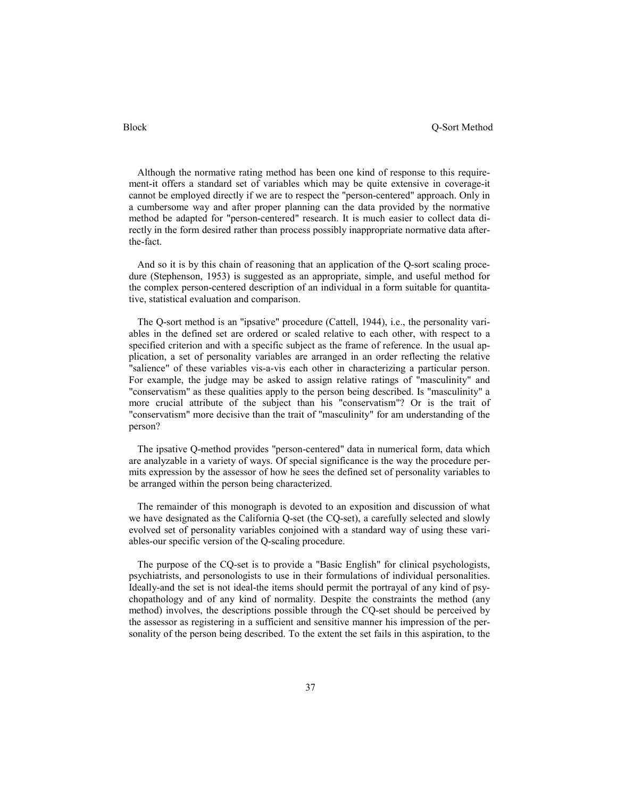Although the normative rating method has been one kind of response to this requirement-it offers a standard set of variables which may be quite extensive in coverage-it cannot be employed directly if we are to respect the "person-centered" approach. Only in a cumbersome way and after proper planning can the data provided by the normative method be adapted for "person-centered" research. It is much easier to collect data directly in the form desired rather than process possibly inappropriate normative data afterthe-fact.

And so it is by this chain of reasoning that an application of the Q-sort scaling procedure (Stephenson, 1953) is suggested as an appropriate, simple, and useful method for the complex person-centered description of an individual in a form suitable for quantitative, statistical evaluation and comparison.

The Q-sort method is an "ipsative" procedure (Cattell, 1944), i.e., the personality variables in the defined set are ordered or scaled relative to each other, with respect to a specified criterion and with a specific subject as the frame of reference. In the usual application, a set of personality variables are arranged in an order reflecting the relative "salience" of these variables vis-a-vis each other in characterizing a particular person. For example, the judge may be asked to assign relative ratings of "masculinity" and "conservatism" as these qualities apply to the person being described. Is "masculinity" a more crucial attribute of the subject than his "conservatism"? Or is the trait of "conservatism" more decisive than the trait of "masculinity" for am understanding of the person?

The ipsative Q-method provides "person-centered" data in numerical form, data which are analyzable in a variety of ways. Of special significance is the way the procedure permits expression by the assessor of how he sees the defined set of personality variables to be arranged within the person being characterized.

The remainder of this monograph is devoted to an exposition and discussion of what we have designated as the California Q-set (the CQ-set), a carefully selected and slowly evolved set of personality variables conjoined with a standard way of using these variables-our specific version of the Q-scaling procedure.

The purpose of the CQ-set is to provide a "Basic English" for clinical psychologists, psychiatrists, and personologists to use in their formulations of individual personalities. Ideally-and the set is not ideal-the items should permit the portrayal of any kind of psychopathology and of any kind of normality. Despite the constraints the method (any method) involves, the descriptions possible through the CQ-set should be perceived by the assessor as registering in a sufficient and sensitive manner his impression of the personality of the person being described. To the extent the set fails in this aspiration, to the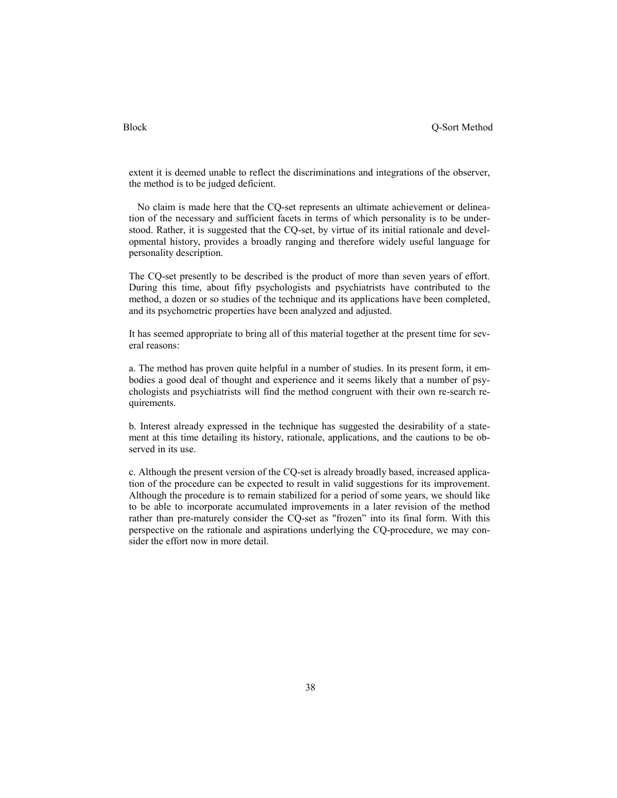extent it is deemed unable to reflect the discriminations and integrations of the observer, the method is to be judged deficient.

No claim is made here that the CQ-set represents an ultimate achievement or delineation of the necessary and sufficient facets in terms of which personality is to be understood. Rather, it is suggested that the CQ-set, by virtue of its initial rationale and developmental history, provides a broadly ranging and therefore widely useful language for personality description.

The CQ-set presently to be described is the product of more than seven years of effort. During this time, about fifty psychologists and psychiatrists have contributed to the method, a dozen or so studies of the technique and its applications have been completed, and its psychometric properties have been analyzed and adjusted.

It has seemed appropriate to bring all of this material together at the present time for several reasons:

a. The method has proven quite helpful in a number of studies. In its present form, it embodies a good deal of thought and experience and it seems likely that a number of psychologists and psychiatrists will find the method congruent with their own re-search requirements.

b. Interest already expressed in the technique has suggested the desirability of a statement at this time detailing its history, rationale, applications, and the cautions to be observed in its use.

c. Although the present version of the CQ-set is already broadly based, increased application of the procedure can be expected to result in valid suggestions for its improvement. Although the procedure is to remain stabilized for a period of some years, we should like to be able to incorporate accumulated improvements in a later revision of the method rather than pre-maturely consider the CQ-set as "frozen" into its final form. With this perspective on the rationale and aspirations underlying the CQ-procedure, we may consider the effort now in more detail.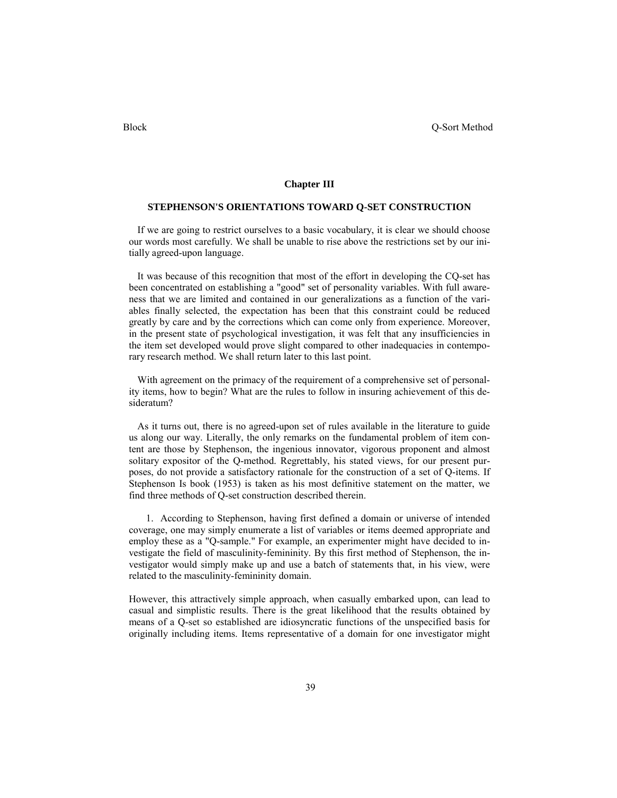## **Chapter III**

## **STEPHENSON'S ORIENTATIONS TOWARD Q-SET CONSTRUCTION**

If we are going to restrict ourselves to a basic vocabulary, it is clear we should choose our words most carefully. We shall be unable to rise above the restrictions set by our initially agreed-upon language.

It was because of this recognition that most of the effort in developing the CQ-set has been concentrated on establishing a "good" set of personality variables. With full awareness that we are limited and contained in our generalizations as a function of the variables finally selected, the expectation has been that this constraint could be reduced greatly by care and by the corrections which can come only from experience. Moreover, in the present state of psychological investigation, it was felt that any insufficiencies in the item set developed would prove slight compared to other inadequacies in contemporary research method. We shall return later to this last point.

With agreement on the primacy of the requirement of a comprehensive set of personality items, how to begin? What are the rules to follow in insuring achievement of this desideratum?

As it turns out, there is no agreed-upon set of rules available in the literature to guide us along our way. Literally, the only remarks on the fundamental problem of item content are those by Stephenson, the ingenious innovator, vigorous proponent and almost solitary expositor of the Q-method. Regrettably, his stated views, for our present purposes, do not provide a satisfactory rationale for the construction of a set of Q-items. If Stephenson Is book (1953) is taken as his most definitive statement on the matter, we find three methods of Q-set construction described therein.

1. According to Stephenson, having first defined a domain or universe of intended coverage, one may simply enumerate a list of variables or items deemed appropriate and employ these as a "Q-sample." For example, an experimenter might have decided to investigate the field of masculinity-femininity. By this first method of Stephenson, the investigator would simply make up and use a batch of statements that, in his view, were related to the masculinity-femininity domain.

However, this attractively simple approach, when casually embarked upon, can lead to casual and simplistic results. There is the great likelihood that the results obtained by means of a Q-set so established are idiosyncratic functions of the unspecified basis for originally including items. Items representative of a domain for one investigator might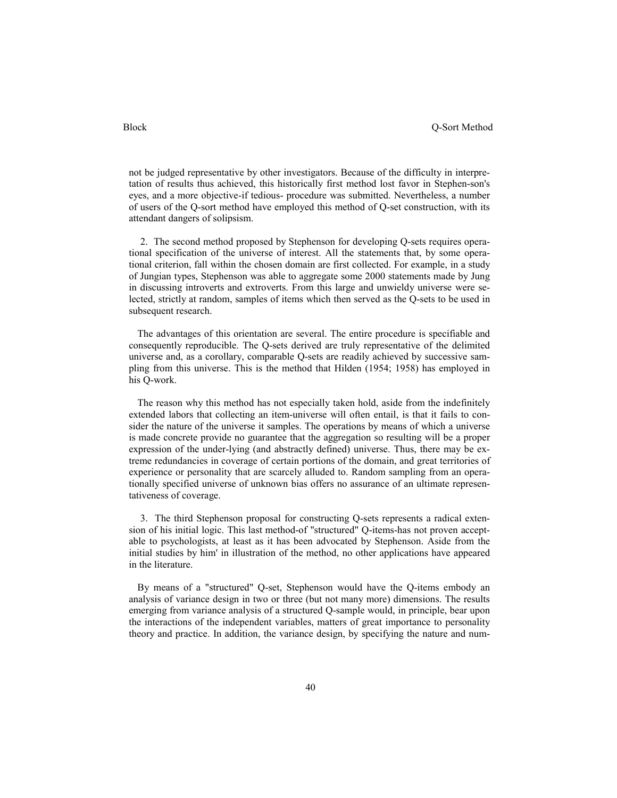not be judged representative by other investigators. Because of the difficulty in interpretation of results thus achieved, this historically first method lost favor in Stephen-son's eyes, and a more objective-if tedious- procedure was submitted. Nevertheless, a number of users of the Q-sort method have employed this method of Q-set construction, with its attendant dangers of solipsism.

2. The second method proposed by Stephenson for developing Q-sets requires operational specification of the universe of interest. All the statements that, by some operational criterion, fall within the chosen domain are first collected. For example, in a study of Jungian types, Stephenson was able to aggregate some 2000 statements made by Jung in discussing introverts and extroverts. From this large and unwieldy universe were selected, strictly at random, samples of items which then served as the Q-sets to be used in subsequent research.

The advantages of this orientation are several. The entire procedure is specifiable and consequently reproducible. The Q-sets derived are truly representative of the delimited universe and, as a corollary, comparable Q-sets are readily achieved by successive sampling from this universe. This is the method that Hilden (1954; 1958) has employed in his Q-work.

The reason why this method has not especially taken hold, aside from the indefinitely extended labors that collecting an item-universe will often entail, is that it fails to consider the nature of the universe it samples. The operations by means of which a universe is made concrete provide no guarantee that the aggregation so resulting will be a proper expression of the under-lying (and abstractly defined) universe. Thus, there may be extreme redundancies in coverage of certain portions of the domain, and great territories of experience or personality that are scarcely alluded to. Random sampling from an operationally specified universe of unknown bias offers no assurance of an ultimate representativeness of coverage.

3. The third Stephenson proposal for constructing Q-sets represents a radical extension of his initial logic. This last method-of "structured" Q-items-has not proven acceptable to psychologists, at least as it has been advocated by Stephenson. Aside from the initial studies by him' in illustration of the method, no other applications have appeared in the literature.

By means of a "structured" Q-set, Stephenson would have the Q-items embody an analysis of variance design in two or three (but not many more) dimensions. The results emerging from variance analysis of a structured Q-sample would, in principle, bear upon the interactions of the independent variables, matters of great importance to personality theory and practice. In addition, the variance design, by specifying the nature and num-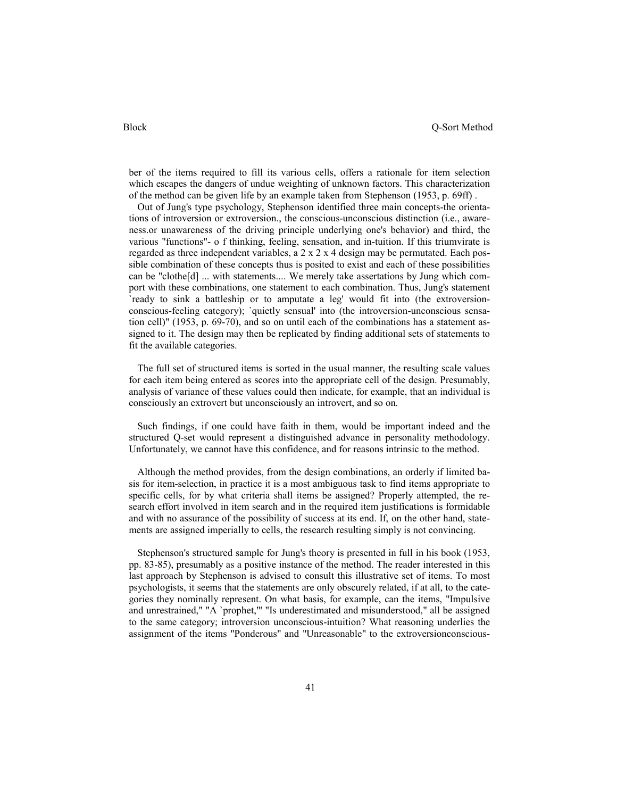ber of the items required to fill its various cells, offers a rationale for item selection which escapes the dangers of undue weighting of unknown factors. This characterization of the method can be given life by an example taken from Stephenson (1953, p. 69ff) .

Out of Jung's type psychology, Stephenson identified three main concepts-the orientations of introversion or extroversion., the conscious-unconscious distinction (i.e., awareness.or unawareness of the driving principle underlying one's behavior) and third, the various "functions"- o f thinking, feeling, sensation, and in-tuition. If this triumvirate is regarded as three independent variables, a 2 x 2 x 4 design may be permutated. Each possible combination of these concepts thus is posited to exist and each of these possibilities can be "clothe[d]  $\ldots$  with statements.... We merely take assertations by Jung which comport with these combinations, one statement to each combination. Thus, Jung's statement `ready to sink a battleship or to amputate a leg' would fit into (the extroversionconscious-feeling category); `quietly sensual' into (the introversion-unconscious sensation cell)" (1953, p. 69-70), and so on until each of the combinations has a statement assigned to it. The design may then be replicated by finding additional sets of statements to fit the available categories.

The full set of structured items is sorted in the usual manner, the resulting scale values for each item being entered as scores into the appropriate cell of the design. Presumably, analysis of variance of these values could then indicate, for example, that an individual is consciously an extrovert but unconsciously an introvert, and so on.

Such findings, if one could have faith in them, would be important indeed and the structured Q-set would represent a distinguished advance in personality methodology. Unfortunately, we cannot have this confidence, and for reasons intrinsic to the method.

Although the method provides, from the design combinations, an orderly if limited basis for item-selection, in practice it is a most ambiguous task to find items appropriate to specific cells, for by what criteria shall items be assigned? Properly attempted, the research effort involved in item search and in the required item justifications is formidable and with no assurance of the possibility of success at its end. If, on the other hand, statements are assigned imperially to cells, the research resulting simply is not convincing.

Stephenson's structured sample for Jung's theory is presented in full in his book (1953, pp. 83-85), presumably as a positive instance of the method. The reader interested in this last approach by Stephenson is advised to consult this illustrative set of items. To most psychologists, it seems that the statements are only obscurely related, if at all, to the categories they nominally represent. On what basis, for example, can the items, "Impulsive and unrestrained," "A `prophet,"' "Is underestimated and misunderstood," all be assigned to the same category; introversion unconscious-intuition? What reasoning underlies the assignment of the items "Ponderous" and "Unreasonable" to the extroversionconscious-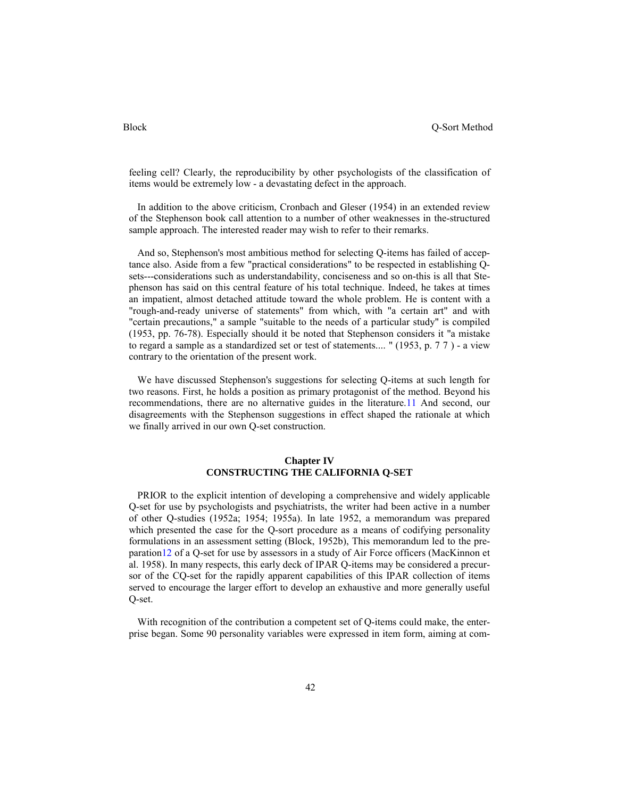feeling cell? Clearly, the reproducibility by other psychologists of the classification of items would be extremely low - a devastating defect in the approach.

In addition to the above criticism, Cronbach and Gleser (1954) in an extended review of the Stephenson book call attention to a number of other weaknesses in the-structured sample approach. The interested reader may wish to refer to their remarks.

And so, Stephenson's most ambitious method for selecting Q-items has failed of acceptance also. Aside from a few "practical considerations" to be respected in establishing Qsets---considerations such as understandability, conciseness and so on-this is all that Stephenson has said on this central feature of his total technique. Indeed, he takes at times an impatient, almost detached attitude toward the whole problem. He is content with a "rough-and-ready universe of statements" from which, with "a certain art" and with "certain precautions," a sample "suitable to the needs of a particular study" is compiled (1953, pp. 76-78). Especially should it be noted that Stephenson considers it "a mistake to regard a sample as a standardized set or test of statements.... " (1953, p. 7 7 ) - a view contrary to the orientation of the present work.

We have discussed Stephenson's suggestions for selecting Q-items at such length for two reasons. First, he holds a position as primary protagonist of the method. Beyond his recommendations, there are no alternative guides in the literature.11 And second, our disagreements with the Stephenson suggestions in effect shaped the rationale at which we finally arrived in our own Q-set construction.

# **Chapter IV CONSTRUCTING THE CALIFORNIA Q-SET**

PRIOR to the explicit intention of developing a comprehensive and widely applicable Q-set for use by psychologists and psychiatrists, the writer had been active in a number of other Q-studies (1952a; 1954; 1955a). In late 1952, a memorandum was prepared which presented the case for the Q-sort procedure as a means of codifying personality formulations in an assessment setting (Block, 1952b), This memorandum led to the preparation12 of a Q-set for use by assessors in a study of Air Force officers (MacKinnon et al. 1958). In many respects, this early deck of IPAR Q-items may be considered a precursor of the CQ-set for the rapidly apparent capabilities of this IPAR collection of items served to encourage the larger effort to develop an exhaustive and more generally useful Q-set.

With recognition of the contribution a competent set of Q-items could make, the enterprise began. Some 90 personality variables were expressed in item form, aiming at com-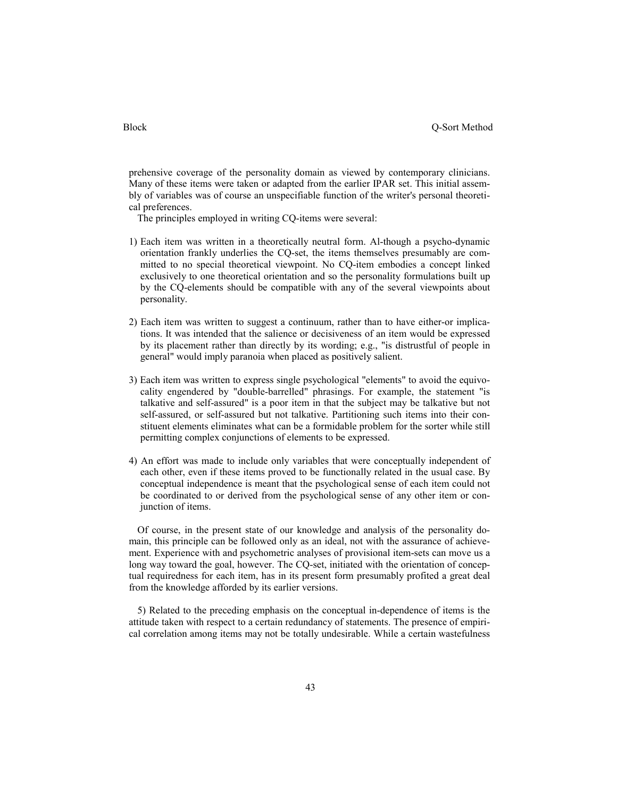prehensive coverage of the personality domain as viewed by contemporary clinicians. Many of these items were taken or adapted from the earlier IPAR set. This initial assembly of variables was of course an unspecifiable function of the writer's personal theoretical preferences.

The principles employed in writing CQ-items were several:

- 1) Each item was written in a theoretically neutral form. Al-though a psycho-dynamic orientation frankly underlies the CQ-set, the items themselves presumably are committed to no special theoretical viewpoint. No CQ-item embodies a concept linked exclusively to one theoretical orientation and so the personality formulations built up by the CQ-elements should be compatible with any of the several viewpoints about personality.
- 2) Each item was written to suggest a continuum, rather than to have either-or implications. It was intended that the salience or decisiveness of an item would be expressed by its placement rather than directly by its wording; e.g., "is distrustful of people in general" would imply paranoia when placed as positively salient.
- 3) Each item was written to express single psychological "elements" to avoid the equivocality engendered by "double-barrelled" phrasings. For example, the statement "is talkative and self-assured" is a poor item in that the subject may be talkative but not self-assured, or self-assured but not talkative. Partitioning such items into their constituent elements eliminates what can be a formidable problem for the sorter while still permitting complex conjunctions of elements to be expressed.
- 4) An effort was made to include only variables that were conceptually independent of each other, even if these items proved to be functionally related in the usual case. By conceptual independence is meant that the psychological sense of each item could not be coordinated to or derived from the psychological sense of any other item or conjunction of items.

Of course, in the present state of our knowledge and analysis of the personality domain, this principle can be followed only as an ideal, not with the assurance of achievement. Experience with and psychometric analyses of provisional item-sets can move us a long way toward the goal, however. The CQ-set, initiated with the orientation of conceptual requiredness for each item, has in its present form presumably profited a great deal from the knowledge afforded by its earlier versions.

5) Related to the preceding emphasis on the conceptual in-dependence of items is the attitude taken with respect to a certain redundancy of statements. The presence of empirical correlation among items may not be totally undesirable. While a certain wastefulness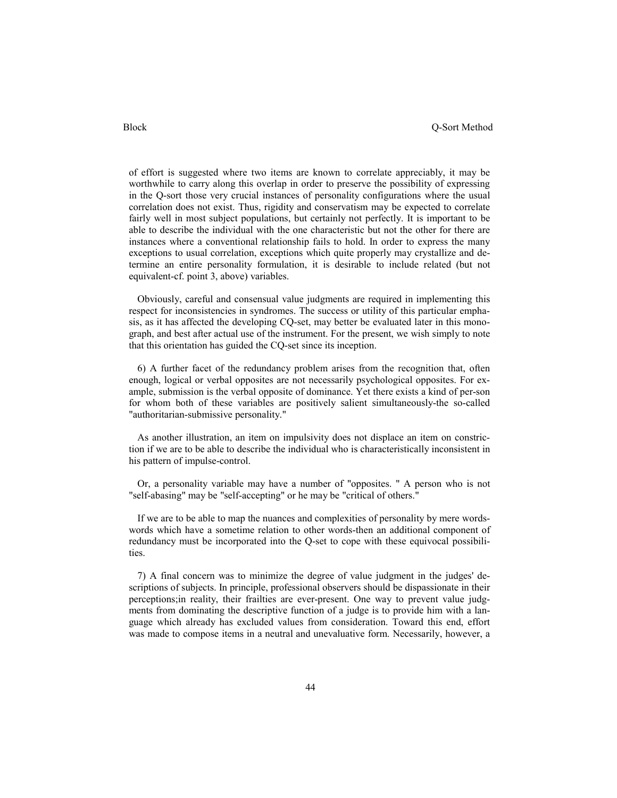of effort is suggested where two items are known to correlate appreciably, it may be worthwhile to carry along this overlap in order to preserve the possibility of expressing in the Q-sort those very crucial instances of personality configurations where the usual correlation does not exist. Thus, rigidity and conservatism may be expected to correlate fairly well in most subject populations, but certainly not perfectly. It is important to be able to describe the individual with the one characteristic but not the other for there are instances where a conventional relationship fails to hold. In order to express the many exceptions to usual correlation, exceptions which quite properly may crystallize and determine an entire personality formulation, it is desirable to include related (but not equivalent-cf. point 3, above) variables.

Obviously, careful and consensual value judgments are required in implementing this respect for inconsistencies in syndromes. The success or utility of this particular emphasis, as it has affected the developing CQ-set, may better be evaluated later in this monograph, and best after actual use of the instrument. For the present, we wish simply to note that this orientation has guided the CQ-set since its inception.

6) A further facet of the redundancy problem arises from the recognition that, often enough, logical or verbal opposites are not necessarily psychological opposites. For example, submission is the verbal opposite of dominance. Yet there exists a kind of per-son for whom both of these variables are positively salient simultaneously-the so-called "authoritarian-submissive personality."

As another illustration, an item on impulsivity does not displace an item on constriction if we are to be able to describe the individual who is characteristically inconsistent in his pattern of impulse-control.

Or, a personality variable may have a number of "opposites. " A person who is not "self-abasing" may be "self-accepting" or he may be "critical of others."

If we are to be able to map the nuances and complexities of personality by mere wordswords which have a sometime relation to other words-then an additional component of redundancy must be incorporated into the Q-set to cope with these equivocal possibilities.

7) A final concern was to minimize the degree of value judgment in the judges' descriptions of subjects. In principle, professional observers should be dispassionate in their perceptions;in reality, their frailties are ever-present. One way to prevent value judgments from dominating the descriptive function of a judge is to provide him with a language which already has excluded values from consideration. Toward this end, effort was made to compose items in a neutral and unevaluative form. Necessarily, however, a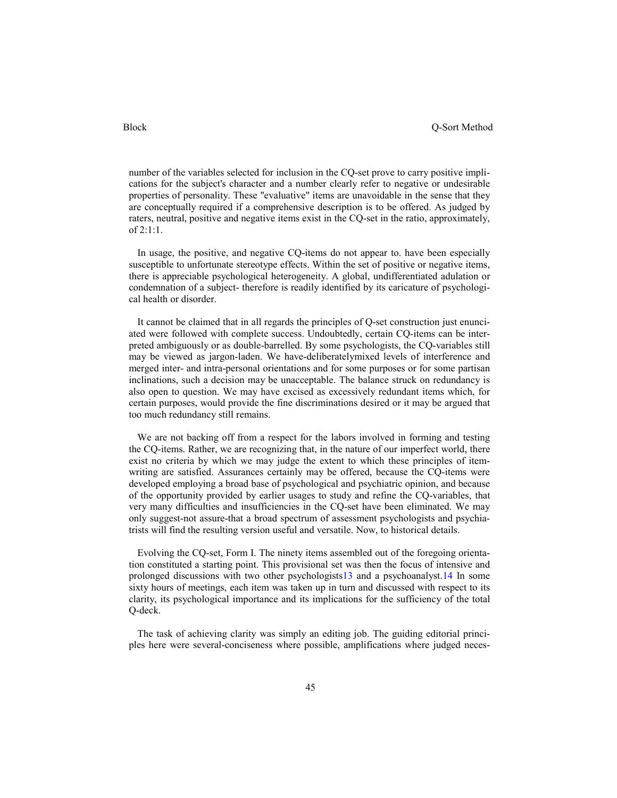number of the variables selected for inclusion in the CQ-set prove to carry positive implications for the subject's character and a number clearly refer to negative or undesirable properties of personality. These "evaluative" items are unavoidable in the sense that they are conceptually required if a comprehensive description is to be offered. As judged by raters, neutral, positive and negative items exist in the CQ-set in the ratio, approximately, of 2:1:1.

In usage, the positive, and negative CQ-items do not appear to. have been especially susceptible to unfortunate stereotype effects. Within the set of positive or negative items, there is appreciable psychological heterogeneity. A global, undifferentiated adulation or condemnation of a subject- therefore is readily identified by its caricature of psychological health or disorder.

It cannot be claimed that in all regards the principles of Q-set construction just enunciated were followed with complete success. Undoubtedly, certain CQ-items can be interpreted ambiguously or as double-barrelled. By some psychologists, the CQ-variables still may be viewed as jargon-laden. We have-deliberatelymixed levels of interference and merged inter- and intra-personal orientations and for some purposes or for some partisan inclinations, such a decision may be unacceptable. The balance struck on redundancy is also open to question. We may have excised as excessively redundant items which, for certain purposes, would provide the fine discriminations desired or it may be argued that too much redundancy still remains.

We are not backing off from a respect for the labors involved in forming and testing the CQ-items. Rather, we are recognizing that, in the nature of our imperfect world, there exist no criteria by which we may judge the extent to which these principles of itemwriting are satisfied. Assurances certainly may be offered, because the CQ-items were developed employing a broad base of psychological and psychiatric opinion, and because of the opportunity provided by earlier usages to study and refine the CQ-variables, that very many difficulties and insufficiencies in the CQ-set have been eliminated. We may only suggest-not assure-that a broad spectrum of assessment psychologists and psychiatrists will find the resulting version useful and versatile. Now, to historical details.

Evolving the CQ-set, Form I. The ninety items assembled out of the foregoing orientation constituted a starting point. This provisional set was then the focus of intensive and prolonged discussions with two other psychologists13 and a psychoanalyst.14 In some sixty hours of meetings, each item was taken up in turn and discussed with respect to its clarity, its psychological importance and its implications for the sufficiency of the total Q-deck.

The task of achieving clarity was simply an editing job. The guiding editorial principles here were several-conciseness where possible, amplifications where judged neces-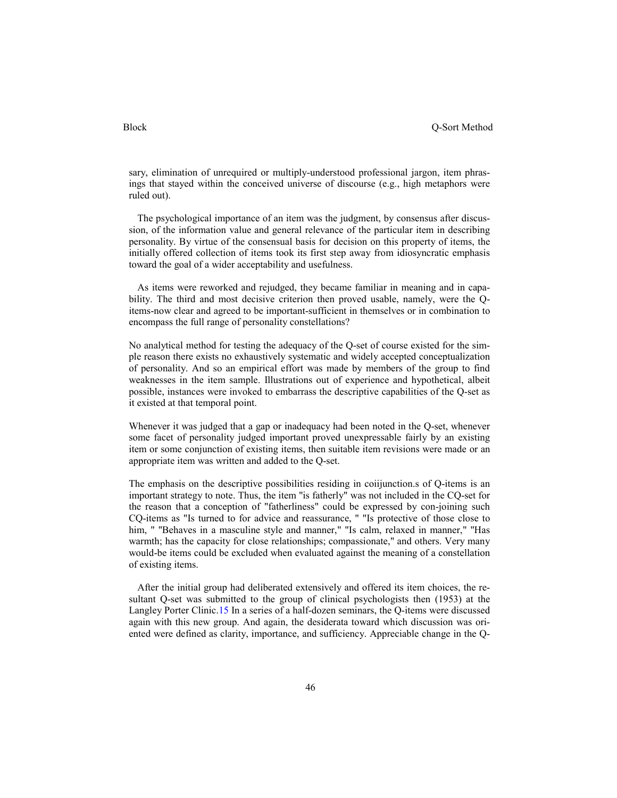sary, elimination of unrequired or multiply-understood professional jargon, item phrasings that stayed within the conceived universe of discourse (e.g., high metaphors were ruled out).

The psychological importance of an item was the judgment, by consensus after discussion, of the information value and general relevance of the particular item in describing personality. By virtue of the consensual basis for decision on this property of items, the initially offered collection of items took its first step away from idiosyncratic emphasis toward the goal of a wider acceptability and usefulness.

As items were reworked and rejudged, they became familiar in meaning and in capability. The third and most decisive criterion then proved usable, namely, were the Qitems-now clear and agreed to be important-sufficient in themselves or in combination to encompass the full range of personality constellations?

No analytical method for testing the adequacy of the Q-set of course existed for the simple reason there exists no exhaustively systematic and widely accepted conceptualization of personality. And so an empirical effort was made by members of the group to find weaknesses in the item sample. Illustrations out of experience and hypothetical, albeit possible, instances were invoked to embarrass the descriptive capabilities of the Q-set as it existed at that temporal point.

Whenever it was judged that a gap or inadequacy had been noted in the Q-set, whenever some facet of personality judged important proved unexpressable fairly by an existing item or some conjunction of existing items, then suitable item revisions were made or an appropriate item was written and added to the Q-set.

The emphasis on the descriptive possibilities residing in coiijunction.s of Q-items is an important strategy to note. Thus, the item "is fatherly" was not included in the CQ-set for the reason that a conception of "fatherliness" could be expressed by con-joining such CQ-items as "Is turned to for advice and reassurance, " "Is protective of those close to him, " "Behaves in a masculine style and manner," "Is calm, relaxed in manner," "Has warmth; has the capacity for close relationships; compassionate," and others. Very many would-be items could be excluded when evaluated against the meaning of a constellation of existing items.

After the initial group had deliberated extensively and offered its item choices, the resultant Q-set was submitted to the group of clinical psychologists then (1953) at the Langley Porter Clinic.15 In a series of a half-dozen seminars, the Q-items were discussed again with this new group. And again, the desiderata toward which discussion was oriented were defined as clarity, importance, and sufficiency. Appreciable change in the Q-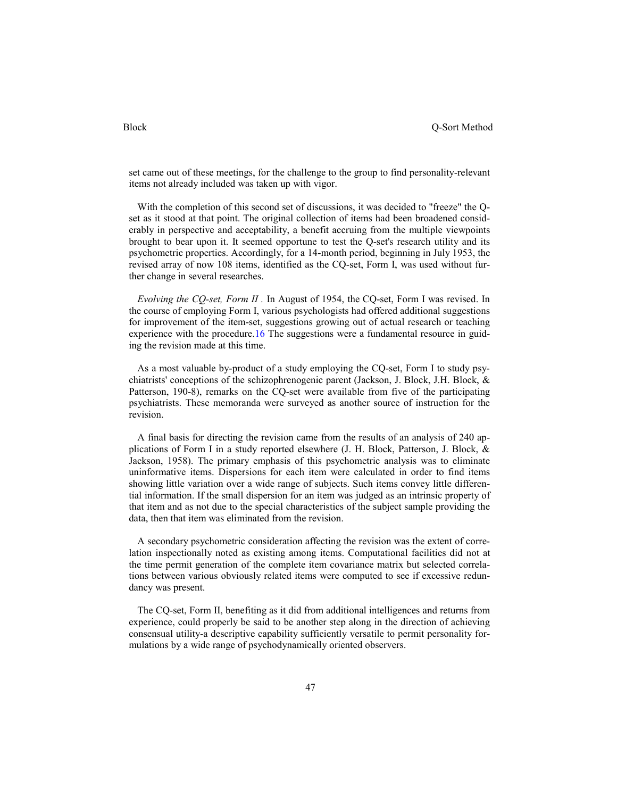set came out of these meetings, for the challenge to the group to find personality-relevant items not already included was taken up with vigor.

With the completion of this second set of discussions, it was decided to "freeze" the Qset as it stood at that point. The original collection of items had been broadened considerably in perspective and acceptability, a benefit accruing from the multiple viewpoints brought to bear upon it. It seemed opportune to test the Q-set's research utility and its psychometric properties. Accordingly, for a 14-month period, beginning in July 1953, the revised array of now 108 items, identified as the CQ-set, Form I, was used without further change in several researches.

*Evolving the CQ-set, Form II .* In August of 1954, the CQ-set, Form I was revised. In the course of employing Form I, various psychologists had offered additional suggestions for improvement of the item-set, suggestions growing out of actual research or teaching experience with the procedure.16 The suggestions were a fundamental resource in guiding the revision made at this time.

As a most valuable by-product of a study employing the CQ-set, Form I to study psychiatrists' conceptions of the schizophrenogenic parent (Jackson, J. Block, J.H. Block, & Patterson, 190-8), remarks on the CQ-set were available from five of the participating psychiatrists. These memoranda were surveyed as another source of instruction for the revision.

A final basis for directing the revision came from the results of an analysis of 240 applications of Form I in a study reported elsewhere (J. H. Block, Patterson, J. Block, & Jackson, 1958). The primary emphasis of this psychometric analysis was to eliminate uninformative items. Dispersions for each item were calculated in order to find items showing little variation over a wide range of subjects. Such items convey little differential information. If the small dispersion for an item was judged as an intrinsic property of that item and as not due to the special characteristics of the subject sample providing the data, then that item was eliminated from the revision.

A secondary psychometric consideration affecting the revision was the extent of correlation inspectionally noted as existing among items. Computational facilities did not at the time permit generation of the complete item covariance matrix but selected correlations between various obviously related items were computed to see if excessive redundancy was present.

The CQ-set, Form II, benefiting as it did from additional intelligences and returns from experience, could properly be said to be another step along in the direction of achieving consensual utility-a descriptive capability sufficiently versatile to permit personality formulations by a wide range of psychodynamically oriented observers.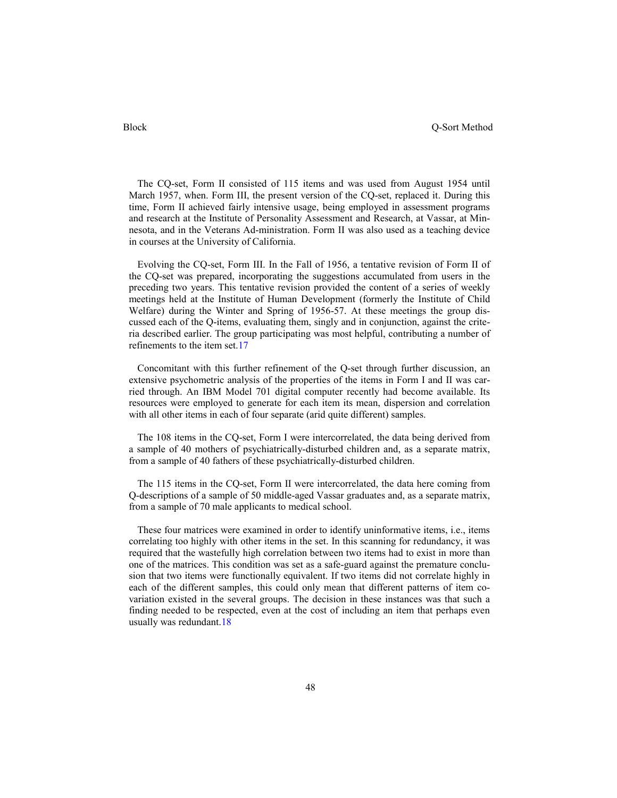Block Q-Sort Method

The CQ-set, Form II consisted of 115 items and was used from August 1954 until March 1957, when. Form III, the present version of the CQ-set, replaced it. During this time, Form II achieved fairly intensive usage, being employed in assessment programs and research at the Institute of Personality Assessment and Research, at Vassar, at Minnesota, and in the Veterans Ad-ministration. Form II was also used as a teaching device in courses at the University of California.

Evolving the CQ-set, Form III. In the Fall of 1956, a tentative revision of Form II of the CQ-set was prepared, incorporating the suggestions accumulated from users in the preceding two years. This tentative revision provided the content of a series of weekly meetings held at the Institute of Human Development (formerly the Institute of Child Welfare) during the Winter and Spring of 1956-57. At these meetings the group discussed each of the Q-items, evaluating them, singly and in conjunction, against the criteria described earlier. The group participating was most helpful, contributing a number of refinements to the item set.17

Concomitant with this further refinement of the Q-set through further discussion, an extensive psychometric analysis of the properties of the items in Form I and II was carried through. An IBM Model 701 digital computer recently had become available. Its resources were employed to generate for each item its mean, dispersion and correlation with all other items in each of four separate (arid quite different) samples.

The 108 items in the CQ-set, Form I were intercorrelated, the data being derived from a sample of 40 mothers of psychiatrically-disturbed children and, as a separate matrix, from a sample of 40 fathers of these psychiatrically-disturbed children.

The 115 items in the CQ-set, Form II were intercorrelated, the data here coming from Q-descriptions of a sample of 50 middle-aged Vassar graduates and, as a separate matrix, from a sample of 70 male applicants to medical school.

These four matrices were examined in order to identify uninformative items, i.e., items correlating too highly with other items in the set. In this scanning for redundancy, it was required that the wastefully high correlation between two items had to exist in more than one of the matrices. This condition was set as a safe-guard against the premature conclusion that two items were functionally equivalent. If two items did not correlate highly in each of the different samples, this could only mean that different patterns of item covariation existed in the several groups. The decision in these instances was that such a finding needed to be respected, even at the cost of including an item that perhaps even usually was redundant.18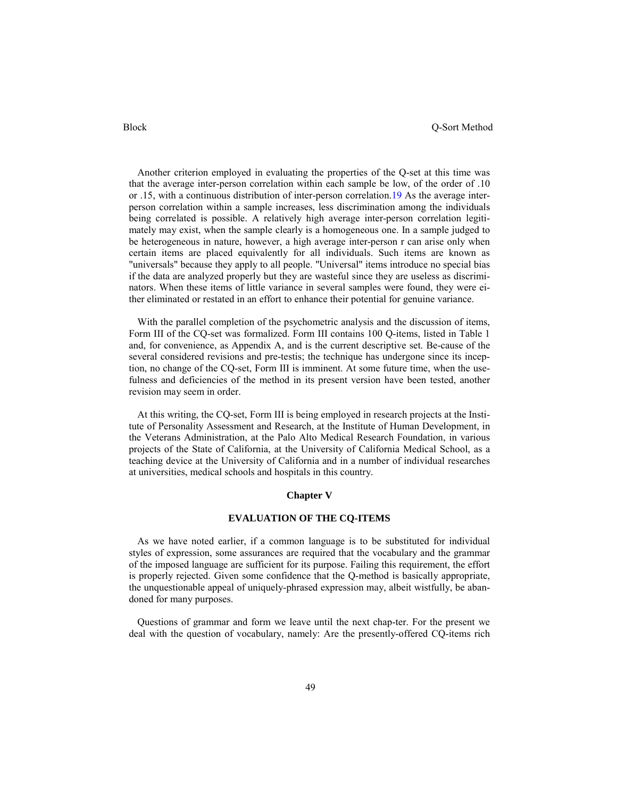Another criterion employed in evaluating the properties of the Q-set at this time was that the average inter-person correlation within each sample be low, of the order of .10 or .15, with a continuous distribution of inter-person correlation.19 As the average interperson correlation within a sample increases, less discrimination among the individuals being correlated is possible. A relatively high average inter-person correlation legitimately may exist, when the sample clearly is a homogeneous one. In a sample judged to be heterogeneous in nature, however, a high average inter-person r can arise only when certain items are placed equivalently for all individuals. Such items are known as "universals" because they apply to all people. "Universal" items introduce no special bias if the data are analyzed properly but they are wasteful since they are useless as discriminators. When these items of little variance in several samples were found, they were either eliminated or restated in an effort to enhance their potential for genuine variance.

With the parallel completion of the psychometric analysis and the discussion of items, Form III of the CQ-set was formalized. Form III contains 100 Q-items, listed in Table 1 and, for convenience, as Appendix A, and is the current descriptive set. Be-cause of the several considered revisions and pre-testis; the technique has undergone since its inception, no change of the CQ-set, Form III is imminent. At some future time, when the usefulness and deficiencies of the method in its present version have been tested, another revision may seem in order.

At this writing, the CQ-set, Form III is being employed in research projects at the Institute of Personality Assessment and Research, at the Institute of Human Development, in the Veterans Administration, at the Palo Alto Medical Research Foundation, in various projects of the State of California, at the University of California Medical School, as a teaching device at the University of California and in a number of individual researches at universities, medical schools and hospitals in this country.

## **Chapter V**

## **EVALUATION OF THE CQ-ITEMS**

As we have noted earlier, if a common language is to be substituted for individual styles of expression, some assurances are required that the vocabulary and the grammar of the imposed language are sufficient for its purpose. Failing this requirement, the effort is properly rejected. Given some confidence that the Q-method is basically appropriate, the unquestionable appeal of uniquely-phrased expression may, albeit wistfully, be abandoned for many purposes.

Questions of grammar and form we leave until the next chap-ter. For the present we deal with the question of vocabulary, namely: Are the presently-offered CQ-items rich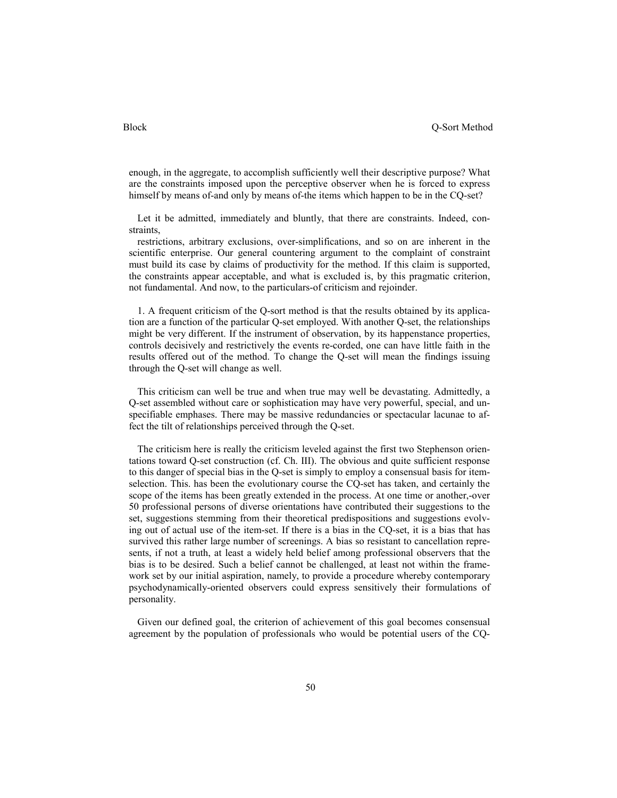enough, in the aggregate, to accomplish sufficiently well their descriptive purpose? What are the constraints imposed upon the perceptive observer when he is forced to express himself by means of-and only by means of-the items which happen to be in the CQ-set?

Let it be admitted, immediately and bluntly, that there are constraints. Indeed, constraints,

restrictions, arbitrary exclusions, over-simplifications, and so on are inherent in the scientific enterprise. Our general countering argument to the complaint of constraint must build its case by claims of productivity for the method. If this claim is supported, the constraints appear acceptable, and what is excluded is, by this pragmatic criterion, not fundamental. And now, to the particulars-of criticism and rejoinder.

1. A frequent criticism of the Q-sort method is that the results obtained by its application are a function of the particular Q-set employed. With another Q-set, the relationships might be very different. If the instrument of observation, by its happenstance properties, controls decisively and restrictively the events re-corded, one can have little faith in the results offered out of the method. To change the Q-set will mean the findings issuing through the Q-set will change as well.

This criticism can well be true and when true may well be devastating. Admittedly, a Q-set assembled without care or sophistication may have very powerful, special, and unspecifiable emphases. There may be massive redundancies or spectacular lacunae to affect the tilt of relationships perceived through the Q-set.

The criticism here is really the criticism leveled against the first two Stephenson orientations toward Q-set construction (cf. Ch. III). The obvious and quite sufficient response to this danger of special bias in the Q-set is simply to employ a consensual basis for itemselection. This. has been the evolutionary course the CQ-set has taken, and certainly the scope of the items has been greatly extended in the process. At one time or another,-over 50 professional persons of diverse orientations have contributed their suggestions to the set, suggestions stemming from their theoretical predispositions and suggestions evolving out of actual use of the item-set. If there is a bias in the CQ-set, it is a bias that has survived this rather large number of screenings. A bias so resistant to cancellation represents, if not a truth, at least a widely held belief among professional observers that the bias is to be desired. Such a belief cannot be challenged, at least not within the framework set by our initial aspiration, namely, to provide a procedure whereby contemporary psychodynamically-oriented observers could express sensitively their formulations of personality.

Given our defined goal, the criterion of achievement of this goal becomes consensual agreement by the population of professionals who would be potential users of the CQ-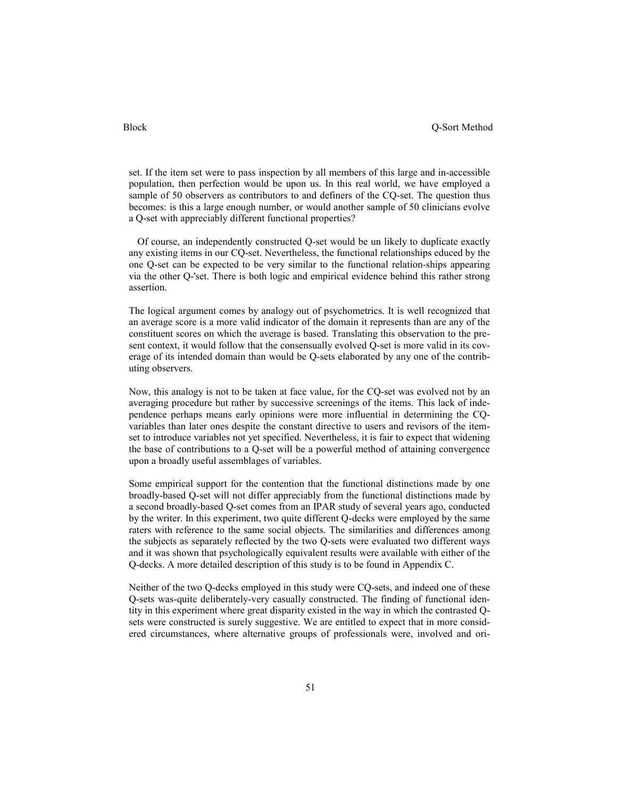set. If the item set were to pass inspection by all members of this large and in-accessible population, then perfection would be upon us. In this real world, we have employed a sample of 50 observers as contributors to and definers of the CQ-set. The question thus becomes: is this a large enough number, or would another sample of 50 clinicians evolve a Q-set with appreciably different functional properties?

Of course, an independently constructed Q-set would be un likely to duplicate exactly any existing items in our CQ-set. Nevertheless, the functional relationships educed by the one Q-set can be expected to be very similar to the functional relation-ships appearing via the other Q-'set. There is both logic and empirical evidence behind this rather strong assertion.

The logical argument comes by analogy out of psychometrics. It is well recognized that an average score is a more valid indicator of the domain it represents than are any of the constituent scores on which the average is based. Translating this observation to the present context, it would follow that the consensually evolved Q-set is more valid in its coverage of its intended domain than would be Q-sets elaborated by any one of the contributing observers.

Now, this analogy is not to be taken at face value, for the CQ-set was evolved not by an averaging procedure but rather by successive screenings of the items. This lack of independence perhaps means early opinions were more influential in determining the CQvariables than later ones despite the constant directive to users and revisors of the itemset to introduce variables not yet specified. Nevertheless, it is fair to expect that widening the base of contributions to a Q-set will be a powerful method of attaining convergence upon a broadly useful assemblages of variables.

Some empirical support for the contention that the functional distinctions made by one broadly-based Q-set will not differ appreciably from the functional distinctions made by a second broadly-based Q-set comes from an IPAR study of several years ago, conducted by the writer. In this experiment, two quite different Q-decks were employed by the same raters with reference to the same social objects. The similarities and differences among the subjects as separately reflected by the two Q-sets were evaluated two different ways and it was shown that psychologically equivalent results were available with either of the Q-decks. A more detailed description of this study is to be found in Appendix C.

Neither of the two Q-decks employed in this study were CQ-sets, and indeed one of these Q-sets was-quite deliberately-very casually constructed. The finding of functional identity in this experiment where great disparity existed in the way in which the contrasted Qsets were constructed is surely suggestive. We are entitled to expect that in more considered circumstances, where alternative groups of professionals were, involved and ori-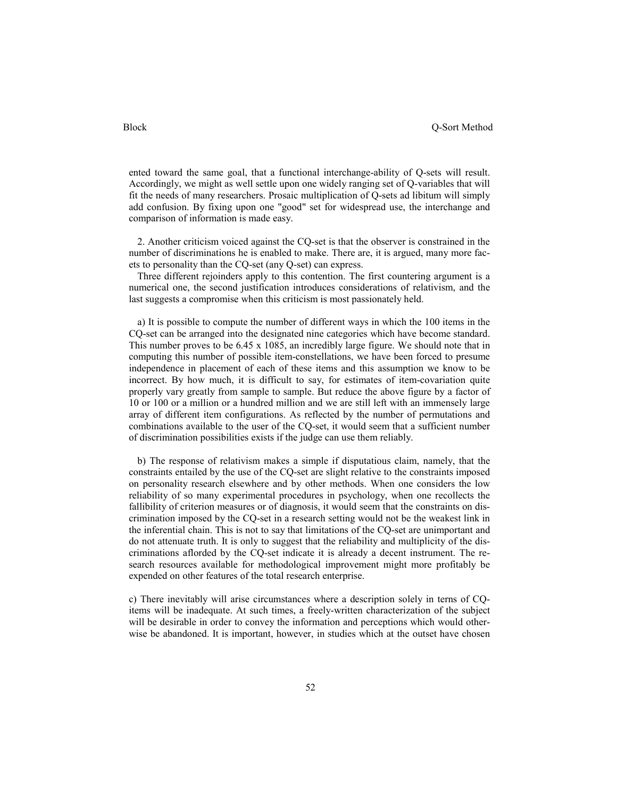ented toward the same goal, that a functional interchange-ability of Q-sets will result. Accordingly, we might as well settle upon one widely ranging set of Q-variables that will fit the needs of many researchers. Prosaic multiplication of Q-sets ad libitum will simply add confusion. By fixing upon one "good" set for widespread use, the interchange and comparison of information is made easy.

2. Another criticism voiced against the CQ-set is that the observer is constrained in the number of discriminations he is enabled to make. There are, it is argued, many more facets to personality than the CQ-set (any Q-set) can express.

Three different rejoinders apply to this contention. The first countering argument is a numerical one, the second justification introduces considerations of relativism, and the last suggests a compromise when this criticism is most passionately held.

a) It is possible to compute the number of different ways in which the 100 items in the CQ-set can be arranged into the designated nine categories which have become standard. This number proves to be 6.45 x 1085, an incredibly large figure. We should note that in computing this number of possible item-constellations, we have been forced to presume independence in placement of each of these items and this assumption we know to be incorrect. By how much, it is difficult to say, for estimates of item-covariation quite properly vary greatly from sample to sample. But reduce the above figure by a factor of 10 or 100 or a million or a hundred million and we are still left with an immensely large array of different item configurations. As reflected by the number of permutations and combinations available to the user of the CQ-set, it would seem that a sufficient number of discrimination possibilities exists if the judge can use them reliably.

b) The response of relativism makes a simple if disputatious claim, namely, that the constraints entailed by the use of the CQ-set are slight relative to the constraints imposed on personality research elsewhere and by other methods. When one considers the low reliability of so many experimental procedures in psychology, when one recollects the fallibility of criterion measures or of diagnosis, it would seem that the constraints on discrimination imposed by the CQ-set in a research setting would not be the weakest link in the inferential chain. This is not to say that limitations of the CQ-set are unimportant and do not attenuate truth. It is only to suggest that the reliability and multiplicity of the discriminations aflorded by the CQ-set indicate it is already a decent instrument. The research resources available for methodological improvement might more profitably be expended on other features of the total research enterprise.

c) There inevitably will arise circumstances where a description solely in terns of CQitems will be inadequate. At such times, a freely-written characterization of the subject will be desirable in order to convey the information and perceptions which would otherwise be abandoned. It is important, however, in studies which at the outset have chosen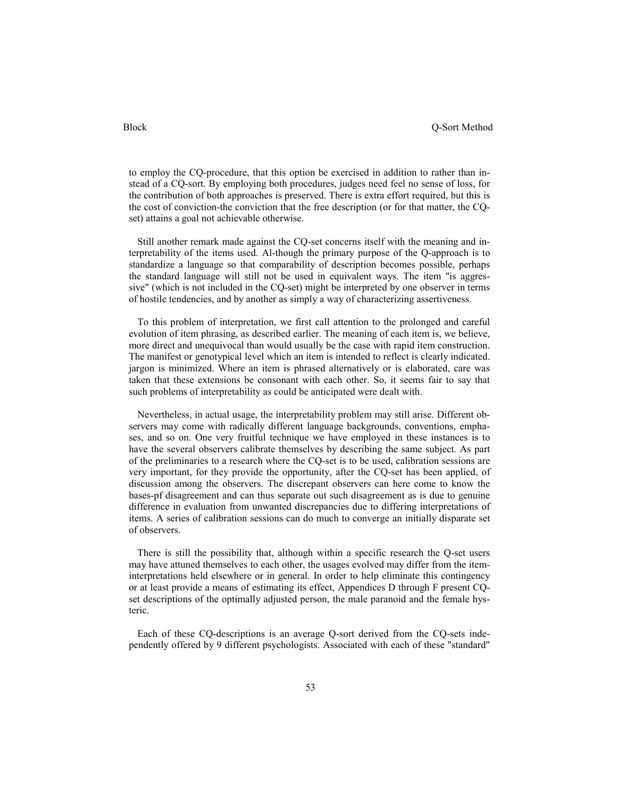to employ the CQ-procedure, that this option be exercised in addition to rather than instead of a CQ-sort. By employing both procedures, judges need feel no sense of loss, for the contribution of both approaches is preserved. There is extra effort required, but this is the cost of conviction-the conviction that the free description (or for that matter, the CQset) attains a goal not achievable otherwise.

Still another remark made against the CQ-set concerns itself with the meaning and interpretability of the items used. Al-though the primary purpose of the Q-approach is to standardize a language so that comparability of description becomes possible, perhaps the standard language will still not be used in equivalent ways. The item "is aggressive" (which is not included in the CQ-set) might be interpreted by one observer in terms of hostile tendencies, and by another as simply a way of characterizing assertiveness.

To this problem of interpretation, we first call attention to the prolonged and careful evolution of item phrasing, as described earlier. The meaning of each item is, we believe, more direct and unequivocal than would usually be the case with rapid item construction. The manifest or genotypical level which an item is intended to reflect is clearly indicated. jargon is minimized. Where an item is phrased alternatively or is elaborated, care was taken that these extensions be consonant with each other. So, it seems fair to say that such problems of interpretability as could be anticipated were dealt with.

Nevertheless, in actual usage, the interpretability problem may still arise. Different observers may come with radically different language backgrounds, conventions, emphases, and so on. One very fruitful technique we have employed in these instances is to have the several observers calibrate themselves by describing the same subject. As part of the preliminaries to a research where the CQ-set is to be used, calibration sessions are very important, for they provide the opportunity, after the CQ-set has been applied, of discussion among the observers. The discrepant observers can here come to know the bases-pf disagreement and can thus separate out such disagreement as is due to genuine difference in evaluation from unwanted discrepancies due to differing interpretations of items. A series of calibration sessions can do much to converge an initially disparate set of observers.

There is still the possibility that, although within a specific research the Q-set users may have attuned themselves to each other, the usages evolved may differ from the iteminterpretations held elsewhere or in general. In order to help eliminate this contingency or at least provide a means of estimating its effect, Appendices D through F present CQset descriptions of the optimally adjusted person, the male paranoid and the female hysteric.

Each of these CQ-descriptions is an average Q-sort derived from the CQ-sets independently offered by 9 different psychologists. Associated with each of these "standard"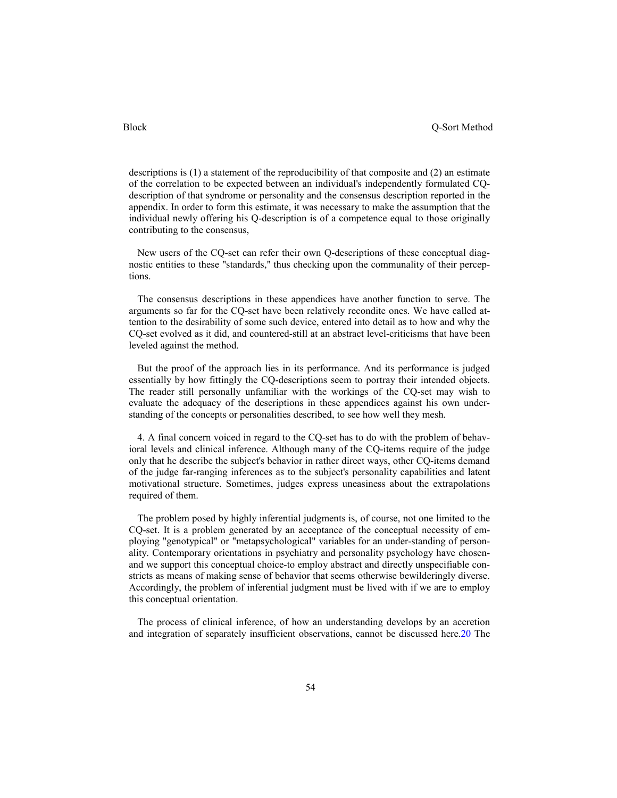descriptions is (1) a statement of the reproducibility of that composite and (2) an estimate of the correlation to be expected between an individual's independently formulated CQdescription of that syndrome or personality and the consensus description reported in the appendix. In order to form this estimate, it was necessary to make the assumption that the individual newly offering his Q-description is of a competence equal to those originally contributing to the consensus,

New users of the CQ-set can refer their own Q-descriptions of these conceptual diagnostic entities to these "standards," thus checking upon the communality of their perceptions.

The consensus descriptions in these appendices have another function to serve. The arguments so far for the CQ-set have been relatively recondite ones. We have called attention to the desirability of some such device, entered into detail as to how and why the CQ-set evolved as it did, and countered-still at an abstract level-criticisms that have been leveled against the method.

But the proof of the approach lies in its performance. And its performance is judged essentially by how fittingly the CQ-descriptions seem to portray their intended objects. The reader still personally unfamiliar with the workings of the CQ-set may wish to evaluate the adequacy of the descriptions in these appendices against his own understanding of the concepts or personalities described, to see how well they mesh.

4. A final concern voiced in regard to the CQ-set has to do with the problem of behavioral levels and clinical inference. Although many of the CQ-items require of the judge only that he describe the subject's behavior in rather direct ways, other CQ-items demand of the judge far-ranging inferences as to the subject's personality capabilities and latent motivational structure. Sometimes, judges express uneasiness about the extrapolations required of them.

The problem posed by highly inferential judgments is, of course, not one limited to the CQ-set. It is a problem generated by an acceptance of the conceptual necessity of employing "genotypical" or "metapsychological" variables for an under-standing of personality. Contemporary orientations in psychiatry and personality psychology have chosenand we support this conceptual choice-to employ abstract and directly unspecifiable constricts as means of making sense of behavior that seems otherwise bewilderingly diverse. Accordingly, the problem of inferential judgment must be lived with if we are to employ this conceptual orientation.

The process of clinical inference, of how an understanding develops by an accretion and integration of separately insufficient observations, cannot be discussed here.20 The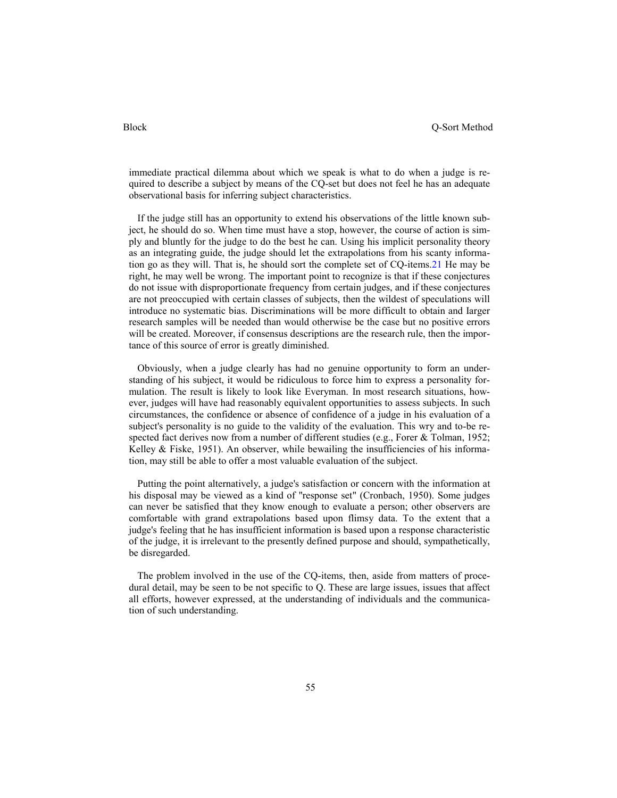immediate practical dilemma about which we speak is what to do when a judge is required to describe a subject by means of the CQ-set but does not feel he has an adequate observational basis for inferring subject characteristics.

If the judge still has an opportunity to extend his observations of the little known subject, he should do so. When time must have a stop, however, the course of action is simply and bluntly for the judge to do the best he can. Using his implicit personality theory as an integrating guide, the judge should let the extrapolations from his scanty information go as they will. That is, he should sort the complete set of CQ-items.21 He may be right, he may well be wrong. The important point to recognize is that if these conjectures do not issue with disproportionate frequency from certain judges, and if these conjectures are not preoccupied with certain classes of subjects, then the wildest of speculations will introduce no systematic bias. Discriminations will be more difficult to obtain and Iarger research samples will be needed than would otherwise be the case but no positive errors will be created. Moreover, if consensus descriptions are the research rule, then the importance of this source of error is greatly diminished.

Obviously, when a judge clearly has had no genuine opportunity to form an understanding of his subject, it would be ridiculous to force him to express a personality formulation. The result is likely to look like Everyman. In most research situations, however, judges will have had reasonably equivalent opportunities to assess subjects. In such circumstances, the confidence or absence of confidence of a judge in his evaluation of a subject's personality is no guide to the validity of the evaluation. This wry and to-be respected fact derives now from a number of different studies (e.g., Forer & Tolman, 1952; Kelley  $\&$  Fiske, 1951). An observer, while bewailing the insufficiencies of his information, may still be able to offer a most valuable evaluation of the subject.

Putting the point alternatively, a judge's satisfaction or concern with the information at his disposal may be viewed as a kind of "response set" (Cronbach, 1950). Some judges can never be satisfied that they know enough to evaluate a person; other observers are comfortable with grand extrapolations based upon flimsy data. To the extent that a judge's feeling that he has insufficient information is based upon a response characteristic of the judge, it is irrelevant to the presently defined purpose and should, sympathetically, be disregarded.

The problem involved in the use of the CQ-items, then, aside from matters of procedural detail, may be seen to be not specific to Q. These are large issues, issues that affect all efforts, however expressed, at the understanding of individuals and the communication of such understanding.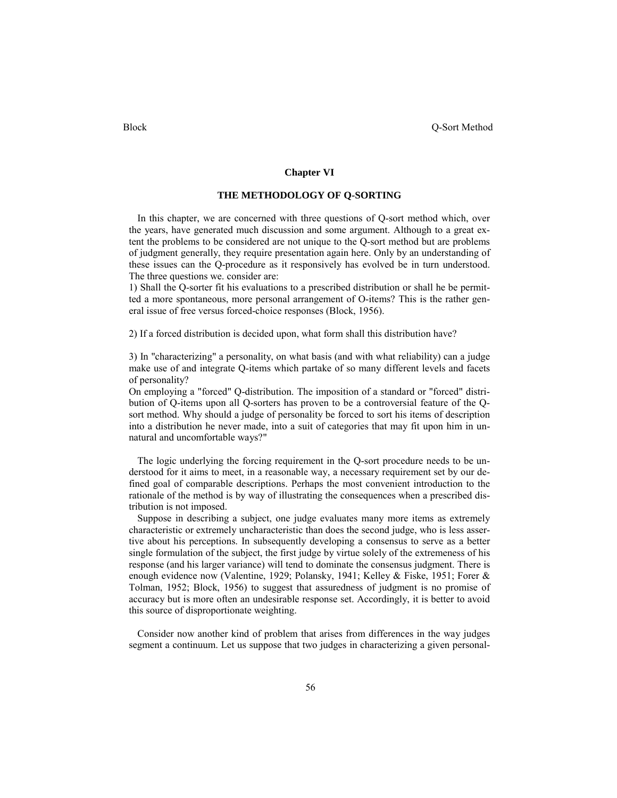## **Chapter VI**

# **THE METHODOLOGY OF Q-SORTING**

In this chapter, we are concerned with three questions of Q-sort method which, over the years, have generated much discussion and some argument. Although to a great extent the problems to be considered are not unique to the Q-sort method but are problems of judgment generally, they require presentation again here. Only by an understanding of these issues can the Q-procedure as it responsively has evolved be in turn understood. The three questions we. consider are:

1) Shall the Q-sorter fit his evaluations to a prescribed distribution or shall he be permitted a more spontaneous, more personal arrangement of O-items? This is the rather general issue of free versus forced-choice responses (Block, 1956).

2) If a forced distribution is decided upon, what form shall this distribution have?

3) In "characterizing" a personality, on what basis (and with what reliability) can a judge make use of and integrate Q-items which partake of so many different levels and facets of personality?

On employing a "forced" Q-distribution. The imposition of a standard or "forced" distribution of Q-items upon all Q-sorters has proven to be a controversial feature of the Qsort method. Why should a judge of personality be forced to sort his items of description into a distribution he never made, into a suit of categories that may fit upon him in unnatural and uncomfortable ways?"

The logic underlying the forcing requirement in the Q-sort procedure needs to be understood for it aims to meet, in a reasonable way, a necessary requirement set by our defined goal of comparable descriptions. Perhaps the most convenient introduction to the rationale of the method is by way of illustrating the consequences when a prescribed distribution is not imposed.

Suppose in describing a subject, one judge evaluates many more items as extremely characteristic or extremely uncharacteristic than does the second judge, who is less assertive about his perceptions. In subsequently developing a consensus to serve as a better single formulation of the subject, the first judge by virtue solely of the extremeness of his response (and his larger variance) will tend to dominate the consensus judgment. There is enough evidence now (Valentine, 1929; Polansky, 1941; Kelley & Fiske, 1951; Forer & Tolman, 1952; Block, 1956) to suggest that assuredness of judgment is no promise of accuracy but is more often an undesirable response set. Accordingly, it is better to avoid this source of disproportionate weighting.

Consider now another kind of problem that arises from differences in the way judges segment a continuum. Let us suppose that two judges in characterizing a given personal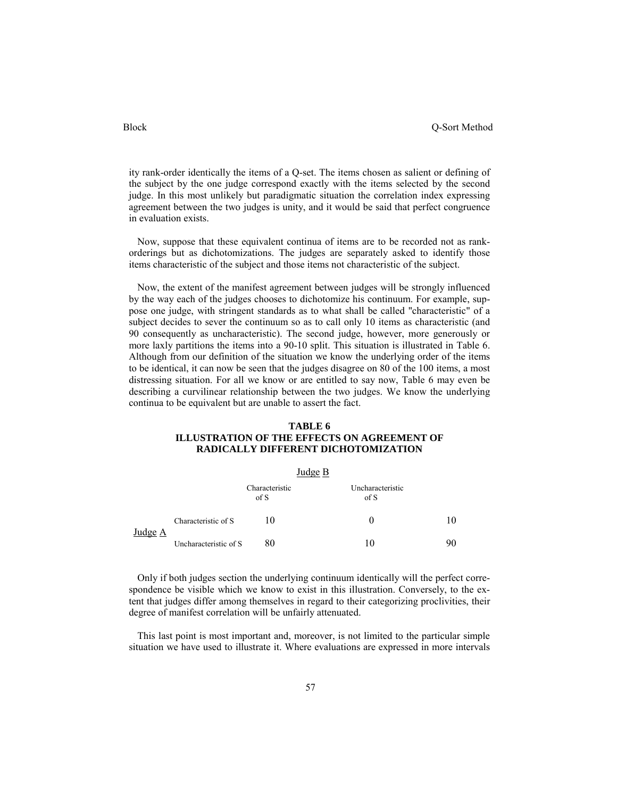ity rank-order identically the items of a Q-set. The items chosen as salient or defining of the subject by the one judge correspond exactly with the items selected by the second judge. In this most unlikely but paradigmatic situation the correlation index expressing agreement between the two judges is unity, and it would be said that perfect congruence in evaluation exists.

Now, suppose that these equivalent continua of items are to be recorded not as rankorderings but as dichotomizations. The judges are separately asked to identify those items characteristic of the subject and those items not characteristic of the subject.

Now, the extent of the manifest agreement between judges will be strongly influenced by the way each of the judges chooses to dichotomize his continuum. For example, suppose one judge, with stringent standards as to what shall be called "characteristic" of a subject decides to sever the continuum so as to call only 10 items as characteristic (and 90 consequently as uncharacteristic). The second judge, however, more generously or more laxly partitions the items into a 90-10 split. This situation is illustrated in Table 6. Although from our definition of the situation we know the underlying order of the items to be identical, it can now be seen that the judges disagree on 80 of the 100 items, a most distressing situation. For all we know or are entitled to say now, Table 6 may even be describing a curvilinear relationship between the two judges. We know the underlying continua to be equivalent but are unable to assert the fact.

# **TABLE 6 ILLUSTRATION OF THE EFFECTS ON AGREEMENT OF RADICALLY DIFFERENT DICHOTOMIZATION**

|                       | Judge B               |                                |                          |    |
|-----------------------|-----------------------|--------------------------------|--------------------------|----|
|                       |                       | Characteristic<br>$\sigma$ f S | Uncharacteristic<br>of S |    |
| Judge $\underline{A}$ | Characteristic of S   | 10                             | $\theta$                 | 10 |
|                       | Uncharacteristic of S | 80                             | 10                       | 90 |

Only if both judges section the underlying continuum identically will the perfect correspondence be visible which we know to exist in this illustration. Conversely, to the extent that judges differ among themselves in regard to their categorizing proclivities, their degree of manifest correlation will be unfairly attenuated.

This last point is most important and, moreover, is not limited to the particular simple situation we have used to illustrate it. Where evaluations are expressed in more intervals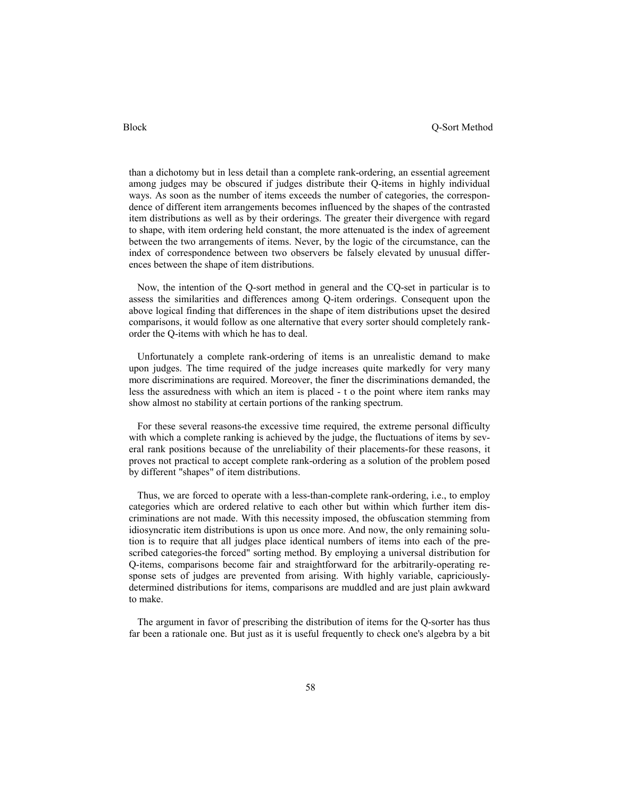than a dichotomy but in less detail than a complete rank-ordering, an essential agreement among judges may be obscured if judges distribute their Q-items in highly individual ways. As soon as the number of items exceeds the number of categories, the correspondence of different item arrangements becomes influenced by the shapes of the contrasted item distributions as well as by their orderings. The greater their divergence with regard to shape, with item ordering held constant, the more attenuated is the index of agreement between the two arrangements of items. Never, by the logic of the circumstance, can the index of correspondence between two observers be falsely elevated by unusual differences between the shape of item distributions.

Now, the intention of the Q-sort method in general and the CQ-set in particular is to assess the similarities and differences among Q-item orderings. Consequent upon the above logical finding that differences in the shape of item distributions upset the desired comparisons, it would follow as one alternative that every sorter should completely rankorder the Q-items with which he has to deal.

Unfortunately a complete rank-ordering of items is an unrealistic demand to make upon judges. The time required of the judge increases quite markedly for very many more discriminations are required. Moreover, the finer the discriminations demanded, the less the assuredness with which an item is placed - t o the point where item ranks may show almost no stability at certain portions of the ranking spectrum.

For these several reasons-the excessive time required, the extreme personal difficulty with which a complete ranking is achieved by the judge, the fluctuations of items by several rank positions because of the unreliability of their placements-for these reasons, it proves not practical to accept complete rank-ordering as a solution of the problem posed by different "shapes" of item distributions.

Thus, we are forced to operate with a less-than-complete rank-ordering, i.e., to employ categories which are ordered relative to each other but within which further item discriminations are not made. With this necessity imposed, the obfuscation stemming from idiosyncratic item distributions is upon us once more. And now, the only remaining solution is to require that all judges place identical numbers of items into each of the prescribed categories-the forced" sorting method. By employing a universal distribution for Q-items, comparisons become fair and straightforward for the arbitrarily-operating response sets of judges are prevented from arising. With highly variable, capriciouslydetermined distributions for items, comparisons are muddled and are just plain awkward to make.

The argument in favor of prescribing the distribution of items for the Q-sorter has thus far been a rationale one. But just as it is useful frequently to check one's algebra by a bit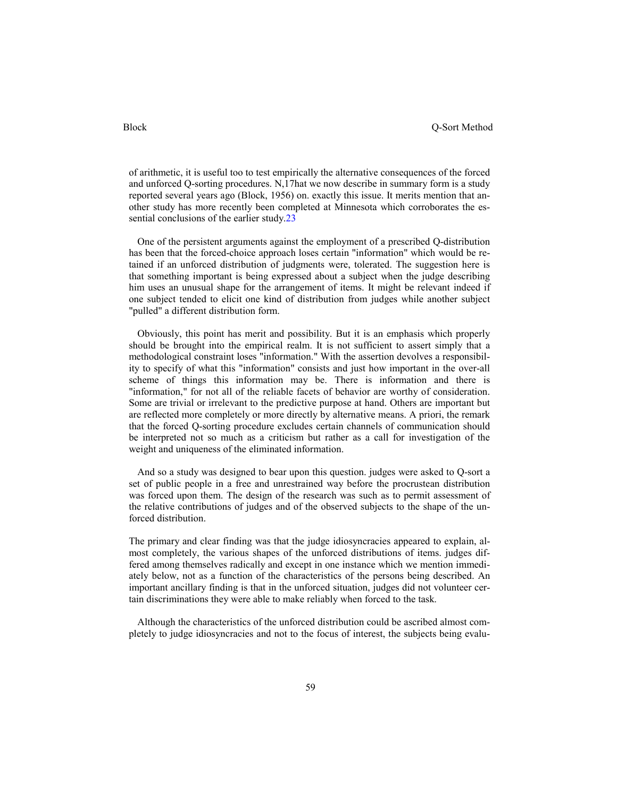of arithmetic, it is useful too to test empirically the alternative consequences of the forced and unforced Q-sorting procedures. N,17hat we now describe in summary form is a study reported several years ago (Block, 1956) on. exactly this issue. It merits mention that another study has more recently been completed at Minnesota which corroborates the essential conclusions of the earlier study.23

One of the persistent arguments against the employment of a prescribed Q-distribution has been that the forced-choice approach loses certain "information" which would be retained if an unforced distribution of judgments were, tolerated. The suggestion here is that something important is being expressed about a subject when the judge describing him uses an unusual shape for the arrangement of items. It might be relevant indeed if one subject tended to elicit one kind of distribution from judges while another subject "pulled" a different distribution form.

Obviously, this point has merit and possibility. But it is an emphasis which properly should be brought into the empirical realm. It is not sufficient to assert simply that a methodological constraint loses "information." With the assertion devolves a responsibility to specify of what this "information" consists and just how important in the over-all scheme of things this information may be. There is information and there is "information," for not all of the reliable facets of behavior are worthy of consideration. Some are trivial or irrelevant to the predictive purpose at hand. Others are important but are reflected more completely or more directly by alternative means. A priori, the remark that the forced Q-sorting procedure excludes certain channels of communication should be interpreted not so much as a criticism but rather as a call for investigation of the weight and uniqueness of the eliminated information.

And so a study was designed to bear upon this question. judges were asked to Q-sort a set of public people in a free and unrestrained way before the procrustean distribution was forced upon them. The design of the research was such as to permit assessment of the relative contributions of judges and of the observed subjects to the shape of the unforced distribution.

The primary and clear finding was that the judge idiosyncracies appeared to explain, almost completely, the various shapes of the unforced distributions of items. judges differed among themselves radically and except in one instance which we mention immediately below, not as a function of the characteristics of the persons being described. An important ancillary finding is that in the unforced situation, judges did not volunteer certain discriminations they were able to make reliably when forced to the task.

Although the characteristics of the unforced distribution could be ascribed almost completely to judge idiosyncracies and not to the focus of interest, the subjects being evalu-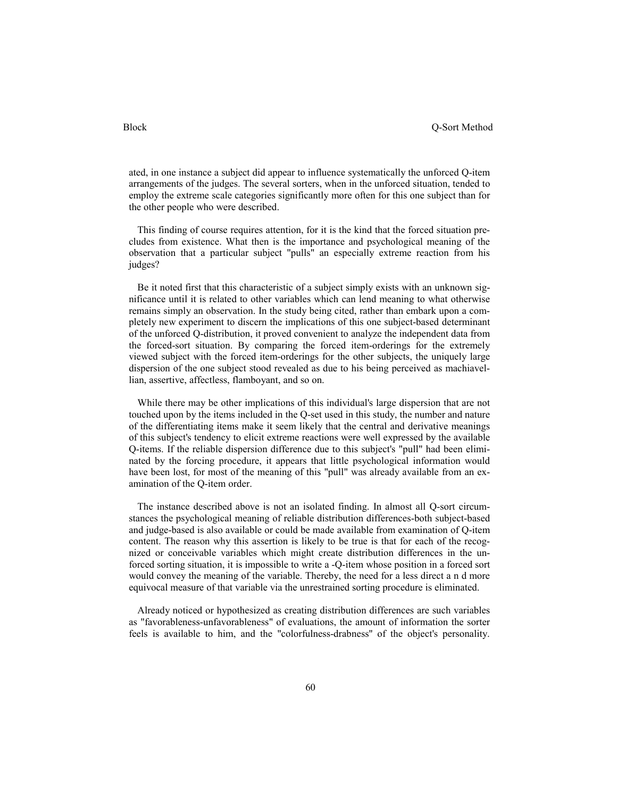ated, in one instance a subject did appear to influence systematically the unforced Q-item arrangements of the judges. The several sorters, when in the unforced situation, tended to employ the extreme scale categories significantly more often for this one subject than for the other people who were described.

This finding of course requires attention, for it is the kind that the forced situation precludes from existence. What then is the importance and psychological meaning of the observation that a particular subject "pulls" an especially extreme reaction from his judges?

Be it noted first that this characteristic of a subject simply exists with an unknown significance until it is related to other variables which can lend meaning to what otherwise remains simply an observation. In the study being cited, rather than embark upon a completely new experiment to discern the implications of this one subject-based determinant of the unforced Q-distribution, it proved convenient to analyze the independent data from the forced-sort situation. By comparing the forced item-orderings for the extremely viewed subject with the forced item-orderings for the other subjects, the uniquely large dispersion of the one subject stood revealed as due to his being perceived as machiavellian, assertive, affectless, flamboyant, and so on.

While there may be other implications of this individual's large dispersion that are not touched upon by the items included in the Q-set used in this study, the number and nature of the differentiating items make it seem likely that the central and derivative meanings of this subject's tendency to elicit extreme reactions were well expressed by the available Q-items. If the reliable dispersion difference due to this subject's "pull" had been eliminated by the forcing procedure, it appears that little psychological information would have been lost, for most of the meaning of this "pull" was already available from an examination of the Q-item order.

The instance described above is not an isolated finding. In almost all Q-sort circumstances the psychological meaning of reliable distribution differences-both subject-based and judge-based is also available or could be made available from examination of Q-item content. The reason why this assertion is likely to be true is that for each of the recognized or conceivable variables which might create distribution differences in the unforced sorting situation, it is impossible to write a -Q-item whose position in a forced sort would convey the meaning of the variable. Thereby, the need for a less direct a n d more equivocal measure of that variable via the unrestrained sorting procedure is eliminated.

Already noticed or hypothesized as creating distribution differences are such variables as "favorableness-unfavorableness" of evaluations, the amount of information the sorter feels is available to him, and the "colorfulness-drabness'' of the object's personality.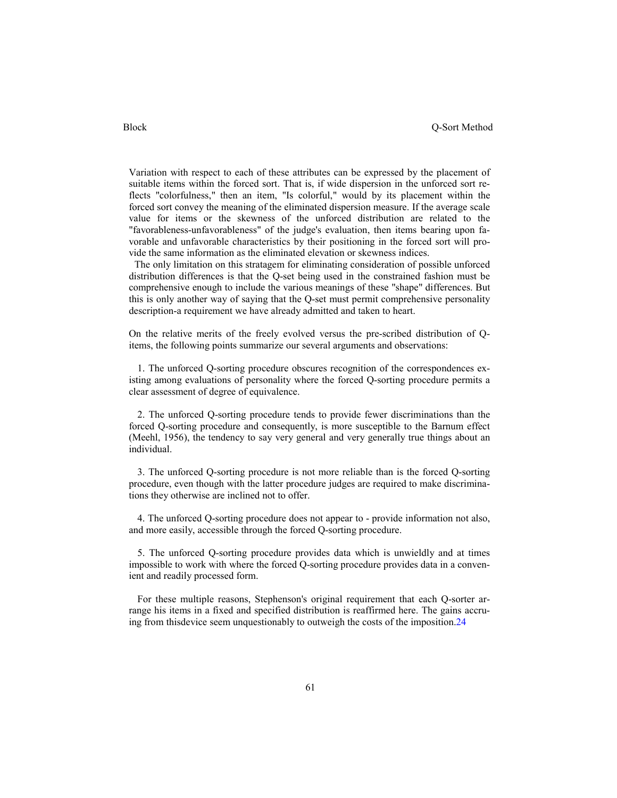Variation with respect to each of these attributes can be expressed by the placement of suitable items within the forced sort. That is, if wide dispersion in the unforced sort reflects "colorfulness," then an item, "Is colorful," would by its placement within the forced sort convey the meaning of the eliminated dispersion measure. If the average scale value for items or the skewness of the unforced distribution are related to the "favorableness-unfavorableness" of the judge's evaluation, then items bearing upon favorable and unfavorable characteristics by their positioning in the forced sort will provide the same information as the eliminated elevation or skewness indices.

The only limitation on this stratagem for eliminating consideration of possible unforced distribution differences is that the Q-set being used in the constrained fashion must be comprehensive enough to include the various meanings of these "shape" differences. But this is only another way of saying that the Q-set must permit comprehensive personality description-a requirement we have already admitted and taken to heart.

On the relative merits of the freely evolved versus the pre-scribed distribution of Qitems, the following points summarize our several arguments and observations:

1. The unforced Q-sorting procedure obscures recognition of the correspondences existing among evaluations of personality where the forced Q-sorting procedure permits a clear assessment of degree of equivalence.

2. The unforced Q-sorting procedure tends to provide fewer discriminations than the forced Q-sorting procedure and consequently, is more susceptible to the Barnum effect (Meehl, 1956), the tendency to say very general and very generally true things about an individual.

3. The unforced Q-sorting procedure is not more reliable than is the forced Q-sorting procedure, even though with the latter procedure judges are required to make discriminations they otherwise are inclined not to offer.

4. The unforced Q-sorting procedure does not appear to - provide information not also, and more easily, accessible through the forced Q-sorting procedure.

5. The unforced Q-sorting procedure provides data which is unwieldly and at times impossible to work with where the forced Q-sorting procedure provides data in a convenient and readily processed form.

For these multiple reasons, Stephenson's original requirement that each Q-sorter arrange his items in a fixed and specified distribution is reaffirmed here. The gains accruing from thisdevice seem unquestionably to outweigh the costs of the imposition.24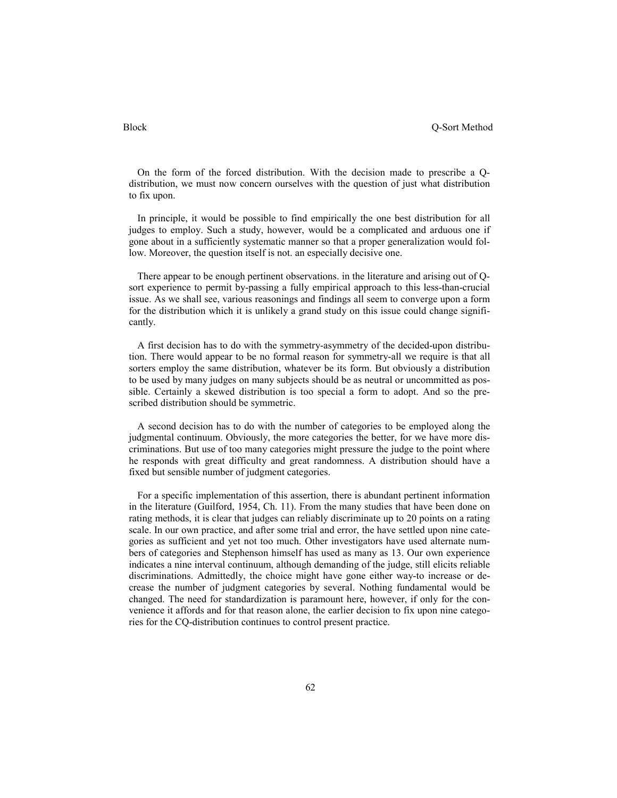On the form of the forced distribution. With the decision made to prescribe a Qdistribution, we must now concern ourselves with the question of just what distribution to fix upon.

In principle, it would be possible to find empirically the one best distribution for all judges to employ. Such a study, however, would be a complicated and arduous one if gone about in a sufficiently systematic manner so that a proper generalization would follow. Moreover, the question itself is not. an especially decisive one.

There appear to be enough pertinent observations. in the literature and arising out of Qsort experience to permit by-passing a fully empirical approach to this less-than-crucial issue. As we shall see, various reasonings and findings all seem to converge upon a form for the distribution which it is unlikely a grand study on this issue could change significantly.

A first decision has to do with the symmetry-asymmetry of the decided-upon distribution. There would appear to be no formal reason for symmetry-all we require is that all sorters employ the same distribution, whatever be its form. But obviously a distribution to be used by many judges on many subjects should be as neutral or uncommitted as possible. Certainly a skewed distribution is too special a form to adopt. And so the prescribed distribution should be symmetric.

A second decision has to do with the number of categories to be employed along the judgmental continuum. Obviously, the more categories the better, for we have more discriminations. But use of too many categories might pressure the judge to the point where he responds with great difficulty and great randomness. A distribution should have a fixed but sensible number of judgment categories.

For a specific implementation of this assertion, there is abundant pertinent information in the literature (Guilford, 1954, Ch. 11). From the many studies that have been done on rating methods, it is clear that judges can reliably discriminate up to 20 points on a rating scale. In our own practice, and after some trial and error, the have settled upon nine categories as sufficient and yet not too much. Other investigators have used alternate numbers of categories and Stephenson himself has used as many as 13. Our own experience indicates a nine interval continuum, although demanding of the judge, still elicits reliable discriminations. Admittedly, the choice might have gone either way-to increase or decrease the number of judgment categories by several. Nothing fundamental would be changed. The need for standardization is paramount here, however, if only for the convenience it affords and for that reason alone, the earlier decision to fix upon nine categories for the CQ-distribution continues to control present practice.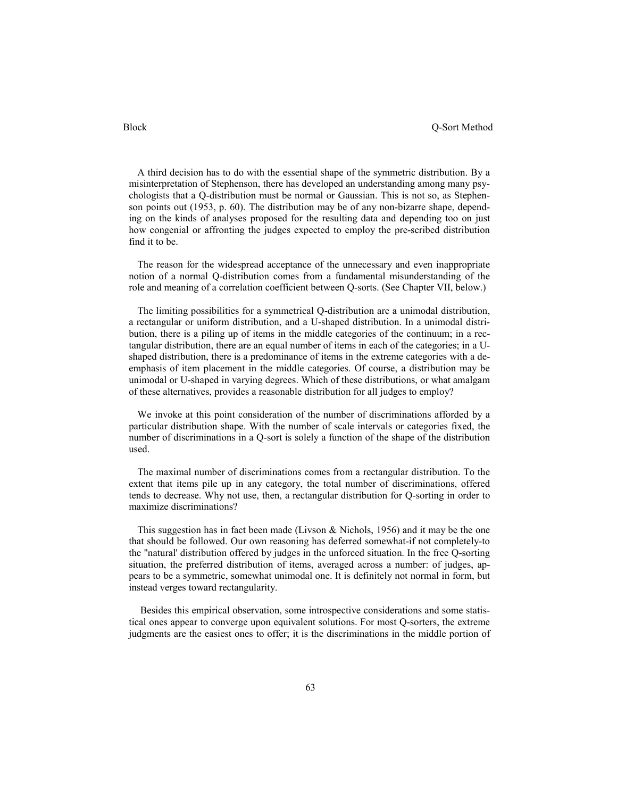A third decision has to do with the essential shape of the symmetric distribution. By a misinterpretation of Stephenson, there has developed an understanding among many psychologists that a Q-distribution must be normal or Gaussian. This is not so, as Stephenson points out (1953, p. 60). The distribution may be of any non-bizarre shape, depending on the kinds of analyses proposed for the resulting data and depending too on just how congenial or affronting the judges expected to employ the pre-scribed distribution find it to be.

The reason for the widespread acceptance of the unnecessary and even inappropriate notion of a normal Q-distribution comes from a fundamental misunderstanding of the role and meaning of a correlation coefficient between Q-sorts. (See Chapter VII, below.)

The limiting possibilities for a symmetrical Q-distribution are a unimodal distribution, a rectangular or uniform distribution, and a U-shaped distribution. In a unimodal distribution, there is a piling up of items in the middle categories of the continuum; in a rectangular distribution, there are an equal number of items in each of the categories; in a Ushaped distribution, there is a predominance of items in the extreme categories with a deemphasis of item placement in the middle categories. Of course, a distribution may be unimodal or U-shaped in varying degrees. Which of these distributions, or what amalgam of these alternatives, provides a reasonable distribution for all judges to employ?

We invoke at this point consideration of the number of discriminations afforded by a particular distribution shape. With the number of scale intervals or categories fixed, the number of discriminations in a Q-sort is solely a function of the shape of the distribution used.

The maximal number of discriminations comes from a rectangular distribution. To the extent that items pile up in any category, the total number of discriminations, offered tends to decrease. Why not use, then, a rectangular distribution for Q-sorting in order to maximize discriminations?

This suggestion has in fact been made (Livson  $\&$  Nichols, 1956) and it may be the one that should be followed. Our own reasoning has deferred somewhat-if not completely-to the "natural' distribution offered by judges in the unforced situation. In the free Q-sorting situation, the preferred distribution of items, averaged across a number: of judges, appears to be a symmetric, somewhat unimodal one. It is definitely not normal in form, but instead verges toward rectangularity.

Besides this empirical observation, some introspective considerations and some statistical ones appear to converge upon equivalent solutions. For most Q-sorters, the extreme judgments are the easiest ones to offer; it is the discriminations in the middle portion of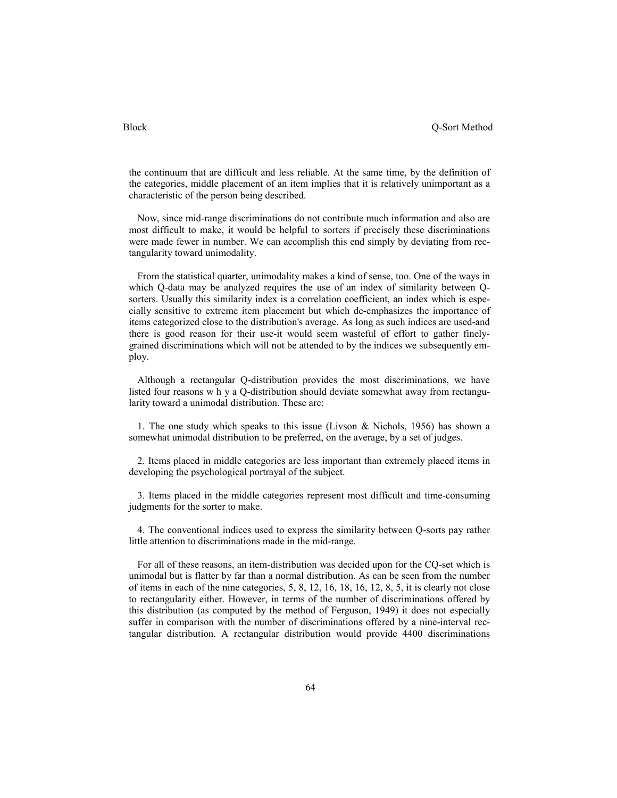the continuum that are difficult and less reliable. At the same time, by the definition of the categories, middle placement of an item implies that it is relatively unimportant as a characteristic of the person being described.

Now, since mid-range discriminations do not contribute much information and also are most difficult to make, it would be helpful to sorters if precisely these discriminations were made fewer in number. We can accomplish this end simply by deviating from rectangularity toward unimodality.

From the statistical quarter, unimodality makes a kind of sense, too. One of the ways in which Q-data may be analyzed requires the use of an index of similarity between Qsorters. Usually this similarity index is a correlation coefficient, an index which is especially sensitive to extreme item placement but which de-emphasizes the importance of items categorized close to the distribution's average. As long as such indices are used-and there is good reason for their use-it would seem wasteful of effort to gather finelygrained discriminations which will not be attended to by the indices we subsequently employ.

Although a rectangular Q-distribution provides the most discriminations, we have listed four reasons w h y a Q-distribution should deviate somewhat away from rectangularity toward a unimodal distribution. These are:

1. The one study which speaks to this issue (Livson & Nichols, 1956) has shown a somewhat unimodal distribution to be preferred, on the average, by a set of judges.

2. Items placed in middle categories are less important than extremely placed items in developing the psychological portrayal of the subject.

3. Items placed in the middle categories represent most difficult and time-consuming judgments for the sorter to make.

4. The conventional indices used to express the similarity between Q-sorts pay rather little attention to discriminations made in the mid-range.

For all of these reasons, an item-distribution was decided upon for the CQ-set which is unimodal but is flatter by far than a normal distribution. As can be seen from the number of items in each of the nine categories, 5, 8, 12, 16, 18, 16, 12, 8, 5, it is clearly not close to rectangularity either. However, in terms of the number of discriminations offered by this distribution (as computed by the method of Ferguson, 1949) it does not especially suffer in comparison with the number of discriminations offered by a nine-interval rectangular distribution. A rectangular distribution would provide 4400 discriminations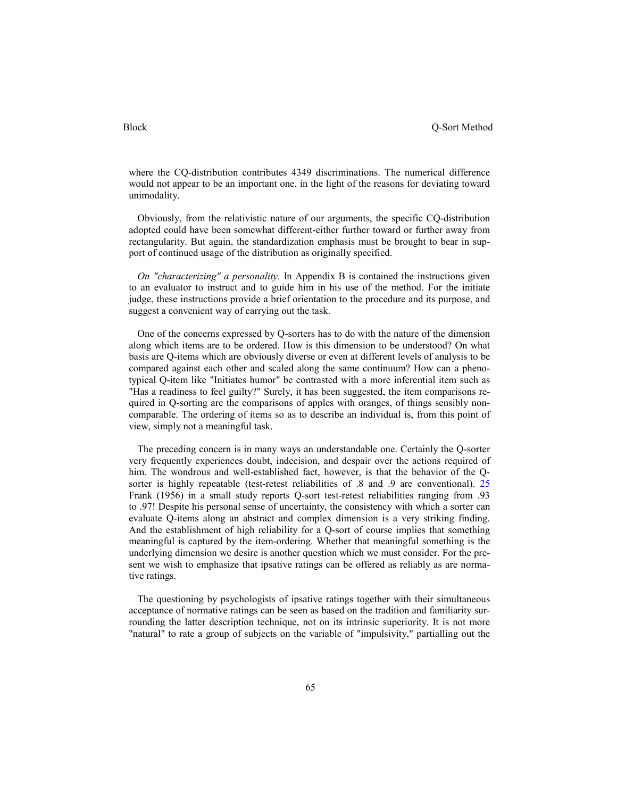where the CQ-distribution contributes 4349 discriminations. The numerical difference would not appear to be an important one, in the light of the reasons for deviating toward unimodality.

Obviously, from the relativistic nature of our arguments, the specific CQ-distribution adopted could have been somewhat different-either further toward or further away from rectangularity. But again, the standardization emphasis must be brought to bear in support of continued usage of the distribution as originally specified.

*On "characterizing" a personality.* In Appendix B is contained the instructions given to an evaluator to instruct and to guide him in his use of the method. For the initiate judge, these instructions provide a brief orientation to the procedure and its purpose, and suggest a convenient way of carrying out the task.

One of the concerns expressed by Q-sorters has to do with the nature of the dimension along which items are to be ordered. How is this dimension to be understood? On what basis are Q-items which are obviously diverse or even at different levels of analysis to be compared against each other and scaled along the same continuum? How can a phenotypical Q-item like "Initiates humor" be contrasted with a more inferential item such as "Has a readiness to feel guilty?" Surely, it has been suggested, the item comparisons required in Q-sorting are the comparisons of apples with oranges, of things sensibly noncomparable. The ordering of items so as to describe an individual is, from this point of view, simply not a meaningful task.

The preceding concern is in many ways an understandable one. Certainly the Q-sorter very frequently experiences doubt, indecision, and despair over the actions required of him. The wondrous and well-established fact, however, is that the behavior of the Qsorter is highly repeatable (test-retest reliabilities of .8 and .9 are conventional). 25 Frank (1956) in a small study reports Q-sort test-retest reliabilities ranging from .93 to .97! Despite his personal sense of uncertainty, the consistency with which a sorter can evaluate Q-items along an abstract and complex dimension is a very striking finding. And the establishment of high reliability for a Q-sort of course implies that something meaningful is captured by the item-ordering. Whether that meaningful something is the underlying dimension we desire is another question which we must consider. For the present we wish to emphasize that ipsative ratings can be offered as reliably as are normative ratings.

The questioning by psychologists of ipsative ratings together with their simultaneous acceptance of normative ratings can be seen as based on the tradition and familiarity surrounding the latter description technique, not on its intrinsic superiority. It is not more "natural" to rate a group of subjects on the variable of "impulsivity," partialling out the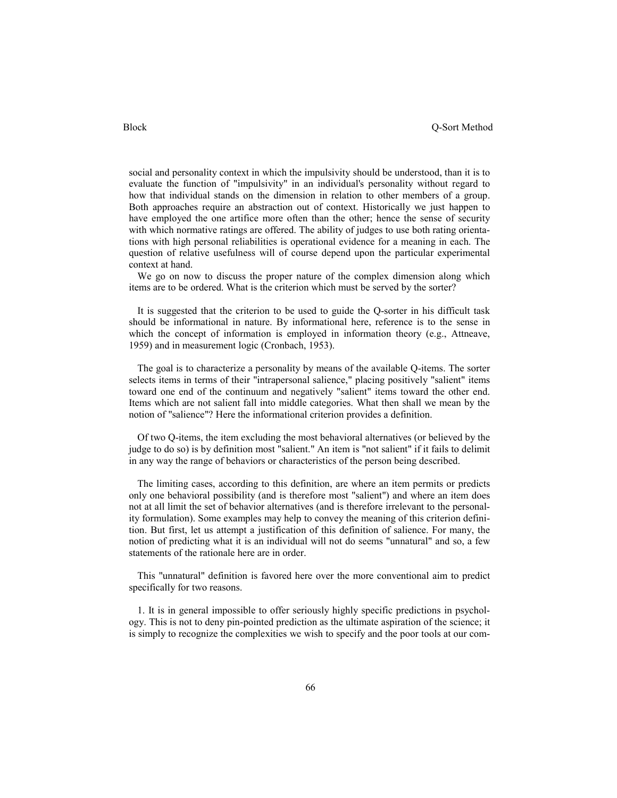social and personality context in which the impulsivity should be understood, than it is to evaluate the function of "impulsivity" in an individual's personality without regard to how that individual stands on the dimension in relation to other members of a group. Both approaches require an abstraction out of context. Historically we just happen to have employed the one artifice more often than the other; hence the sense of security with which normative ratings are offered. The ability of judges to use both rating orientations with high personal reliabilities is operational evidence for a meaning in each. The question of relative usefulness will of course depend upon the particular experimental context at hand.

We go on now to discuss the proper nature of the complex dimension along which items are to be ordered. What is the criterion which must be served by the sorter?

It is suggested that the criterion to be used to guide the Q-sorter in his difficult task should be informational in nature. By informational here, reference is to the sense in which the concept of information is employed in information theory (e.g., Attneave, 1959) and in measurement logic (Cronbach, 1953).

The goal is to characterize a personality by means of the available Q-items. The sorter selects items in terms of their "intrapersonal salience," placing positively "salient" items toward one end of the continuum and negatively "salient" items toward the other end. Items which are not salient fall into middle categories. What then shall we mean by the notion of "salience"? Here the informational criterion provides a definition.

Of two Q-items, the item excluding the most behavioral alternatives (or believed by the judge to do so) is by definition most "salient." An item is "not salient" if it fails to delimit in any way the range of behaviors or characteristics of the person being described.

The limiting cases, according to this definition, are where an item permits or predicts only one behavioral possibility (and is therefore most "salient") and where an item does not at all limit the set of behavior alternatives (and is therefore irrelevant to the personality formulation). Some examples may help to convey the meaning of this criterion definition. But first, let us attempt a justification of this definition of salience. For many, the notion of predicting what it is an individual will not do seems "unnatural" and so, a few statements of the rationale here are in order.

This "unnatural" definition is favored here over the more conventional aim to predict specifically for two reasons.

1. It is in general impossible to offer seriously highly specific predictions in psychology. This is not to deny pin-pointed prediction as the ultimate aspiration of the science; it is simply to recognize the complexities we wish to specify and the poor tools at our com-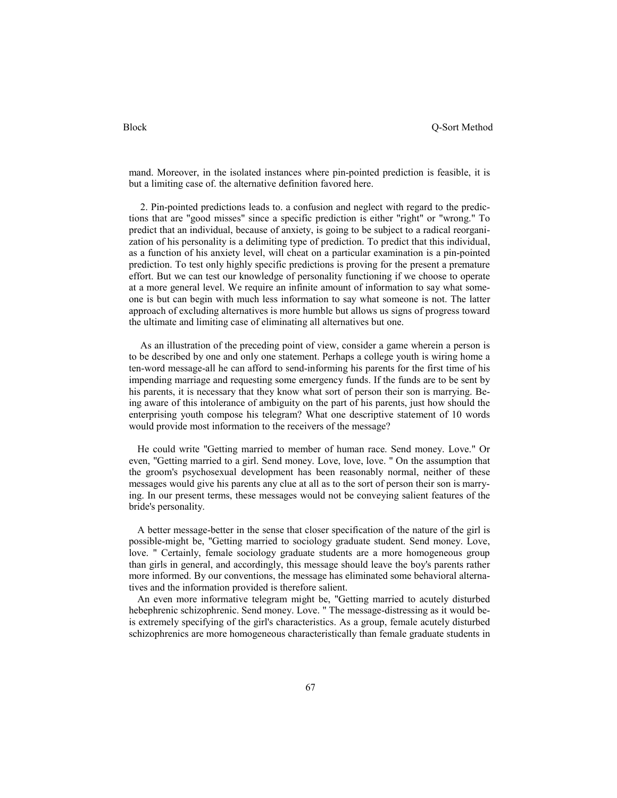mand. Moreover, in the isolated instances where pin-pointed prediction is feasible, it is but a limiting case of. the alternative definition favored here.

2. Pin-pointed predictions leads to. a confusion and neglect with regard to the predictions that are "good misses" since a specific prediction is either "right" or "wrong." To predict that an individual, because of anxiety, is going to be subject to a radical reorganization of his personality is a delimiting type of prediction. To predict that this individual, as a function of his anxiety level, will cheat on a particular examination is a pin-pointed prediction. To test only highly specific predictions is proving for the present a premature effort. But we can test our knowledge of personality functioning if we choose to operate at a more general level. We require an infinite amount of information to say what someone is but can begin with much less information to say what someone is not. The latter approach of excluding alternatives is more humble but allows us signs of progress toward the ultimate and limiting case of eliminating all alternatives but one.

As an illustration of the preceding point of view, consider a game wherein a person is to be described by one and only one statement. Perhaps a college youth is wiring home a ten-word message-all he can afford to send-informing his parents for the first time of his impending marriage and requesting some emergency funds. If the funds are to be sent by his parents, it is necessary that they know what sort of person their son is marrying. Being aware of this intolerance of ambiguity on the part of his parents, just how should the enterprising youth compose his telegram? What one descriptive statement of 10 words would provide most information to the receivers of the message?

He could write "Getting married to member of human race. Send money. Love." Or even, "Getting married to a girl. Send money. Love, love, love. " On the assumption that the groom's psychosexual development has been reasonably normal, neither of these messages would give his parents any clue at all as to the sort of person their son is marrying. In our present terms, these messages would not be conveying salient features of the bride's personality.

A better message-better in the sense that closer specification of the nature of the girl is possible-might be, "Getting married to sociology graduate student. Send money. Love, love. " Certainly, female sociology graduate students are a more homogeneous group than girls in general, and accordingly, this message should leave the boy's parents rather more informed. By our conventions, the message has eliminated some behavioral alternatives and the information provided is therefore salient.

An even more informative telegram might be, "Getting married to acutely disturbed hebephrenic schizophrenic. Send money. Love. " The message-distressing as it would beis extremely specifying of the girl's characteristics. As a group, female acutely disturbed schizophrenics are more homogeneous characteristically than female graduate students in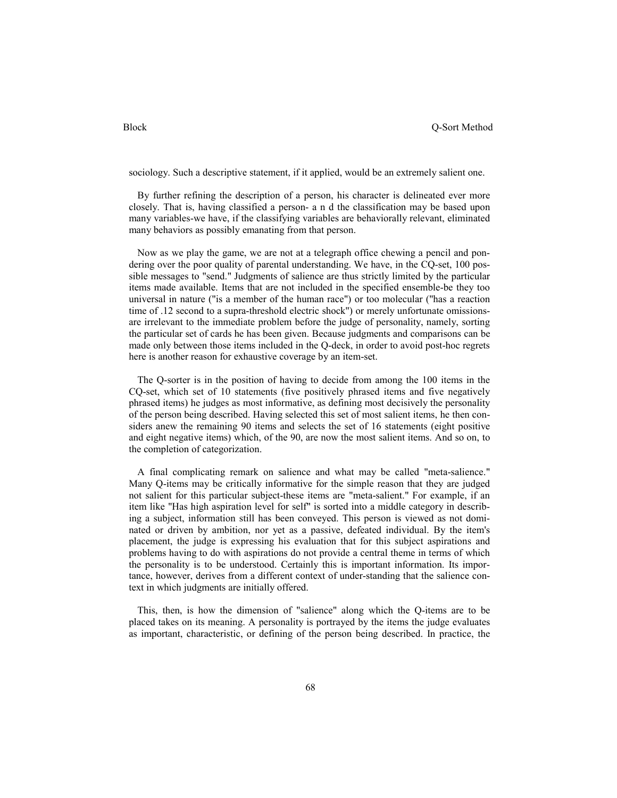sociology. Such a descriptive statement, if it applied, would be an extremely salient one.

By further refining the description of a person, his character is delineated ever more closely. That is, having classified a person- a n d the classification may be based upon many variables-we have, if the classifying variables are behaviorally relevant, eliminated many behaviors as possibly emanating from that person.

Now as we play the game, we are not at a telegraph office chewing a pencil and pondering over the poor quality of parental understanding. We have, in the CQ-set, 100 possible messages to "send." Judgments of salience are thus strictly limited by the particular items made available. Items that are not included in the specified ensemble-be they too universal in nature ("is a member of the human race") or too molecular ("has a reaction time of .12 second to a supra-threshold electric shock") or merely unfortunate omissionsare irrelevant to the immediate problem before the judge of personality, namely, sorting the particular set of cards he has been given. Because judgments and comparisons can be made only between those items included in the Q-deck, in order to avoid post-hoc regrets here is another reason for exhaustive coverage by an item-set.

The Q-sorter is in the position of having to decide from among the 100 items in the CQ-set, which set of 10 statements (five positively phrased items and five negatively phrased items) he judges as most informative, as defining most decisively the personality of the person being described. Having selected this set of most salient items, he then considers anew the remaining 90 items and selects the set of 16 statements (eight positive and eight negative items) which, of the 90, are now the most salient items. And so on, to the completion of categorization.

A final complicating remark on salience and what may be called "meta-salience." Many Q-items may be critically informative for the simple reason that they are judged not salient for this particular subject-these items are "meta-salient." For example, if an item like "Has high aspiration level for self" is sorted into a middle category in describing a subject, information still has been conveyed. This person is viewed as not dominated or driven by ambition, nor yet as a passive, defeated individual. By the item's placement, the judge is expressing his evaluation that for this subject aspirations and problems having to do with aspirations do not provide a central theme in terms of which the personality is to be understood. Certainly this is important information. Its importance, however, derives from a different context of under-standing that the salience context in which judgments are initially offered.

This, then, is how the dimension of "salience" along which the Q-items are to be placed takes on its meaning. A personality is portrayed by the items the judge evaluates as important, characteristic, or defining of the person being described. In practice, the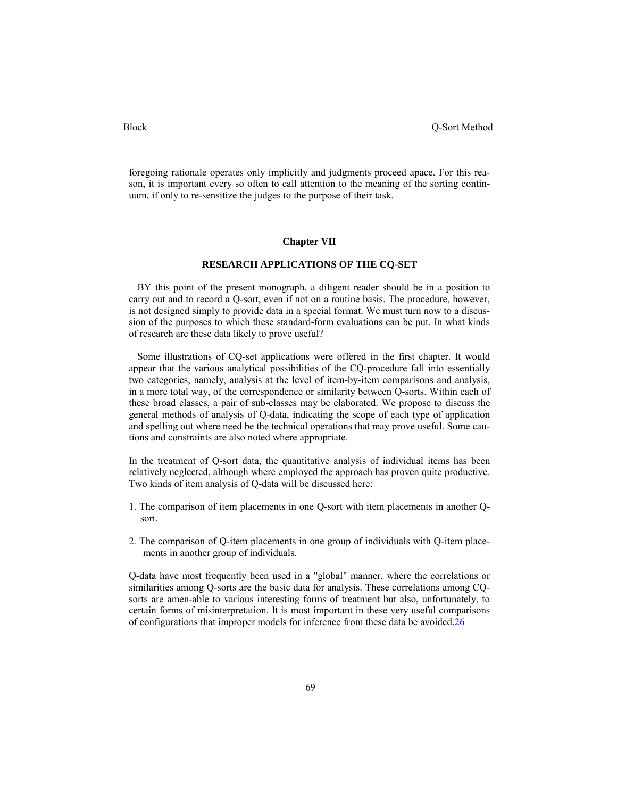foregoing rationale operates only implicitly and judgments proceed apace. For this reason, it is important every so often to call attention to the meaning of the sorting continuum, if only to re-sensitize the judges to the purpose of their task.

## **Chapter VII**

# **RESEARCH APPLICATIONS OF THE CQ-SET**

BY this point of the present monograph, a diligent reader should be in a position to carry out and to record a Q-sort, even if not on a routine basis. The procedure, however, is not designed simply to provide data in a special format. We must turn now to a discussion of the purposes to which these standard-form evaluations can be put. In what kinds of research are these data likely to prove useful?

Some illustrations of CQ-set applications were offered in the first chapter. It would appear that the various analytical possibilities of the CQ-procedure fall into essentially two categories, namely, analysis at the level of item-by-item comparisons and analysis, in a more total way, of the correspondence or similarity between Q-sorts. Within each of these broad classes, a pair of sub-classes may be elaborated. We propose to discuss the general methods of analysis of Q-data, indicating the scope of each type of application and spelling out where need be the technical operations that may prove useful. Some cautions and constraints are also noted where appropriate.

In the treatment of Q-sort data, the quantitative analysis of individual items has been relatively neglected, although where employed the approach has proven quite productive. Two kinds of item analysis of Q-data will be discussed here:

- 1. The comparison of item placements in one Q-sort with item placements in another Qsort.
- 2. The comparison of Q-item placements in one group of individuals with Q-item placements in another group of individuals.

Q-data have most frequently been used in a "global" manner, where the correlations or similarities among Q-sorts are the basic data for analysis. These correlations among CQsorts are amen-able to various interesting forms of treatment but also, unfortunately, to certain forms of misinterpretation. It is most important in these very useful comparisons of configurations that improper models for inference from these data be avoided.26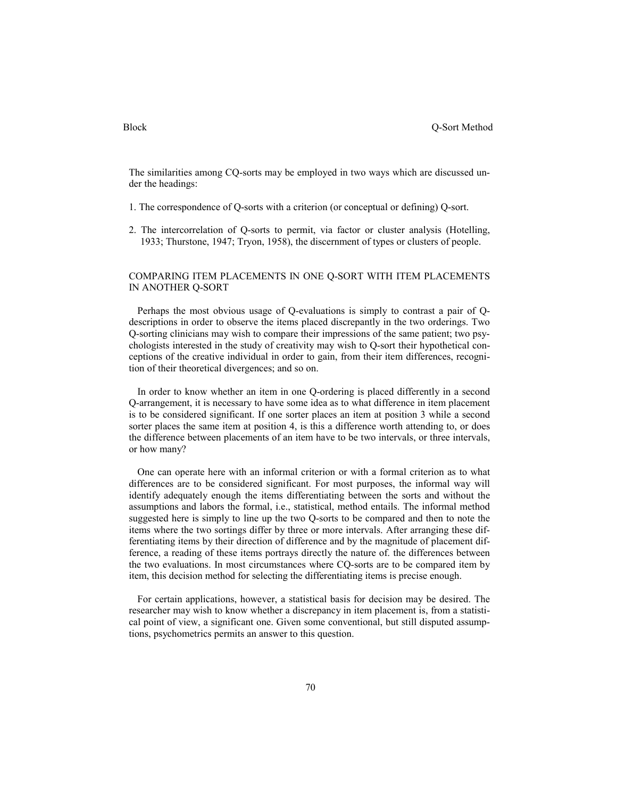The similarities among CQ-sorts may be employed in two ways which are discussed under the headings:

- 1. The correspondence of Q-sorts with a criterion (or conceptual or defining) Q-sort.
- 2. The intercorrelation of Q-sorts to permit, via factor or cluster analysis (Hotelling, 1933; Thurstone, 1947; Tryon, 1958), the discernment of types or clusters of people.

# COMPARING ITEM PLACEMENTS IN ONE Q-SORT WITH ITEM PLACEMENTS IN ANOTHER Q-SORT

Perhaps the most obvious usage of Q-evaluations is simply to contrast a pair of Qdescriptions in order to observe the items placed discrepantly in the two orderings. Two Q-sorting clinicians may wish to compare their impressions of the same patient; two psychologists interested in the study of creativity may wish to Q-sort their hypothetical conceptions of the creative individual in order to gain, from their item differences, recognition of their theoretical divergences; and so on.

In order to know whether an item in one Q-ordering is placed differently in a second Q-arrangement, it is necessary to have some idea as to what difference in item placement is to be considered significant. If one sorter places an item at position 3 while a second sorter places the same item at position 4, is this a difference worth attending to, or does the difference between placements of an item have to be two intervals, or three intervals, or how many?

One can operate here with an informal criterion or with a formal criterion as to what differences are to be considered significant. For most purposes, the informal way will identify adequately enough the items differentiating between the sorts and without the assumptions and labors the formal, i.e., statistical, method entails. The informal method suggested here is simply to line up the two Q-sorts to be compared and then to note the items where the two sortings differ by three or more intervals. After arranging these differentiating items by their direction of difference and by the magnitude of placement difference, a reading of these items portrays directly the nature of. the differences between the two evaluations. In most circumstances where CQ-sorts are to be compared item by item, this decision method for selecting the differentiating items is precise enough.

For certain applications, however, a statistical basis for decision may be desired. The researcher may wish to know whether a discrepancy in item placement is, from a statistical point of view, a significant one. Given some conventional, but still disputed assumptions, psychometrics permits an answer to this question.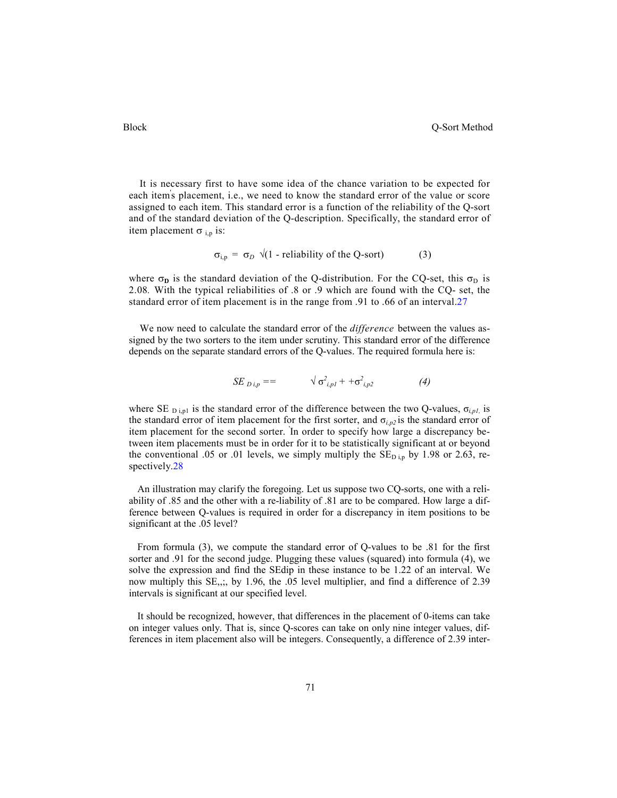It is necessary first to have some idea of the chance variation to be expected for each item's placement, i.e., we need to know the standard error of the value or score assigned to each item. This standard error is a function of the reliability of the Q-sort and of the standard deviation of the Q-description. Specifically, the standard error of item placement  $\sigma_{i,p}$  is:

$$
\sigma_{i,p} = \sigma_D \sqrt{1 - \text{reliability of the Q-sort}}
$$
 (3)

where  $\sigma_{\mathbf{D}}$  is the standard deviation of the Q-distribution. For the CQ-set, this  $\sigma_{\mathbf{D}}$  is 2.08*.* With the typical reliabilities of .8 or .9 which are found with the CQ- set, the standard error of item placement is in the range from .91 to .66 of an interval.27

We now need to calculate the standard error of the *difference* between the values assigned by the two sorters to the item under scrutiny. This standard error of the difference depends on the separate standard errors of the Q-values. The required formula here is:

$$
SE_{D\,i,p} == \qquad \sqrt{\sigma^2_{i,p1} + \sigma^2_{i,p2}} \qquad (4)
$$

where SE  $_{\text{D i,pl}}$  is the standard error of the difference between the two Q-values,  $\sigma_{i,pl}$ , is the standard error of item placement for the first sorter, and  $\sigma_{i,p2}$  is the standard error of item placement for the second sorter. ' In order to specify how large a discrepancy between item placements must be in order for it to be statistically significant at or beyond the conventional .05 or .01 levels, we simply multiply the  $SE<sub>Dip</sub>$  by 1.98 or 2.63, respectively.28

An illustration may clarify the foregoing. Let us suppose two CQ-sorts, one with a reliability of .85 and the other with a re-liability of .81 are to be compared. How large a difference between Q-values is required in order for a discrepancy in item positions to be significant at the .05 level?

From formula (3), we compute the standard error of Q-values to be .81 for the first sorter and .91 for the second judge. Plugging these values (squared) into formula (4), we solve the expression and find the SEdip in these instance to be 1.22 of an interval. We now multiply this SE,,,, by 1.96, the .05 level multiplier, and find a difference of 2.39 intervals is significant at our specified level.

It should be recognized, however, that differences in the placement of 0-items can take on integer values only. That is, since Q-scores can take on only nine integer values, differences in item placement also will be integers. Consequently, a difference of 2.39 inter-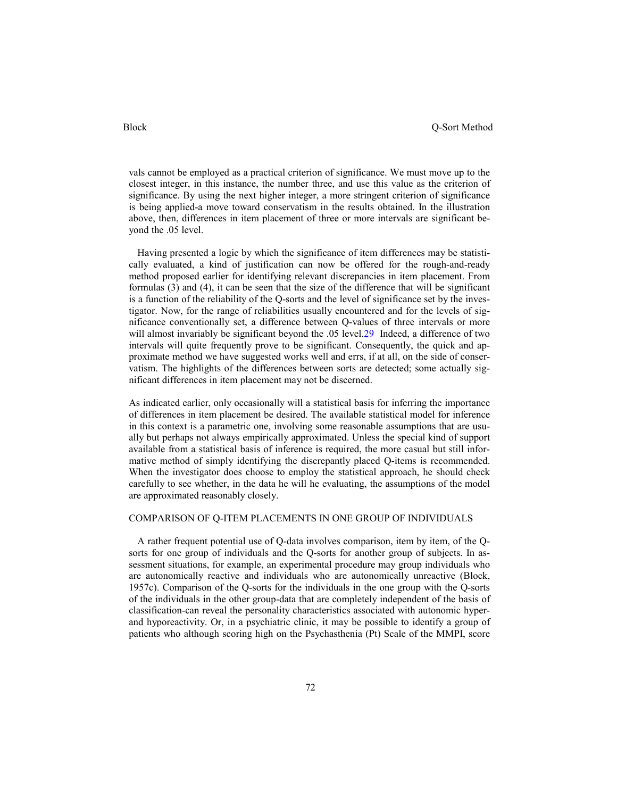vals cannot be employed as a practical criterion of significance. We must move up to the closest integer, in this instance, the number three, and use this value as the criterion of significance. By using the next higher integer, a more stringent criterion of significance is being applied-a move toward conservatism in the results obtained. In the illustration above, then, differences in item placement of three or more intervals are significant beyond the .05 level.

Having presented a logic by which the significance of item differences may be statistically evaluated, a kind of justification can now be offered for the rough-and-ready method proposed earlier for identifying relevant discrepancies in item placement. From formulas (3) and (4), it can be seen that the size of the difference that will be significant is a function of the reliability of the Q-sorts and the level of significance set by the investigator. Now, for the range of reliabilities usually encountered and for the levels of significance conventionally set, a difference between Q-values of three intervals or more will almost invariably be significant beyond the .05 level.29 Indeed, a difference of two intervals will quite frequently prove to be significant. Consequently, the quick and approximate method we have suggested works well and errs, if at all, on the side of conservatism. The highlights of the differences between sorts are detected; some actually significant differences in item placement may not be discerned.

As indicated earlier, only occasionally will a statistical basis for inferring the importance of differences in item placement be desired. The available statistical model for inference in this context is a parametric one, involving some reasonable assumptions that are usually but perhaps not always empirically approximated. Unless the special kind of support available from a statistical basis of inference is required, the more casual but still informative method of simply identifying the discrepantly placed Q-items is recommended. When the investigator does choose to employ the statistical approach, he should check carefully to see whether, in the data he will he evaluating, the assumptions of the model are approximated reasonably closely.

## COMPARISON OF Q-ITEM PLACEMENTS IN ONE GROUP OF INDIVIDUALS

A rather frequent potential use of Q-data involves comparison, item by item, of the Qsorts for one group of individuals and the Q-sorts for another group of subjects. In assessment situations, for example, an experimental procedure may group individuals who are autonomically reactive and individuals who are autonomically unreactive (Block, 1957c). Comparison of the Q-sorts for the individuals in the one group with the Q-sorts of the individuals in the other group-data that are completely independent of the basis of classification-can reveal the personality characteristics associated with autonomic hyperand hyporeactivity. Or, in a psychiatric clinic, it may be possible to identify a group of patients who although scoring high on the Psychasthenia (Pt) Scale of the MMPI, score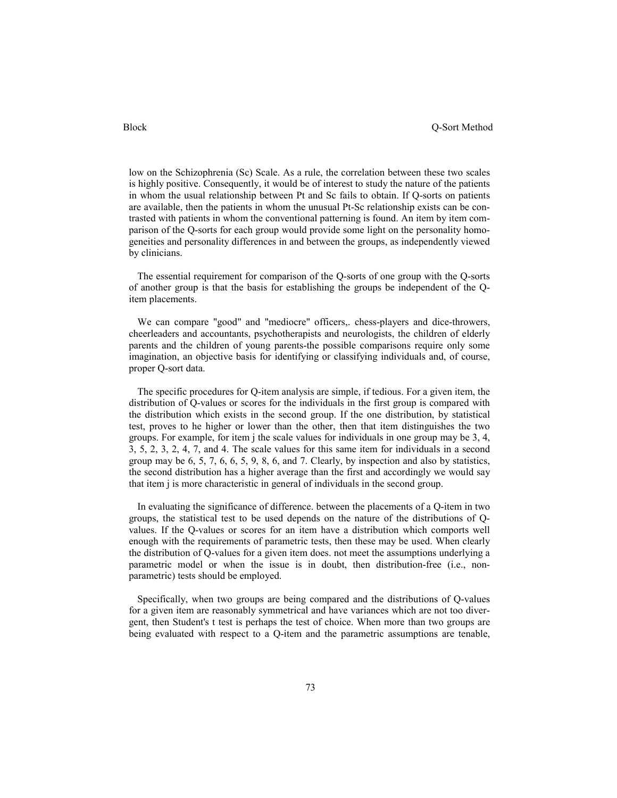low on the Schizophrenia (Sc) Scale. As a rule, the correlation between these two scales is highly positive. Consequently, it would be of interest to study the nature of the patients in whom the usual relationship between Pt and Sc fails to obtain. If Q-sorts on patients are available, then the patients in whom the unusual Pt-Sc relationship exists can be contrasted with patients in whom the conventional patterning is found. An item by item comparison of the Q-sorts for each group would provide some light on the personality homogeneities and personality differences in and between the groups, as independently viewed by clinicians.

The essential requirement for comparison of the Q-sorts of one group with the Q-sorts of another group is that the basis for establishing the groups be independent of the Qitem placements.

We can compare "good" and "mediocre" officers,. chess-players and dice-throwers, cheerleaders and accountants, psychotherapists and neurologists, the children of elderly parents and the children of young parents-the possible comparisons require only some imagination, an objective basis for identifying or classifying individuals and, of course, proper Q-sort data.

The specific procedures for Q-item analysis are simple, if tedious. For a given item, the distribution of Q-values or scores for the individuals in the first group is compared with the distribution which exists in the second group. If the one distribution, by statistical test, proves to he higher or lower than the other, then that item distinguishes the two groups. For example, for item j the scale values for individuals in one group may be 3, 4, 3, 5, 2, 3, 2, 4, 7, and 4. The scale values for this same item for individuals in a second group may be  $6, 5, 7, 6, 6, 5, 9, 8, 6,$  and  $7$ . Clearly, by inspection and also by statistics, the second distribution has a higher average than the first and accordingly we would say that item j is more characteristic in general of individuals in the second group.

In evaluating the significance of difference. between the placements of a Q-item in two groups, the statistical test to be used depends on the nature of the distributions of Qvalues. If the Q-values or scores for an item have a distribution which comports well enough with the requirements of parametric tests, then these may be used. When clearly the distribution of Q-values for a given item does. not meet the assumptions underlying a parametric model or when the issue is in doubt, then distribution-free (i.e., nonparametric) tests should be employed.

Specifically, when two groups are being compared and the distributions of Q-values for a given item are reasonably symmetrical and have variances which are not too divergent, then Student's t test is perhaps the test of choice. When more than two groups are being evaluated with respect to a Q-item and the parametric assumptions are tenable,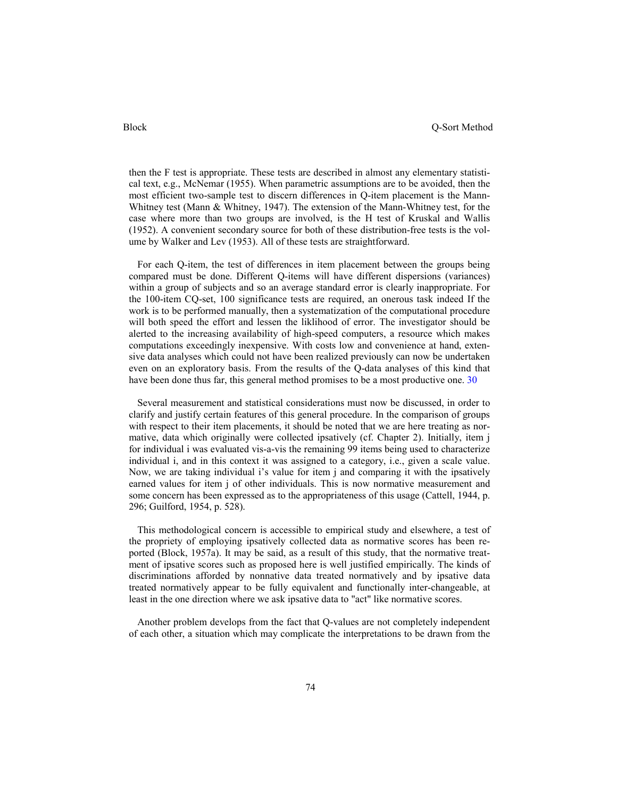then the F test is appropriate. These tests are described in almost any elementary statistical text, e.g., McNemar (1955). When parametric assumptions are to be avoided, then the most efficient two-sample test to discern differences in Q-item placement is the Mann-Whitney test (Mann & Whitney, 1947). The extension of the Mann-Whitney test, for the case where more than two groups are involved, is the H test of Kruskal and Wallis (1952). A convenient secondary source for both of these distribution-free tests is the volume by Walker and Lev (1953). All of these tests are straightforward.

For each Q-item, the test of differences in item placement between the groups being compared must be done. Different Q-items will have different dispersions (variances) within a group of subjects and so an average standard error is clearly inappropriate. For the 100-item CQ-set, 100 significance tests are required, an onerous task indeed If the work is to be performed manually, then a systematization of the computational procedure will both speed the effort and lessen the liklihood of error. The investigator should be alerted to the increasing availability of high-speed computers, a resource which makes computations exceedingly inexpensive. With costs low and convenience at hand, extensive data analyses which could not have been realized previously can now be undertaken even on an exploratory basis. From the results of the Q-data analyses of this kind that have been done thus far, this general method promises to be a most productive one. 30

Several measurement and statistical considerations must now be discussed, in order to clarify and justify certain features of this general procedure. In the comparison of groups with respect to their item placements, it should be noted that we are here treating as normative, data which originally were collected ipsatively (cf. Chapter 2). Initially, item j for individual i was evaluated vis-a-vis the remaining 99 items being used to characterize individual i, and in this context it was assigned to a category, i.e., given a scale value. Now, we are taking individual i's value for item j and comparing it with the ipsatively earned values for item j of other individuals. This is now normative measurement and some concern has been expressed as to the appropriateness of this usage (Cattell, 1944, p. 296; Guilford, 1954, p. 528).

This methodological concern is accessible to empirical study and elsewhere, a test of the propriety of employing ipsatively collected data as normative scores has been reported (Block, 1957a). It may be said, as a result of this study, that the normative treatment of ipsative scores such as proposed here is well justified empirically. The kinds of discriminations afforded by nonnative data treated normatively and by ipsative data treated normatively appear to be fully equivalent and functionally inter-changeable, at least in the one direction where we ask ipsative data to "act" like normative scores.

Another problem develops from the fact that Q-values are not completely independent of each other, a situation which may complicate the interpretations to be drawn from the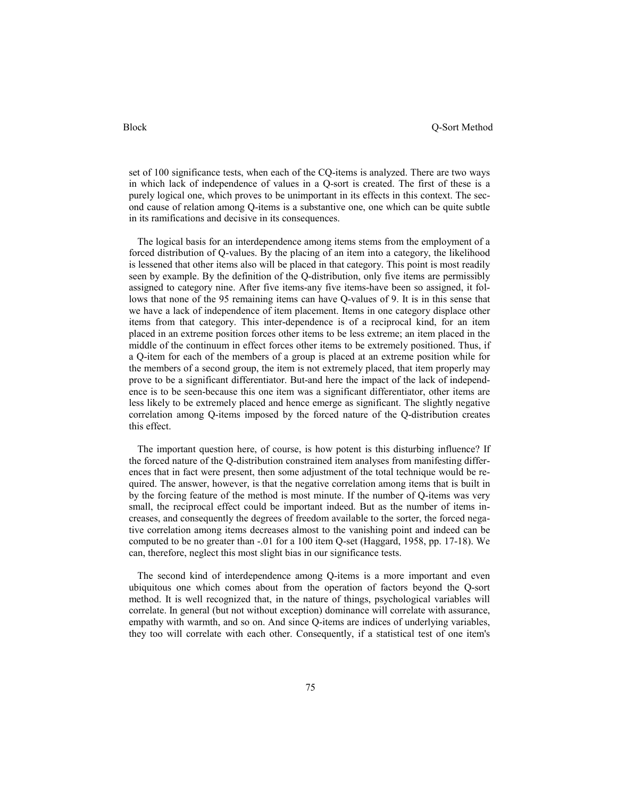set of 100 significance tests, when each of the CQ-items is analyzed. There are two ways in which lack of independence of values in a Q-sort is created. The first of these is a purely logical one, which proves to be unimportant in its effects in this context. The second cause of relation among Q-items is a substantive one, one which can be quite subtle in its ramifications and decisive in its consequences.

The logical basis for an interdependence among items stems from the employment of a forced distribution of Q-values. By the placing of an item into a category, the likelihood is lessened that other items also will be placed in that category. This point is most readily seen by example. By the definition of the Q-distribution, only five items are permissibly assigned to category nine. After five items-any five items-have been so assigned, it follows that none of the 95 remaining items can have Q-values of 9. It is in this sense that we have a lack of independence of item placement. Items in one category displace other items from that category. This inter-dependence is of a reciprocal kind, for an item placed in an extreme position forces other items to be less extreme; an item placed in the middle of the continuum in effect forces other items to be extremely positioned. Thus, if a Q-item for each of the members of a group is placed at an extreme position while for the members of a second group, the item is not extremely placed, that item properly may prove to be a significant differentiator. But-and here the impact of the lack of independence is to be seen-because this one item was a significant differentiator, other items are less likely to be extremely placed and hence emerge as significant. The slightly negative correlation among Q-items imposed by the forced nature of the Q-distribution creates this effect.

The important question here, of course, is how potent is this disturbing influence? If the forced nature of the Q-distribution constrained item analyses from manifesting differences that in fact were present, then some adjustment of the total technique would be required. The answer, however, is that the negative correlation among items that is built in by the forcing feature of the method is most minute. If the number of Q-items was very small, the reciprocal effect could be important indeed. But as the number of items increases, and consequently the degrees of freedom available to the sorter, the forced negative correlation among items decreases almost to the vanishing point and indeed can be computed to be no greater than -.01 for a 100 item Q-set (Haggard, 1958, pp. 17-18). We can, therefore, neglect this most slight bias in our significance tests.

The second kind of interdependence among Q-items is a more important and even ubiquitous one which comes about from the operation of factors beyond the Q-sort method. It is well recognized that, in the nature of things, psychological variables will correlate. In general (but not without exception) dominance will correlate with assurance, empathy with warmth, and so on. And since Q-items are indices of underlying variables, they too will correlate with each other. Consequently, if a statistical test of one item's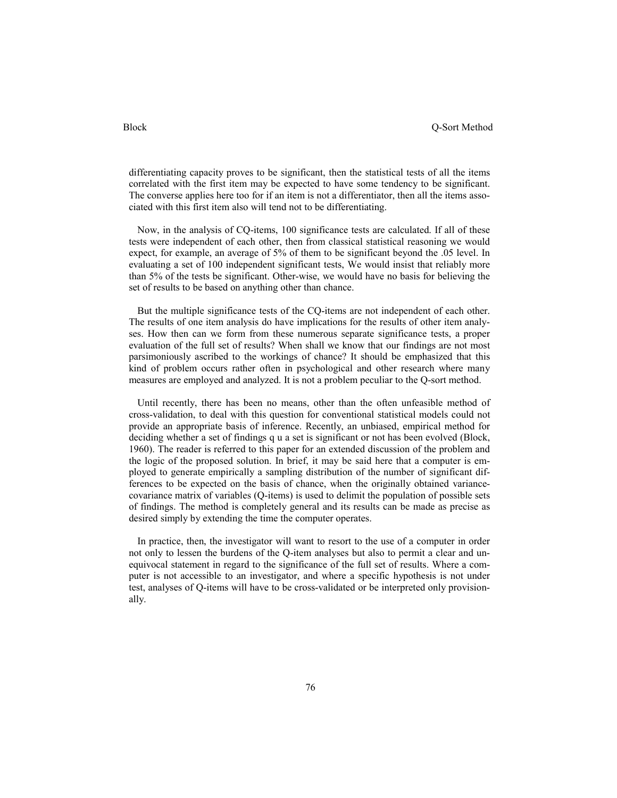differentiating capacity proves to be significant, then the statistical tests of all the items correlated with the first item may be expected to have some tendency to be significant. The converse applies here too for if an item is not a differentiator, then all the items associated with this first item also will tend not to be differentiating.

Now, in the analysis of CQ-items, 100 significance tests are calculated. If all of these tests were independent of each other, then from classical statistical reasoning we would expect, for example, an average of 5% of them to be significant beyond the .05 level. In evaluating a set of 100 independent significant tests, We would insist that reliably more than 5% of the tests be significant. Other-wise, we would have no basis for believing the set of results to be based on anything other than chance.

But the multiple significance tests of the CQ-items are not independent of each other. The results of one item analysis do have implications for the results of other item analyses. How then can we form from these numerous separate significance tests, a proper evaluation of the full set of results? When shall we know that our findings are not most parsimoniously ascribed to the workings of chance? It should be emphasized that this kind of problem occurs rather often in psychological and other research where many measures are employed and analyzed. It is not a problem peculiar to the Q-sort method.

Until recently, there has been no means, other than the often unfeasible method of cross-validation, to deal with this question for conventional statistical models could not provide an appropriate basis of inference. Recently, an unbiased, empirical method for deciding whether a set of findings q u a set is significant or not has been evolved (Block, 1960). The reader is referred to this paper for an extended discussion of the problem and the logic of the proposed solution. In brief, it may be said here that a computer is employed to generate empirically a sampling distribution of the number of significant differences to be expected on the basis of chance, when the originally obtained variancecovariance matrix of variables (Q-items) is used to delimit the population of possible sets of findings. The method is completely general and its results can be made as precise as desired simply by extending the time the computer operates.

In practice, then, the investigator will want to resort to the use of a computer in order not only to lessen the burdens of the Q-item analyses but also to permit a clear and unequivocal statement in regard to the significance of the full set of results. Where a computer is not accessible to an investigator, and where a specific hypothesis is not under test, analyses of Q-items will have to be cross-validated or be interpreted only provisionally.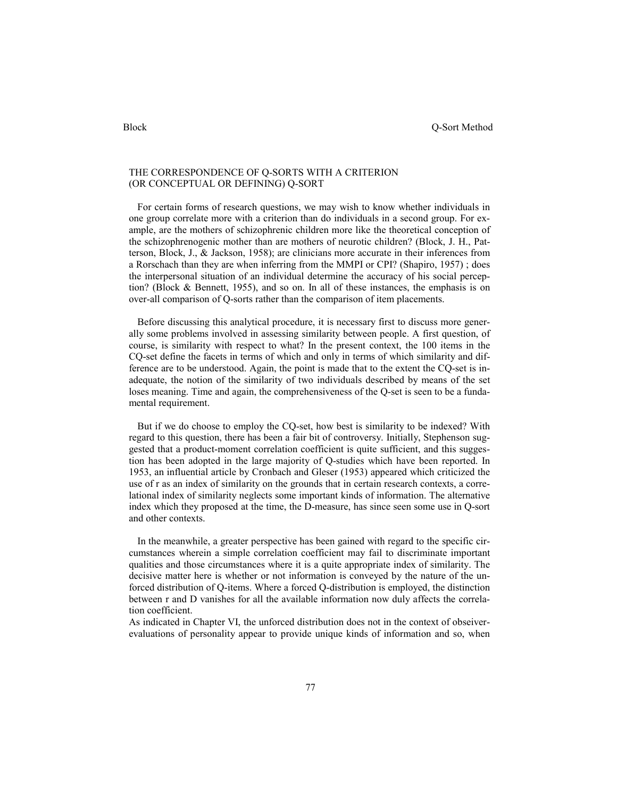# THE CORRESPONDENCE OF Q-SORTS WITH A CRITERION (OR CONCEPTUAL OR DEFINING) Q-SORT

For certain forms of research questions, we may wish to know whether individuals in one group correlate more with a criterion than do individuals in a second group. For example, are the mothers of schizophrenic children more like the theoretical conception of the schizophrenogenic mother than are mothers of neurotic children? (Block, J. H., Patterson, Block, J., & Jackson, 1958); are clinicians more accurate in their inferences from a Rorschach than they are when inferring from the MMPI or CPI? (Shapiro, 1957) ; does the interpersonal situation of an individual determine the accuracy of his social perception? (Block & Bennett, 1955), and so on. In all of these instances, the emphasis is on over-all comparison of Q-sorts rather than the comparison of item placements.

Before discussing this analytical procedure, it is necessary first to discuss more generally some problems involved in assessing similarity between people. A first question, of course, is similarity with respect to what? In the present context, the 100 items in the CQ-set define the facets in terms of which and only in terms of which similarity and difference are to be understood. Again, the point is made that to the extent the CQ-set is inadequate, the notion of the similarity of two individuals described by means of the set loses meaning. Time and again, the comprehensiveness of the Q-set is seen to be a fundamental requirement.

But if we do choose to employ the CQ-set, how best is similarity to be indexed? With regard to this question, there has been a fair bit of controversy. Initially, Stephenson suggested that a product-moment correlation coefficient is quite sufficient, and this suggestion has been adopted in the large majority of Q-studies which have been reported. In 1953, an influential article by Cronbach and Gleser (1953) appeared which criticized the use of r as an index of similarity on the grounds that in certain research contexts, a correlational index of similarity neglects some important kinds of information. The alternative index which they proposed at the time, the D-measure, has since seen some use in Q-sort and other contexts.

In the meanwhile, a greater perspective has been gained with regard to the specific circumstances wherein a simple correlation coefficient may fail to discriminate important qualities and those circumstances where it is a quite appropriate index of similarity. The decisive matter here is whether or not information is conveyed by the nature of the unforced distribution of Q-items. Where a forced Q-distribution is employed, the distinction between r and D vanishes for all the available information now duly affects the correlation coefficient.

As indicated in Chapter VI, the unforced distribution does not in the context of obseiverevaluations of personality appear to provide unique kinds of information and so, when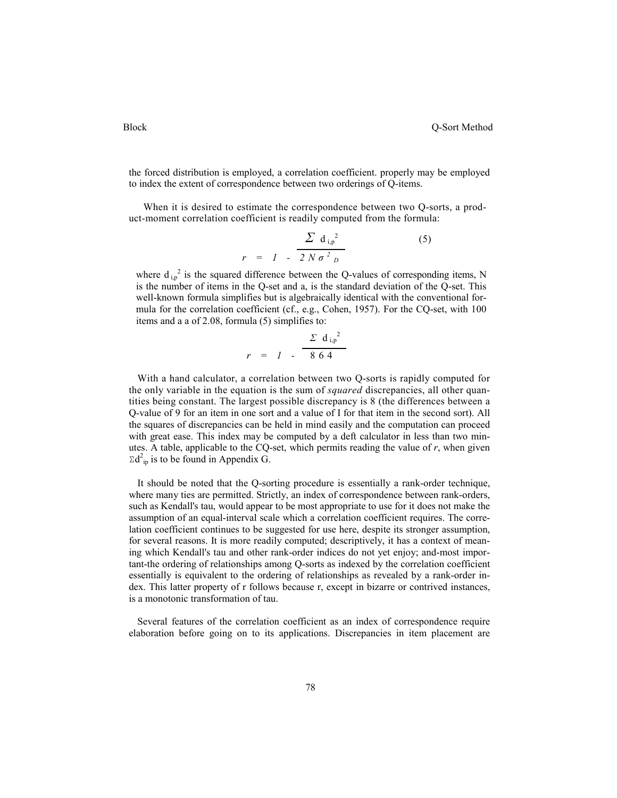the forced distribution is employed, a correlation coefficient. properly may be employed to index the extent of correspondence between two orderings of Q-items.

When it is desired to estimate the correspondence between two Q-sorts, a product-moment correlation coefficient is readily computed from the formula:

$$
r = I - \frac{\sum d_{i,p}^{2}}{2 N \sigma^{2} D}
$$
 (5)

where  $d_{ip}^2$  is the squared difference between the Q-values of corresponding items, N is the number of items in the Q-set and a, is the standard deviation of the Q-set. This well-known formula simplifies but is algebraically identical with the conventional formula for the correlation coefficient (cf., e.g., Cohen, 1957). For the CQ-set, with 100 items and a a of 2.08, formula (5) simplifies to:

$$
r = 1 - \frac{\sum d_{i,p}^2}{864}
$$

With a hand calculator, a correlation between two Q-sorts is rapidly computed for the only variable in the equation is the sum of *squared* discrepancies, all other quantities being constant. The largest possible discrepancy is 8 (the differences between a Q-value of 9 for an item in one sort and a value of I for that item in the second sort). All the squares of discrepancies can be held in mind easily and the computation can proceed with great ease. This index may be computed by a deft calculator in less than two minutes. A table, applicable to the CQ-set, which permits reading the value of *r*, when given  $\Sigma d_{ip}^2$  is to be found in Appendix G.

It should be noted that the Q-sorting procedure is essentially a rank-order technique, where many ties are permitted. Strictly, an index of correspondence between rank-orders, such as Kendall's tau, would appear to be most appropriate to use for it does not make the assumption of an equal-interval scale which a correlation coefficient requires. The correlation coefficient continues to be suggested for use here, despite its stronger assumption, for several reasons. It is more readily computed; descriptively, it has a context of meaning which Kendall's tau and other rank-order indices do not yet enjoy; and-most important-the ordering of relationships among Q-sorts as indexed by the correlation coefficient essentially is equivalent to the ordering of relationships as revealed by a rank-order index. This latter property of r follows because r, except in bizarre or contrived instances, is a monotonic transformation of tau.

Several features of the correlation coefficient as an index of correspondence require elaboration before going on to its applications. Discrepancies in item placement are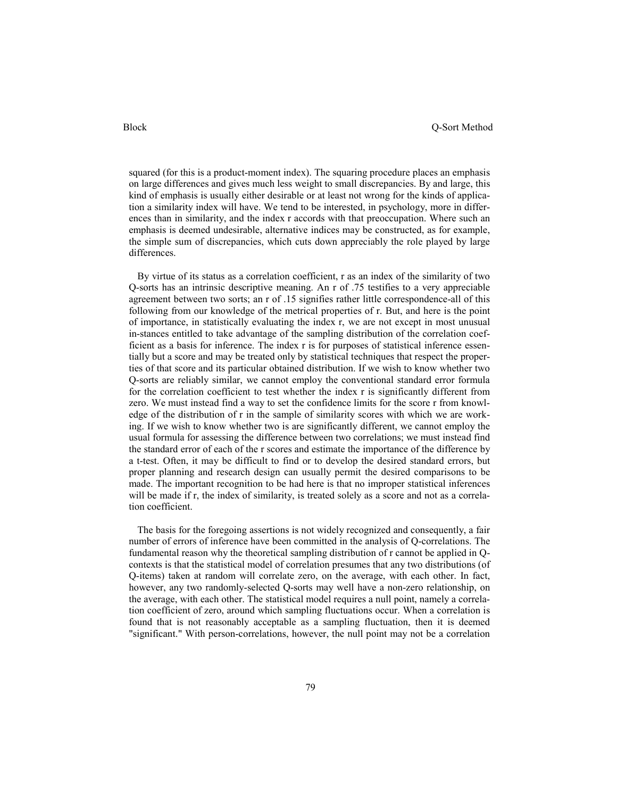squared (for this is a product-moment index). The squaring procedure places an emphasis on large differences and gives much less weight to small discrepancies. By and large, this kind of emphasis is usually either desirable or at least not wrong for the kinds of application a similarity index will have. We tend to be interested, in psychology, more in differences than in similarity, and the index r accords with that preoccupation. Where such an emphasis is deemed undesirable, alternative indices may be constructed, as for example, the simple sum of discrepancies, which cuts down appreciably the role played by large differences.

By virtue of its status as a correlation coefficient, r as an index of the similarity of two Q-sorts has an intrinsic descriptive meaning. An r of .75 testifies to a very appreciable agreement between two sorts; an r of .15 signifies rather little correspondence-all of this following from our knowledge of the metrical properties of r. But, and here is the point of importance, in statistically evaluating the index r, we are not except in most unusual in-stances entitled to take advantage of the sampling distribution of the correlation coefficient as a basis for inference. The index r is for purposes of statistical inference essentially but a score and may be treated only by statistical techniques that respect the properties of that score and its particular obtained distribution. If we wish to know whether two Q-sorts are reliably similar, we cannot employ the conventional standard error formula for the correlation coefficient to test whether the index r is significantly different from zero. We must instead find a way to set the confidence limits for the score r from knowledge of the distribution of r in the sample of similarity scores with which we are working. If we wish to know whether two is are significantly different, we cannot employ the usual formula for assessing the difference between two correlations; we must instead find the standard error of each of the r scores and estimate the importance of the difference by a t-test. Often, it may be difficult to find or to develop the desired standard errors, but proper planning and research design can usually permit the desired comparisons to be made. The important recognition to be had here is that no improper statistical inferences will be made if r, the index of similarity, is treated solely as a score and not as a correlation coefficient.

The basis for the foregoing assertions is not widely recognized and consequently, a fair number of errors of inference have been committed in the analysis of Q-correlations. The fundamental reason why the theoretical sampling distribution of r cannot be applied in Qcontexts is that the statistical model of correlation presumes that any two distributions (of Q-items) taken at random will correlate zero, on the average, with each other. In fact, however, any two randomly-selected Q-sorts may well have a non-zero relationship, on the average, with each other. The statistical model requires a null point, namely a correlation coefficient of zero, around which sampling fluctuations occur. When a correlation is found that is not reasonably acceptable as a sampling fluctuation, then it is deemed "significant." With person-correlations, however, the null point may not be a correlation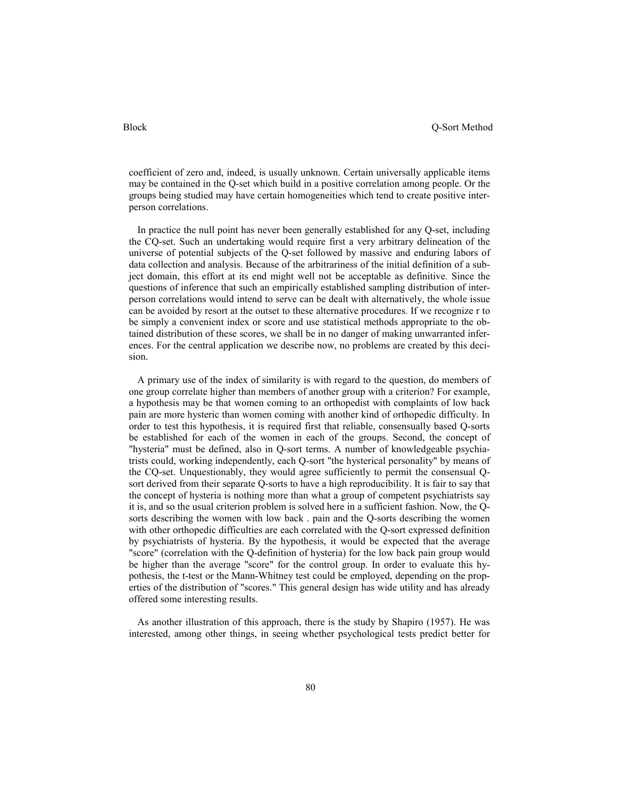coefficient of zero and, indeed, is usually unknown. Certain universally applicable items may be contained in the Q-set which build in a positive correlation among people. Or the groups being studied may have certain homogeneities which tend to create positive interperson correlations.

In practice the null point has never been generally established for any Q-set, including the CQ-set. Such an undertaking would require first a very arbitrary delineation of the universe of potential subjects of the Q-set followed by massive and enduring labors of data collection and analysis. Because of the arbitrariness of the initial definition of a subject domain, this effort at its end might well not be acceptable as definitive. Since the questions of inference that such an empirically established sampling distribution of interperson correlations would intend to serve can be dealt with alternatively, the whole issue can be avoided by resort at the outset to these alternative procedures. If we recognize r to be simply a convenient index or score and use statistical methods appropriate to the obtained distribution of these scores, we shall be in no danger of making unwarranted inferences. For the central application we describe now, no problems are created by this decision.

A primary use of the index of similarity is with regard to the question, do members of one group correlate higher than members of another group with a criterion? For example, a hypothesis may be that women coming to an orthopedist with complaints of low back pain are more hysteric than women coming with another kind of orthopedic difficulty. In order to test this hypothesis, it is required first that reliable, consensually based Q-sorts be established for each of the women in each of the groups. Second, the concept of "hysteria" must be defined, also in Q-sort terms. A number of knowledgeable psychiatrists could, working independently, each Q-sort "the hysterical personality" by means of the CQ-set. Unquestionably, they would agree sufficiently to permit the consensual Qsort derived from their separate Q-sorts to have a high reproducibility. It is fair to say that the concept of hysteria is nothing more than what a group of competent psychiatrists say it is, and so the usual criterion problem is solved here in a sufficient fashion. Now, the Qsorts describing the women with low back . pain and the Q-sorts describing the women with other orthopedic difficulties are each correlated with the Q-sort expressed definition by psychiatrists of hysteria. By the hypothesis, it would be expected that the average "score" (correlation with the Q-definition of hysteria) for the low back pain group would be higher than the average "score" for the control group. In order to evaluate this hypothesis, the t-test or the Mann-Whitney test could be employed, depending on the properties of the distribution of "scores." This general design has wide utility and has already offered some interesting results.

As another illustration of this approach, there is the study by Shapiro (1957). He was interested, among other things, in seeing whether psychological tests predict better for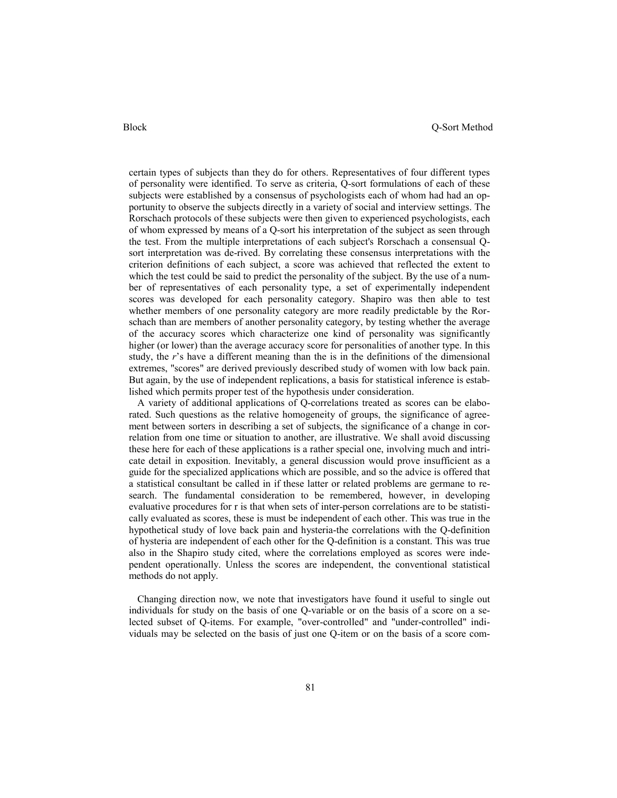certain types of subjects than they do for others. Representatives of four different types of personality were identified. To serve as criteria, Q-sort formulations of each of these subjects were established by a consensus of psychologists each of whom had had an opportunity to observe the subjects directly in a variety of social and interview settings. The Rorschach protocols of these subjects were then given to experienced psychologists, each of whom expressed by means of a Q-sort his interpretation of the subject as seen through the test. From the multiple interpretations of each subject's Rorschach a consensual Qsort interpretation was de-rived. By correlating these consensus interpretations with the criterion definitions of each subject, a score was achieved that reflected the extent to which the test could be said to predict the personality of the subject. By the use of a number of representatives of each personality type, a set of experimentally independent scores was developed for each personality category. Shapiro was then able to test whether members of one personality category are more readily predictable by the Rorschach than are members of another personality category, by testing whether the average of the accuracy scores which characterize one kind of personality was significantly higher (or lower) than the average accuracy score for personalities of another type. In this study, the *r*'s have a different meaning than the is in the definitions of the dimensional extremes, "scores" are derived previously described study of women with low back pain. But again, by the use of independent replications, a basis for statistical inference is established which permits proper test of the hypothesis under consideration.

A variety of additional applications of Q-correlations treated as scores can be elaborated. Such questions as the relative homogeneity of groups, the significance of agreement between sorters in describing a set of subjects, the significance of a change in correlation from one time or situation to another, are illustrative. We shall avoid discussing these here for each of these applications is a rather special one, involving much and intricate detail in exposition. Inevitably, a general discussion would prove insufficient as a guide for the specialized applications which are possible, and so the advice is offered that a statistical consultant be called in if these latter or related problems are germane to research. The fundamental consideration to be remembered, however, in developing evaluative procedures for r is that when sets of inter-person correlations are to be statistically evaluated as scores, these is must be independent of each other. This was true in the hypothetical study of love back pain and hysteria-the correlations with the Q-definition of hysteria are independent of each other for the Q-definition is a constant. This was true also in the Shapiro study cited, where the correlations employed as scores were independent operationally. Unless the scores are independent, the conventional statistical methods do not apply.

Changing direction now, we note that investigators have found it useful to single out individuals for study on the basis of one Q-variable or on the basis of a score on a selected subset of Q-items. For example, "over-controlled" and "under-controlled" individuals may be selected on the basis of just one Q-item or on the basis of a score com-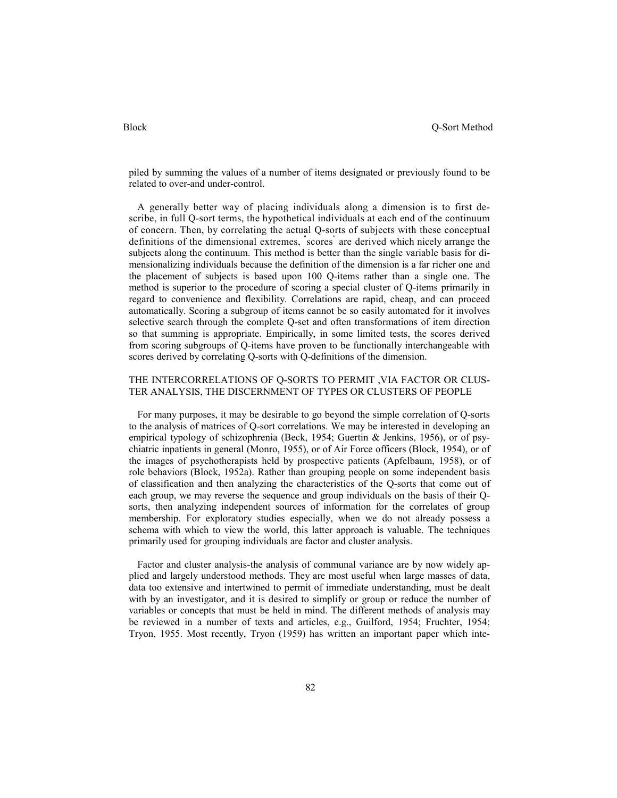piled by summing the values of a number of items designated or previously found to be related to over-and under-control.

A generally better way of placing individuals along a dimension is to first describe, in full Q-sort terms, the hypothetical individuals at each end of the continuum of concern. Then, by correlating the actual Q-sorts of subjects with these conceptual definitions of the dimensional extremes, " scores" are derived which nicely arrange the subjects along the continuum. This method is better than the single variable basis for dimensionalizing individuals because the definition of the dimension is a far richer one and the placement of subjects is based upon 100 Q-items rather than a single one. The method is superior to the procedure of scoring a special cluster of Q-items primarily in regard to convenience and flexibility. Correlations are rapid, cheap, and can proceed automatically. Scoring a subgroup of items cannot be so easily automated for it involves selective search through the complete Q-set and often transformations of item direction so that summing is appropriate. Empirically, in some limited tests, the scores derived from scoring subgroups of Q-items have proven to be functionally interchangeable with scores derived by correlating Q-sorts with Q-definitions of the dimension.

# THE INTERCORRELATIONS OF Q-SORTS TO PERMIT ,VIA FACTOR OR CLUS-TER ANALYSIS, THE DISCERNMENT OF TYPES OR CLUSTERS OF PEOPLE

For many purposes, it may be desirable to go beyond the simple correlation of Q-sorts to the analysis of matrices of Q-sort correlations. We may be interested in developing an empirical typology of schizophrenia (Beck, 1954; Guertin & Jenkins, 1956), or of psychiatric inpatients in general (Monro, 1955), or of Air Force officers (Block, 1954), or of the images of psychotherapists held by prospective patients (Apfelbaum, 1958), or of role behaviors (Block, 1952a). Rather than grouping people on some independent basis of classification and then analyzing the characteristics of the Q-sorts that come out of each group, we may reverse the sequence and group individuals on the basis of their Qsorts, then analyzing independent sources of information for the correlates of group membership. For exploratory studies especially, when we do not already possess a schema with which to view the world, this latter approach is valuable. The techniques primarily used for grouping individuals are factor and cluster analysis.

Factor and cluster analysis-the analysis of communal variance are by now widely applied and largely understood methods. They are most useful when large masses of data, data too extensive and intertwined to permit of immediate understanding, must be dealt with by an investigator, and it is desired to simplify or group or reduce the number of variables or concepts that must be held in mind. The different methods of analysis may be reviewed in a number of texts and articles, e.g., Guilford, 1954; Fruchter, 1954; Tryon, 1955. Most recently, Tryon (1959) has written an important paper which inte-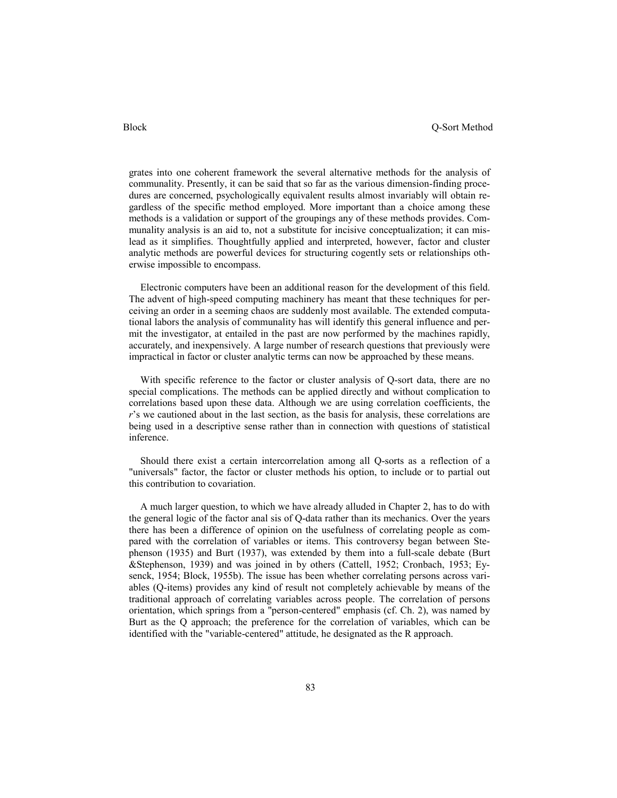grates into one coherent framework the several alternative methods for the analysis of communality. Presently, it can be said that so far as the various dimension-finding procedures are concerned, psychologically equivalent results almost invariably will obtain regardless of the specific method employed. More important than a choice among these methods is a validation or support of the groupings any of these methods provides. Communality analysis is an aid to, not a substitute for incisive conceptualization; it can mislead as it simplifies. Thoughtfully applied and interpreted, however, factor and cluster analytic methods are powerful devices for structuring cogently sets or relationships otherwise impossible to encompass.

Electronic computers have been an additional reason for the development of this field. The advent of high-speed computing machinery has meant that these techniques for perceiving an order in a seeming chaos are suddenly most available. The extended computational labors the analysis of communality has will identify this general influence and permit the investigator, at entailed in the past are now performed by the machines rapidly, accurately, and inexpensively. A large number of research questions that previously were impractical in factor or cluster analytic terms can now be approached by these means.

With specific reference to the factor or cluster analysis of Q-sort data, there are no special complications. The methods can be applied directly and without complication to correlations based upon these data. Although we are using correlation coefficients, the *r*'s we cautioned about in the last section, as the basis for analysis, these correlations are being used in a descriptive sense rather than in connection with questions of statistical inference.

Should there exist a certain intercorrelation among all Q-sorts as a reflection of a "universals" factor, the factor or cluster methods his option, to include or to partial out this contribution to covariation.

A much larger question, to which we have already alluded in Chapter 2, has to do with the general logic of the factor anal sis of Q-data rather than its mechanics. Over the years there has been a difference of opinion on the usefulness of correlating people as compared with the correlation of variables or items. This controversy began between Stephenson (1935) and Burt (1937), was extended by them into a full-scale debate (Burt &Stephenson, 1939) and was joined in by others (Cattell, 1952; Cronbach, 1953; Eysenck, 1954; Block, 1955b). The issue has been whether correlating persons across variables (Q-items) provides any kind of result not completely achievable by means of the traditional approach of correlating variables across people. The correlation of persons orientation, which springs from a "person-centered" emphasis (cf. Ch. 2), was named by Burt as the Q approach; the preference for the correlation of variables, which can be identified with the "variable-centered" attitude, he designated as the R approach.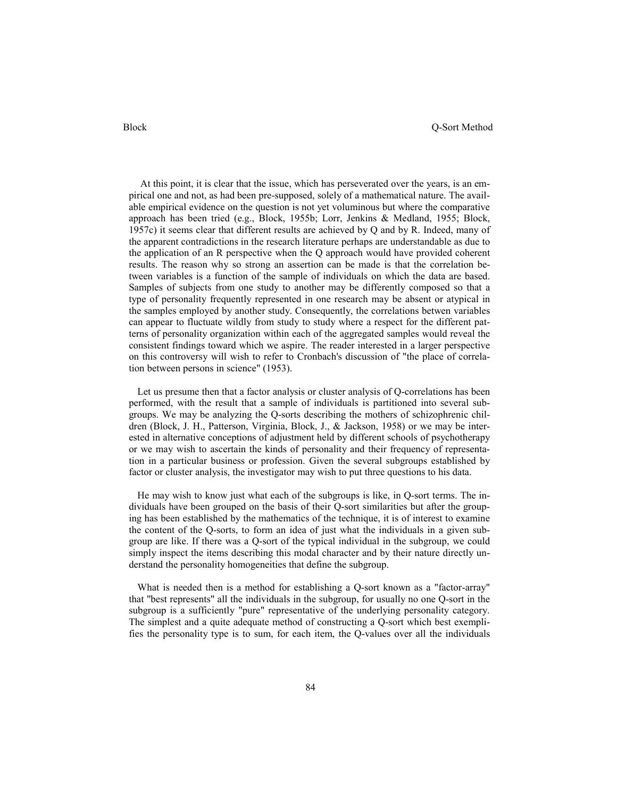Block Q-Sort Method

At this point, it is clear that the issue, which has perseverated over the years, is an empirical one and not, as had been pre-supposed, solely of a mathematical nature. The available empirical evidence on the question is not yet voluminous but where the comparative approach has been tried (e.g., Block, 1955b; Lorr, Jenkins & Medland, 1955; Block, 1957c) it seems clear that different results are achieved by Q and by R. Indeed, many of the apparent contradictions in the research literature perhaps are understandable as due to the application of an R perspective when the Q approach would have provided coherent results. The reason why so strong an assertion can be made is that the correlation between variables is a function of the sample of individuals on which the data are based. Samples of subjects from one study to another may be differently composed so that a type of personality frequently represented in one research may be absent or atypical in the samples employed by another study. Consequently, the correlations betwen variables can appear to fluctuate wildly from study to study where a respect for the different patterns of personality organization within each of the aggregated samples would reveal the consistent findings toward which we aspire. The reader interested in a larger perspective on this controversy will wish to refer to Cronbach's discussion of "the place of correlation between persons in science" (1953).

Let us presume then that a factor analysis or cluster analysis of Q-correlations has been performed, with the result that a sample of individuals is partitioned into several subgroups. We may be analyzing the Q-sorts describing the mothers of schizophrenic children (Block, J. H., Patterson, Virginia, Block, J., & Jackson, 1958) or we may be interested in alternative conceptions of adjustment held by different schools of psychotherapy or we may wish to ascertain the kinds of personality and their frequency of representation in a particular business or profession. Given the several subgroups established by factor or cluster analysis, the investigator may wish to put three questions to his data.

He may wish to know just what each of the subgroups is like, in Q-sort terms. The individuals have been grouped on the basis of their Q-sort similarities but after the grouping has been established by the mathematics of the technique, it is of interest to examine the content of the Q-sorts, to form an idea of just what the individuals in a given subgroup are like. If there was a Q-sort of the typical individual in the subgroup, we could simply inspect the items describing this modal character and by their nature directly understand the personality homogeneities that define the subgroup.

What is needed then is a method for establishing a Q-sort known as a "factor-array" that "best represents" all the individuals in the subgroup, for usually no one Q-sort in the subgroup is a sufficiently "pure" representative of the underlying personality category. The simplest and a quite adequate method of constructing a Q-sort which best exemplifies the personality type is to sum, for each item, the Q-values over all the individuals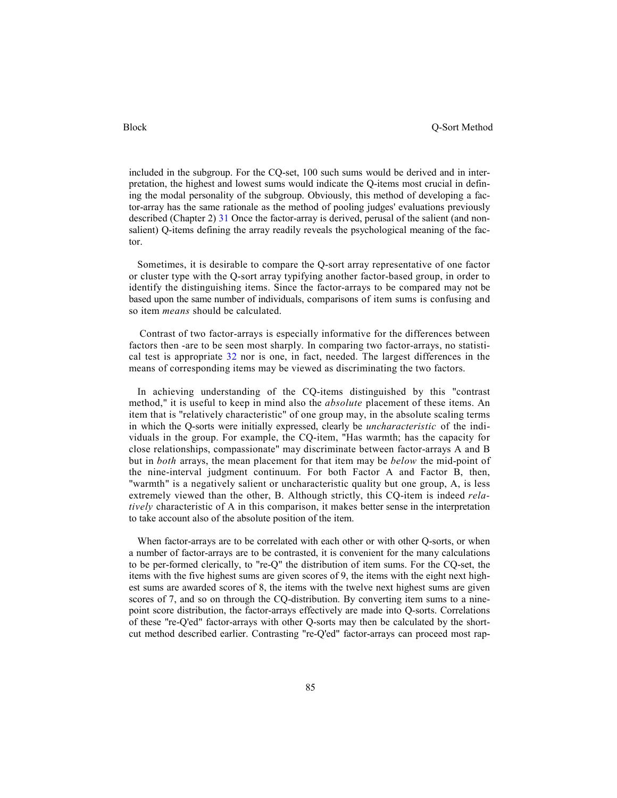included in the subgroup. For the CQ-set, 100 such sums would be derived and in interpretation, the highest and lowest sums would indicate the Q-items most crucial in defining the modal personality of the subgroup. Obviously, this method of developing a factor-array has the same rationale as the method of pooling judges' evaluations previously described (Chapter 2) 31 Once the factor-array is derived, perusal of the salient (and nonsalient) Q-items defining the array readily reveals the psychological meaning of the factor.

Sometimes, it is desirable to compare the Q-sort array representative of one factor or cluster type with the Q-sort array typifying another factor-based group, in order to identify the distinguishing items. Since the factor-arrays to be compared may not be based upon the same number of individuals, comparisons of item sums is confusing and so item *means* should be calculated.

Contrast of two factor-arrays is especially informative for the differences between factors then -are to be seen most sharply. In comparing two factor-arrays, no statistical test is appropriate 32 nor is one, in fact, needed. The largest differences in the means of corresponding items may be viewed as discriminating the two factors.

In achieving understanding of the CQ-items distinguished by this "contrast method," it is useful to keep in mind also the *absolute* placement of these items. An item that is "relatively characteristic" of one group may, in the absolute scaling terms in which the Q-sorts were initially expressed, clearly be *uncharacteristic* of the individuals in the group. For example, the CQ-item, "Has warmth; has the capacity for close relationships, compassionate" may discriminate between factor-arrays A and B but in *both* arrays, the mean placement for that item may be *below* the mid-point of the nine-interval judgment continuum. For both Factor A and Factor B, then, "warmth" is a negatively salient or uncharacteristic quality but one group, A, is less extremely viewed than the other, B. Although strictly, this CQ-item is indeed *relatively* characteristic of A in this comparison, it makes better sense in the interpretation to take account also of the absolute position of the item.

When factor-arrays are to be correlated with each other or with other Q-sorts, or when a number of factor-arrays are to be contrasted, it is convenient for the many calculations to be per-formed clerically, to "re-Q" the distribution of item sums. For the CQ-set, the items with the five highest sums are given scores of 9, the items with the eight next highest sums are awarded scores of 8, the items with the twelve next highest sums are given scores of 7, and so on through the CQ-distribution. By converting item sums to a ninepoint score distribution, the factor-arrays effectively are made into Q-sorts. Correlations of these "re-Q'ed" factor-arrays with other Q-sorts may then be calculated by the shortcut method described earlier. Contrasting "re-Q'ed" factor-arrays can proceed most rap-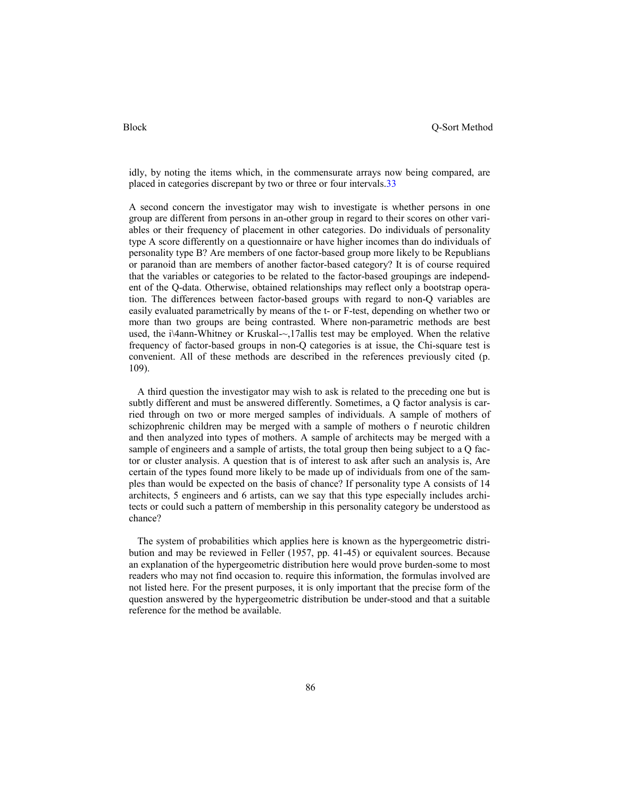idly, by noting the items which, in the commensurate arrays now being compared, are placed in categories discrepant by two or three or four intervals.33

A second concern the investigator may wish to investigate is whether persons in one group are different from persons in an-other group in regard to their scores on other variables or their frequency of placement in other categories. Do individuals of personality type A score differently on a questionnaire or have higher incomes than do individuals of personality type B? Are members of one factor-based group more likely to be Republians or paranoid than are members of another factor-based category? It is of course required that the variables or categories to be related to the factor-based groupings are independent of the Q-data. Otherwise, obtained relationships may reflect only a bootstrap operation. The differences between factor-based groups with regard to non-Q variables are easily evaluated parametrically by means of the t- or F-test, depending on whether two or more than two groups are being contrasted. Where non-parametric methods are best used, the i\4ann-Whitney or Kruskal-~,17allis test may be employed. When the relative frequency of factor-based groups in non-Q categories is at issue, the Chi-square test is convenient. All of these methods are described in the references previously cited (p. 109).

A third question the investigator may wish to ask is related to the preceding one but is subtly different and must be answered differently. Sometimes, a Q factor analysis is carried through on two or more merged samples of individuals. A sample of mothers of schizophrenic children may be merged with a sample of mothers o f neurotic children and then analyzed into types of mothers. A sample of architects may be merged with a sample of engineers and a sample of artists, the total group then being subject to a Q factor or cluster analysis. A question that is of interest to ask after such an analysis is, Are certain of the types found more likely to be made up of individuals from one of the samples than would be expected on the basis of chance? If personality type A consists of 14 architects, 5 engineers and 6 artists, can we say that this type especially includes architects or could such a pattern of membership in this personality category be understood as chance?

The system of probabilities which applies here is known as the hypergeometric distribution and may be reviewed in Feller (1957, pp. 41-45) or equivalent sources. Because an explanation of the hypergeometric distribution here would prove burden-some to most readers who may not find occasion to. require this information, the formulas involved are not listed here. For the present purposes, it is only important that the precise form of the question answered by the hypergeometric distribution be under-stood and that a suitable reference for the method be available.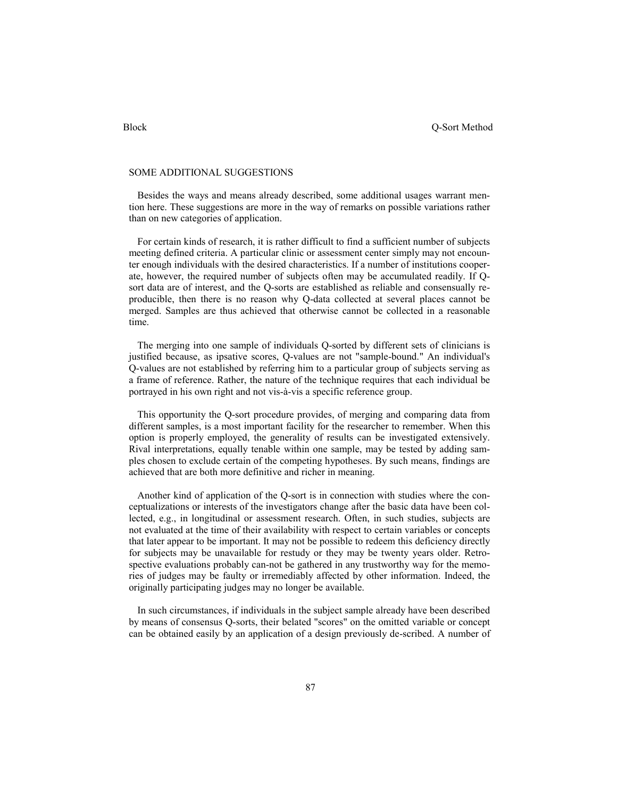### SOME ADDITIONAL SUGGESTIONS

Besides the ways and means already described, some additional usages warrant mention here. These suggestions are more in the way of remarks on possible variations rather than on new categories of application.

For certain kinds of research, it is rather difficult to find a sufficient number of subjects meeting defined criteria. A particular clinic or assessment center simply may not encounter enough individuals with the desired characteristics. If a number of institutions cooperate, however, the required number of subjects often may be accumulated readily. If Qsort data are of interest, and the Q-sorts are established as reliable and consensually reproducible, then there is no reason why Q-data collected at several places cannot be merged. Samples are thus achieved that otherwise cannot be collected in a reasonable time.

The merging into one sample of individuals Q-sorted by different sets of clinicians is justified because, as ipsative scores, Q-values are not "sample-bound." An individual's Q-values are not established by referring him to a particular group of subjects serving as a frame of reference. Rather, the nature of the technique requires that each individual be portrayed in his own right and not vis-à-vis a specific reference group.

This opportunity the Q-sort procedure provides, of merging and comparing data from different samples, is a most important facility for the researcher to remember. When this option is properly employed, the generality of results can be investigated extensively. Rival interpretations, equally tenable within one sample, may be tested by adding samples chosen to exclude certain of the competing hypotheses. By such means, findings are achieved that are both more definitive and richer in meaning.

Another kind of application of the Q-sort is in connection with studies where the conceptualizations or interests of the investigators change after the basic data have been collected, e.g., in longitudinal or assessment research. Often, in such studies, subjects are not evaluated at the time of their availability with respect to certain variables or concepts that later appear to be important. It may not be possible to redeem this deficiency directly for subjects may be unavailable for restudy or they may be twenty years older. Retrospective evaluations probably can-not be gathered in any trustworthy way for the memories of judges may be faulty or irremediably affected by other information. Indeed, the originally participating judges may no longer be available.

In such circumstances, if individuals in the subject sample already have been described by means of consensus Q-sorts, their belated "scores" on the omitted variable or concept can be obtained easily by an application of a design previously de-scribed. A number of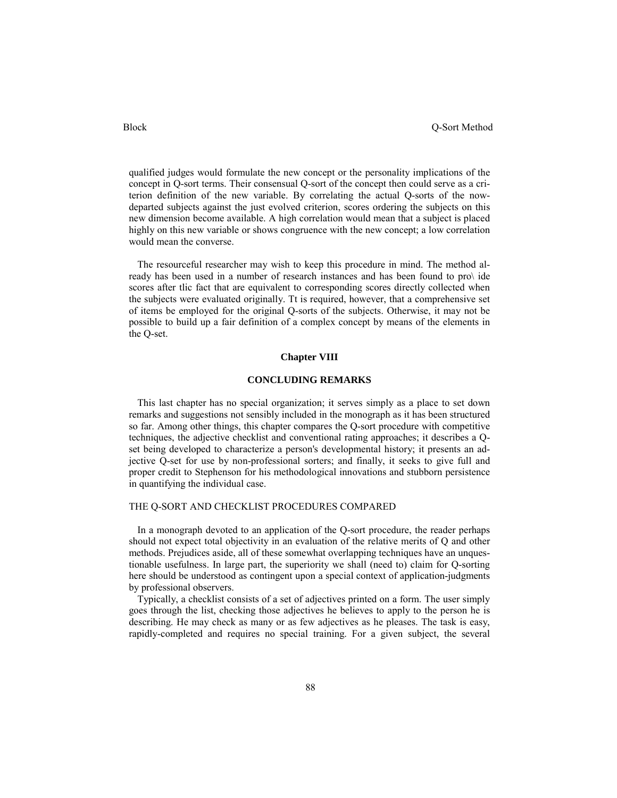qualified judges would formulate the new concept or the personality implications of the concept in Q-sort terms. Their consensual Q-sort of the concept then could serve as a criterion definition of the new variable. By correlating the actual Q-sorts of the nowdeparted subjects against the just evolved criterion, scores ordering the subjects on this new dimension become available. A high correlation would mean that a subject is placed highly on this new variable or shows congruence with the new concept; a low correlation would mean the converse.

The resourceful researcher may wish to keep this procedure in mind. The method already has been used in a number of research instances and has been found to pro\ ide scores after tlic fact that are equivalent to corresponding scores directly collected when the subjects were evaluated originally. Tt is required, however, that a comprehensive set of items be employed for the original Q-sorts of the subjects. Otherwise, it may not be possible to build up a fair definition of a complex concept by means of the elements in the Q-set.

### **Chapter VIII**

### **CONCLUDING REMARKS**

This last chapter has no special organization; it serves simply as a place to set down remarks and suggestions not sensibly included in the monograph as it has been structured so far. Among other things, this chapter compares the Q-sort procedure with competitive techniques, the adjective checklist and conventional rating approaches; it describes a Qset being developed to characterize a person's developmental history; it presents an adjective Q-set for use by non-professional sorters; and finally, it seeks to give full and proper credit to Stephenson for his methodological innovations and stubborn persistence in quantifying the individual case.

### THE Q-SORT AND CHECKLIST PROCEDURES COMPARED

In a monograph devoted to an application of the Q-sort procedure, the reader perhaps should not expect total objectivity in an evaluation of the relative merits of Q and other methods. Prejudices aside, all of these somewhat overlapping techniques have an unquestionable usefulness. In large part, the superiority we shall (need to) claim for Q-sorting here should be understood as contingent upon a special context of application-judgments by professional observers.

Typically, a checklist consists of a set of adjectives printed on a form. The user simply goes through the list, checking those adjectives he believes to apply to the person he is describing. He may check as many or as few adjectives as he pleases. The task is easy, rapidly-completed and requires no special training. For a given subject, the several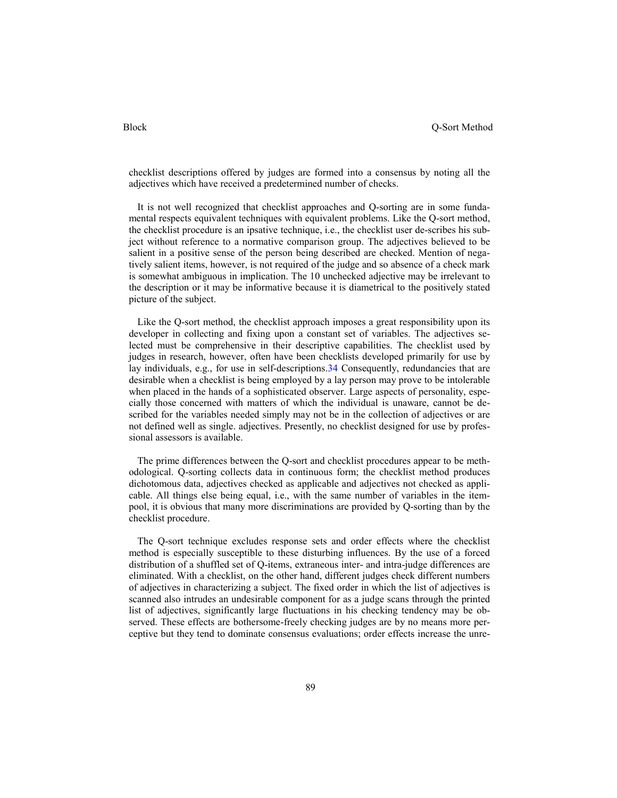checklist descriptions offered by judges are formed into a consensus by noting all the adjectives which have received a predetermined number of checks.

It is not well recognized that checklist approaches and Q-sorting are in some fundamental respects equivalent techniques with equivalent problems. Like the Q-sort method, the checklist procedure is an ipsative technique, i.e., the checklist user de-scribes his subject without reference to a normative comparison group. The adjectives believed to be salient in a positive sense of the person being described are checked. Mention of negatively salient items, however, is not required of the judge and so absence of a check mark is somewhat ambiguous in implication. The 10 unchecked adjective may be irrelevant to the description or it may be informative because it is diametrical to the positively stated picture of the subject.

Like the Q-sort method, the checklist approach imposes a great responsibility upon its developer in collecting and fixing upon a constant set of variables. The adjectives selected must be comprehensive in their descriptive capabilities. The checklist used by judges in research, however, often have been checklists developed primarily for use by lay individuals, e.g., for use in self-descriptions.34 Consequently, redundancies that are desirable when a checklist is being employed by a lay person may prove to be intolerable when placed in the hands of a sophisticated observer. Large aspects of personality, especially those concerned with matters of which the individual is unaware, cannot be described for the variables needed simply may not be in the collection of adjectives or are not defined well as single. adjectives. Presently, no checklist designed for use by professional assessors is available.

The prime differences between the Q-sort and checklist procedures appear to be methodological. Q-sorting collects data in continuous form; the checklist method produces dichotomous data, adjectives checked as applicable and adjectives not checked as applicable. All things else being equal, i.e., with the same number of variables in the itempool, it is obvious that many more discriminations are provided by Q-sorting than by the checklist procedure.

The Q-sort technique excludes response sets and order effects where the checklist method is especially susceptible to these disturbing influences. By the use of a forced distribution of a shuffled set of Q-items, extraneous inter- and intra-judge differences are eliminated. With a checklist, on the other hand, different judges check different numbers of adjectives in characterizing a subject. The fixed order in which the list of adjectives is scanned also intrudes an undesirable component for as a judge scans through the printed list of adjectives, significantly large fluctuations in his checking tendency may be observed. These effects are bothersome-freely checking judges are by no means more perceptive but they tend to dominate consensus evaluations; order effects increase the unre-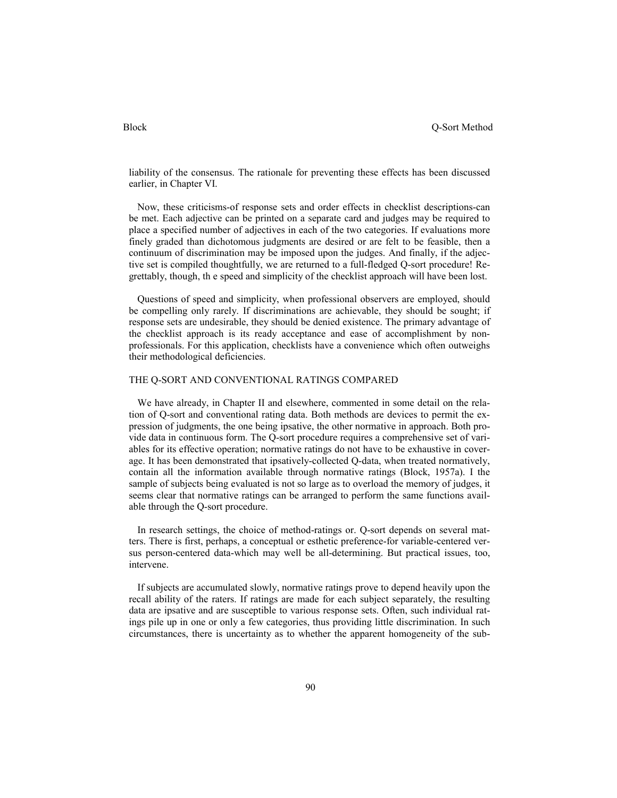liability of the consensus. The rationale for preventing these effects has been discussed earlier, in Chapter VI.

Now, these criticisms-of response sets and order effects in checklist descriptions-can be met. Each adjective can be printed on a separate card and judges may be required to place a specified number of adjectives in each of the two categories. If evaluations more finely graded than dichotomous judgments are desired or are felt to be feasible, then a continuum of discrimination may be imposed upon the judges. And finally, if the adjective set is compiled thoughtfully, we are returned to a full-fledged Q-sort procedure! Regrettably, though, th e speed and simplicity of the checklist approach will have been lost.

Questions of speed and simplicity, when professional observers are employed, should be compelling only rarely. If discriminations are achievable, they should be sought; if response sets are undesirable, they should be denied existence. The primary advantage of the checklist approach is its ready acceptance and ease of accomplishment by nonprofessionals. For this application, checklists have a convenience which often outweighs their methodological deficiencies.

### THE Q-SORT AND CONVENTIONAL RATINGS COMPARED

We have already, in Chapter II and elsewhere, commented in some detail on the relation of Q-sort and conventional rating data. Both methods are devices to permit the expression of judgments, the one being ipsative, the other normative in approach. Both provide data in continuous form. The Q-sort procedure requires a comprehensive set of variables for its effective operation; normative ratings do not have to be exhaustive in coverage. It has been demonstrated that ipsatively-collected Q-data, when treated normatively, contain all the information available through normative ratings (Block, 1957a). I the sample of subjects being evaluated is not so large as to overload the memory of judges, it seems clear that normative ratings can be arranged to perform the same functions available through the Q-sort procedure.

In research settings, the choice of method-ratings or. Q-sort depends on several matters. There is first, perhaps, a conceptual or esthetic preference-for variable-centered versus person-centered data-which may well be all-determining. But practical issues, too, intervene.

If subjects are accumulated slowly, normative ratings prove to depend heavily upon the recall ability of the raters. If ratings are made for each subject separately, the resulting data are ipsative and are susceptible to various response sets. Often, such individual ratings pile up in one or only a few categories, thus providing little discrimination. In such circumstances, there is uncertainty as to whether the apparent homogeneity of the sub-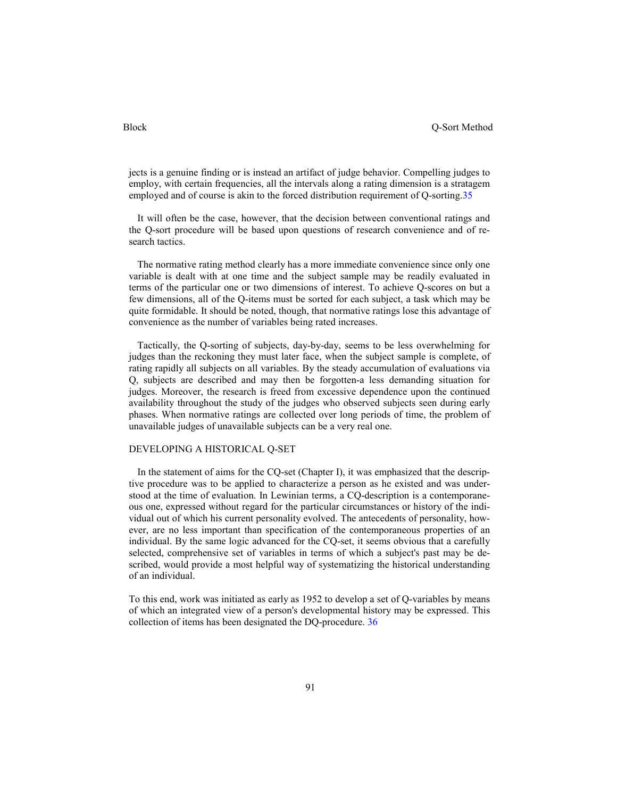jects is a genuine finding or is instead an artifact of judge behavior. Compelling judges to employ, with certain frequencies, all the intervals along a rating dimension is a stratagem employed and of course is akin to the forced distribution requirement of Q-sorting.35

It will often be the case, however, that the decision between conventional ratings and the Q-sort procedure will be based upon questions of research convenience and of research tactics.

The normative rating method clearly has a more immediate convenience since only one variable is dealt with at one time and the subject sample may be readily evaluated in terms of the particular one or two dimensions of interest. To achieve Q-scores on but a few dimensions, all of the Q-items must be sorted for each subject, a task which may be quite formidable. It should be noted, though, that normative ratings lose this advantage of convenience as the number of variables being rated increases.

Tactically, the Q-sorting of subjects, day-by-day, seems to be less overwhelming for judges than the reckoning they must later face, when the subject sample is complete, of rating rapidly all subjects on all variables. By the steady accumulation of evaluations via Q, subjects are described and may then be forgotten-a less demanding situation for judges. Moreover, the research is freed from excessive dependence upon the continued availability throughout the study of the judges who observed subjects seen during early phases. When normative ratings are collected over long periods of time, the problem of unavailable judges of unavailable subjects can be a very real one.

### DEVELOPING A HISTORICAL Q-SET

In the statement of aims for the CQ-set (Chapter I), it was emphasized that the descriptive procedure was to be applied to characterize a person as he existed and was understood at the time of evaluation. In Lewinian terms, a CQ-description is a contemporaneous one, expressed without regard for the particular circumstances or history of the individual out of which his current personality evolved. The antecedents of personality, however, are no less important than specification of the contemporaneous properties of an individual. By the same logic advanced for the CQ-set, it seems obvious that a carefully selected, comprehensive set of variables in terms of which a subject's past may be described, would provide a most helpful way of systematizing the historical understanding of an individual.

To this end, work was initiated as early as 1952 to develop a set of Q-variables by means of which an integrated view of a person's developmental history may be expressed. This collection of items has been designated the DQ-procedure. 36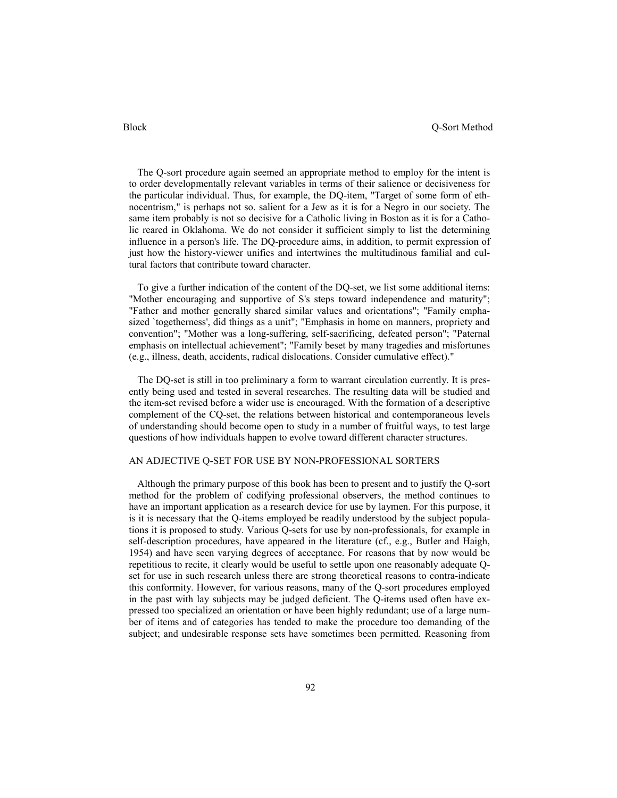The Q-sort procedure again seemed an appropriate method to employ for the intent is to order developmentally relevant variables in terms of their salience or decisiveness for the particular individual. Thus, for example, the DQ-item, "Target of some form of ethnocentrism," is perhaps not so. salient for a Jew as it is for a Negro in our society. The same item probably is not so decisive for a Catholic living in Boston as it is for a Catholic reared in Oklahoma. We do not consider it sufficient simply to list the determining influence in a person's life. The DQ-procedure aims, in addition, to permit expression of just how the history-viewer unifies and intertwines the multitudinous familial and cultural factors that contribute toward character.

To give a further indication of the content of the DQ-set, we list some additional items: "Mother encouraging and supportive of S's steps toward independence and maturity"; "Father and mother generally shared similar values and orientations"; "Family emphasized `togetherness', did things as a unit"; "Emphasis in home on manners, propriety and convention"; "Mother was a long-suffering, self-sacrificing, defeated person"; "Paternal emphasis on intellectual achievement"; "Family beset by many tragedies and misfortunes (e.g., illness, death, accidents, radical dislocations. Consider cumulative effect)."

The DQ-set is still in too preliminary a form to warrant circulation currently. It is presently being used and tested in several researches. The resulting data will be studied and the item-set revised before a wider use is encouraged. With the formation of a descriptive complement of the CQ-set, the relations between historical and contemporaneous levels of understanding should become open to study in a number of fruitful ways, to test large questions of how individuals happen to evolve toward different character structures.

# AN ADJECTIVE Q-SET FOR USE BY NON-PROFESSIONAL SORTERS

Although the primary purpose of this book has been to present and to justify the Q-sort method for the problem of codifying professional observers, the method continues to have an important application as a research device for use by laymen. For this purpose, it is it is necessary that the Q-items employed be readily understood by the subject populations it is proposed to study. Various Q-sets for use by non-professionals, for example in self-description procedures, have appeared in the literature (cf., e.g., Butler and Haigh, 1954) and have seen varying degrees of acceptance. For reasons that by now would be repetitious to recite, it clearly would be useful to settle upon one reasonably adequate Qset for use in such research unless there are strong theoretical reasons to contra-indicate this conformity. However, for various reasons, many of the Q-sort procedures employed in the past with lay subjects may be judged deficient. The Q-items used often have expressed too specialized an orientation or have been highly redundant; use of a large number of items and of categories has tended to make the procedure too demanding of the subject; and undesirable response sets have sometimes been permitted. Reasoning from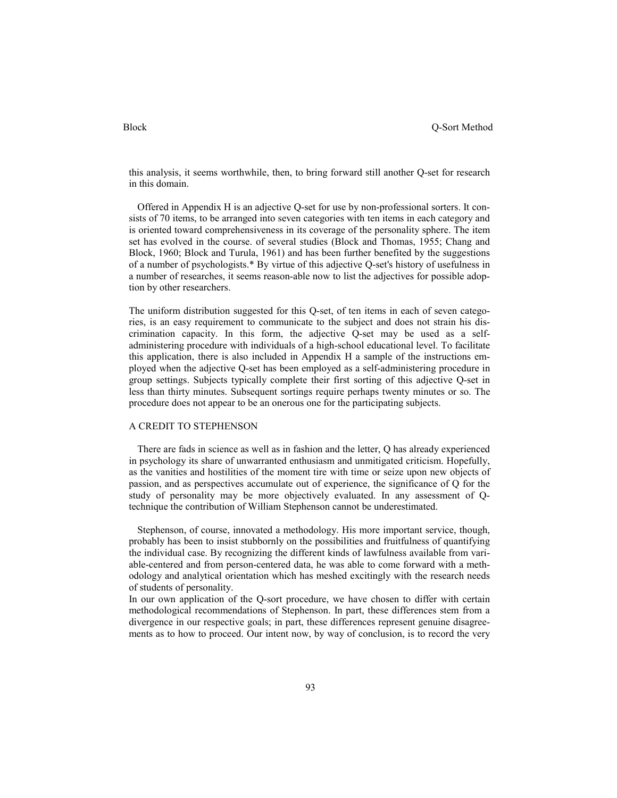this analysis, it seems worthwhile, then, to bring forward still another Q-set for research in this domain.

Offered in Appendix H is an adjective Q-set for use by non-professional sorters. It consists of 70 items, to be arranged into seven categories with ten items in each category and is oriented toward comprehensiveness in its coverage of the personality sphere. The item set has evolved in the course. of several studies (Block and Thomas, 1955; Chang and Block, 1960; Block and Turula, 1961) and has been further benefited by the suggestions of a number of psychologists.\* By virtue of this adjective Q-set's history of usefulness in a number of researches, it seems reason-able now to list the adjectives for possible adoption by other researchers.

The uniform distribution suggested for this Q-set, of ten items in each of seven categories, is an easy requirement to communicate to the subject and does not strain his discrimination capacity. In this form, the adjective Q-set may be used as a selfadministering procedure with individuals of a high-school educational level. To facilitate this application, there is also included in Appendix H a sample of the instructions employed when the adjective Q-set has been employed as a self-administering procedure in group settings. Subjects typically complete their first sorting of this adjective Q-set in less than thirty minutes. Subsequent sortings require perhaps twenty minutes or so. The procedure does not appear to be an onerous one for the participating subjects.

# A CREDIT TO STEPHENSON

There are fads in science as well as in fashion and the letter, Q has already experienced in psychology its share of unwarranted enthusiasm and unmitigated criticism. Hopefully, as the vanities and hostilities of the moment tire with time or seize upon new objects of passion, and as perspectives accumulate out of experience, the significance of Q for the study of personality may be more objectively evaluated. In any assessment of Qtechnique the contribution of William Stephenson cannot be underestimated.

Stephenson, of course, innovated a methodology. His more important service, though, probably has been to insist stubbornly on the possibilities and fruitfulness of quantifying the individual case. By recognizing the different kinds of lawfulness available from variable-centered and from person-centered data, he was able to come forward with a methodology and analytical orientation which has meshed excitingly with the research needs of students of personality.

In our own application of the Q-sort procedure, we have chosen to differ with certain methodological recommendations of Stephenson. In part, these differences stem from a divergence in our respective goals; in part, these differences represent genuine disagreements as to how to proceed. Our intent now, by way of conclusion, is to record the very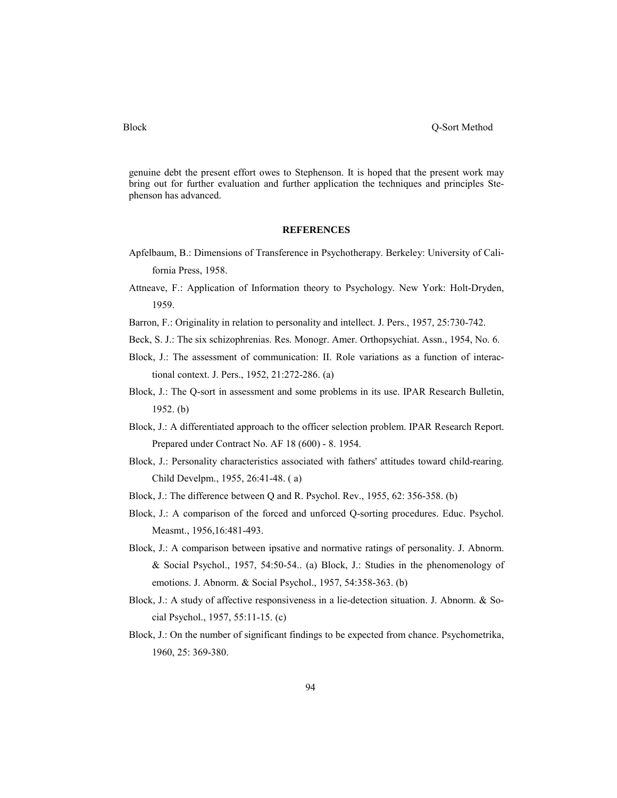genuine debt the present effort owes to Stephenson. It is hoped that the present work may bring out for further evaluation and further application the techniques and principles Stephenson has advanced.

### **REFERENCES**

- Apfelbaum, B.: Dimensions of Transference in Psychotherapy. Berkeley: University of California Press, 1958.
- Attneave, F.: Application of Information theory to Psychology. New York: Holt-Dryden, 1959.
- Barron, F.: Originality in relation to personality and intellect. J. Pers., 1957, 25:730-742.
- Beck, S. J.: The six schizophrenias. Res. Monogr. Amer. Orthopsychiat. Assn., 1954, No. 6.
- Block, J.: The assessment of communication: II. Role variations as a function of interactional context. J. Pers., 1952, 21:272-286. (a)
- Block, J.: The Q-sort in assessment and some problems in its use. IPAR Research Bulletin, 1952. (b)
- Block, J.: A differentiated approach to the officer selection problem. IPAR Research Report. Prepared under Contract No. AF 18 (600) - 8. 1954.
- Block, J.: Personality characteristics associated with fathers' attitudes toward child-rearing. Child Develpm., 1955, 26:41-48. ( a)
- Block, J.: The difference between Q and R. Psychol. Rev., 1955, 62: 356-358. (b)
- Block, J.: A comparison of the forced and unforced Q-sorting procedures. Educ. Psychol. Measmt., 1956,16:481-493.
- Block, J.: A comparison between ipsative and normative ratings of personality. J. Abnorm. & Social Psychol., 1957, 54:50-54.. (a) Block, J.: Studies in the phenomenology of emotions. J. Abnorm. & Social Psychol., 1957, 54:358-363. (b)
- Block, J.: A study of affective responsiveness in a lie-detection situation. J. Abnorm. & Social Psychol., 1957, 55:11-15. (c)
- Block, J.: On the number of significant findings to be expected from chance. Psychometrika, 1960, 25: 369-380.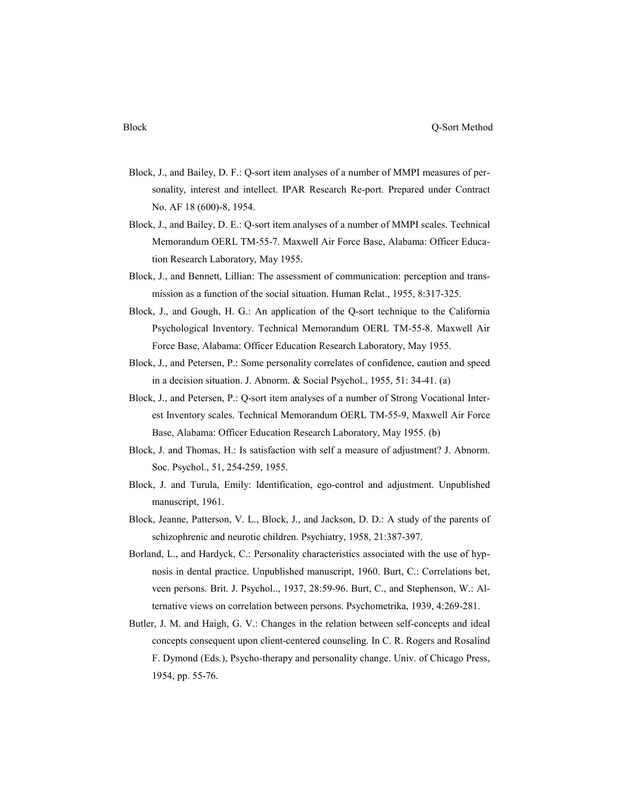- Block, J., and Bailey, D. F.: Q-sort item analyses of a number of MMPI measures of personality, interest and intellect. IPAR Research Re-port. Prepared under Contract No. AF 18 (600)-8, 1954.
- Block, J., and Bailey, D. E.: Q-sort item analyses of a number of MMPI scales. Technical Memorandum OERL TM-55-7. Maxwell Air Force Base, Alabama: Officer Education Research Laboratory, May 1955.
- Block, J., and Bennett, Lillian: The assessment of communication: perception and transmission as a function of the social situation. Human Relat., 1955, 8:317-325.
- Block, J., and Gough, H. G.: An application of the Q-sort technique to the California Psychological Inventory. Technical Memorandum OERL TM-55-8. Maxwell Air Force Base, Alabama: Officer Education Research Laboratory, May 1955.
- Block, J., and Petersen, P.: Some personality correlates of confidence, caution and speed in a decision situation. J. Abnorm. & Social Psychol., 1955, 51: 34-41. (a)
- Block, J., and Petersen, P.: Q-sort item analyses of a number of Strong Vocational Interest Inventory scales. Technical Memorandum OERL TM-55-9, Maxwell Air Force Base, Alabama: Officer Education Research Laboratory, May 1955. (b)
- Block, J. and Thomas, H.: Is satisfaction with self a measure of adjustment? J. Abnorm. Soc. Psychol., 51, 254-259, 1955.
- Block, J. and Turula, Emily: Identification, ego-control and adjustment. Unpublished manuscript, 1961.
- Block, Jeanne, Patterson, V. L., Block, J., and Jackson, D. D.: A study of the parents of schizophrenic and neurotic children. Psychiatry, 1958, 21:387-397.
- Borland, L., and Hardyck, C.: Personality characteristics associated with the use of hypnosis in dental practice. Unpublished manuscript, 1960. Burt, C.: Correlations bet, veen persons. Brit. J. Psychol.., 1937, 28:59-96. Burt, C., and Stephenson, W.: Alternative views on correlation between persons. Psychometrika, 1939, 4:269-281.
- Butler, J. M. and Haigh, G. V.: Changes in the relation between self-concepts and ideal concepts consequent upon client-centered counseling. In C. R. Rogers and Rosalind F. Dymond (Eds.), Psycho-therapy and personality change. Univ. of Chicago Press, 1954, pp. 55-76.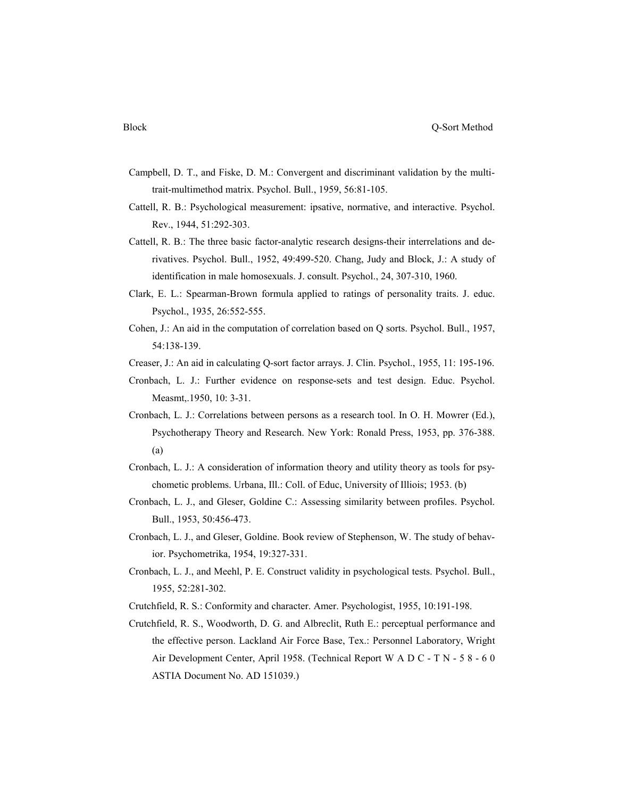- Campbell, D. T., and Fiske, D. M.: Convergent and discriminant validation by the multitrait-multimethod matrix. Psychol. Bull., 1959, 56:81-105.
- Cattell, R. B.: Psychological measurement: ipsative, normative, and interactive. Psychol. Rev., 1944, 51:292-303.
- Cattell, R. B.: The three basic factor-analytic research designs-their interrelations and derivatives. Psychol. Bull., 1952, 49:499-520. Chang, Judy and Block, J.: A study of identification in male homosexuals. J. consult. Psychol., 24, 307-310, 1960.
- Clark, E. L.: Spearman-Brown formula applied to ratings of personality traits. J. educ. Psychol., 1935, 26:552-555.
- Cohen, J.: An aid in the computation of correlation based on Q sorts. Psychol. Bull., 1957, 54:138-139.
- Creaser, J.: An aid in calculating Q-sort factor arrays. J. Clin. Psychol., 1955, 11: 195-196.
- Cronbach, L. J.: Further evidence on response-sets and test design. Educ. Psychol. Measmt,.1950, 10: 3-31.
- Cronbach, L. J.: Correlations between persons as a research tool. In O. H. Mowrer (Ed.), Psychotherapy Theory and Research. New York: Ronald Press, 1953, pp. 376-388. (a)
- Cronbach, L. J.: A consideration of information theory and utility theory as tools for psychometic problems. Urbana, Ill.: Coll. of Educ, University of Illiois; 1953. (b)
- Cronbach, L. J., and Gleser, Goldine C.: Assessing similarity between profiles. Psychol. Bull., 1953, 50:456-473.
- Cronbach, L. J., and Gleser, Goldine. Book review of Stephenson, W. The study of behavior. Psychometrika, 1954, 19:327-331.
- Cronbach, L. J., and Meehl, P. E. Construct validity in psychological tests. Psychol. Bull., 1955, 52:281-302.
- Crutchfield, R. S.: Conformity and character. Amer. Psychologist, 1955, 10:191-198.
- Crutchfield, R. S., Woodworth, D. G. and Albreclit, Ruth E.: perceptual performance and the effective person. Lackland Air Force Base, Tex.: Personnel Laboratory, Wright Air Development Center, April 1958. (Technical Report W A D C - T N - 5 8 - 6 0 ASTIA Document No. AD 151039.)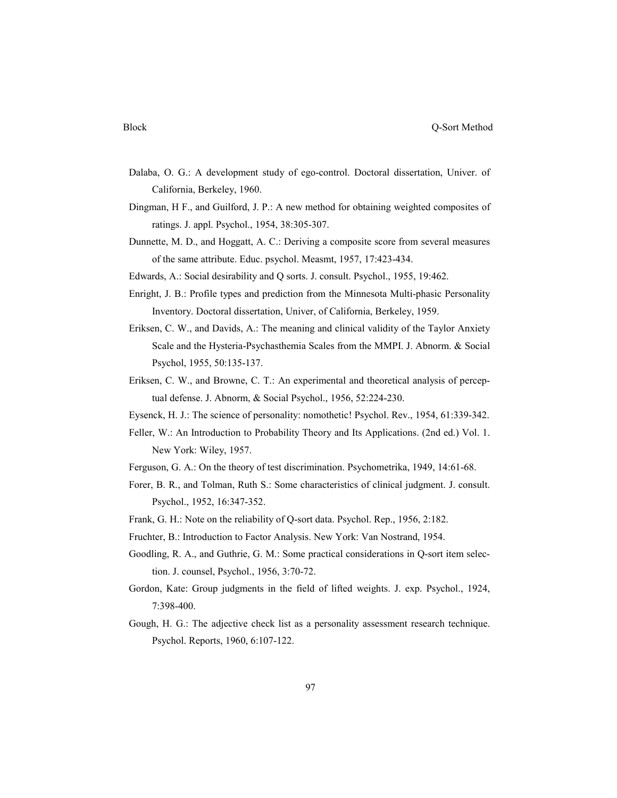- Dalaba, O. G.: A development study of ego-control. Doctoral dissertation, Univer. of California, Berkeley, 1960.
- Dingman, H F., and Guilford, J. P.: A new method for obtaining weighted composites of ratings. J. appl. Psychol., 1954, 38:305-307.
- Dunnette, M. D., and Hoggatt, A. C.: Deriving a composite score from several measures of the same attribute. Educ. psychol. Measmt, 1957, 17:423-434.
- Edwards, A.: Social desirability and Q sorts. J. consult. Psychol., 1955, 19:462.
- Enright, J. B.: Profile types and prediction from the Minnesota Multi-phasic Personality Inventory. Doctoral dissertation, Univer, of California, Berkeley, 1959.
- Eriksen, C. W., and Davids, A.: The meaning and clinical validity of the Taylor Anxiety Scale and the Hysteria-Psychasthemia Scales from the MMPI. J. Abnorm. & Social Psychol, 1955, 50:135-137.
- Eriksen, C. W., and Browne, C. T.: An experimental and theoretical analysis of perceptual defense. J. Abnorm, & Social Psychol., 1956, 52:224-230.
- Eysenck, H. J.: The science of personality: nomothetic! Psychol. Rev., 1954, 61:339-342.
- Feller, W.: An Introduction to Probability Theory and Its Applications. (2nd ed.) Vol. 1. New York: Wiley, 1957.
- Ferguson, G. A.: On the theory of test discrimination. Psychometrika, 1949, 14:61-68.
- Forer, B. R., and Tolman, Ruth S.: Some characteristics of clinical judgment. J. consult. Psychol., 1952, 16:347-352.
- Frank, G. H.: Note on the reliability of Q-sort data. Psychol. Rep., 1956, 2:182.
- Fruchter, B.: Introduction to Factor Analysis. New York: Van Nostrand, 1954.
- Goodling, R. A., and Guthrie, G. M.: Some practical considerations in Q-sort item selection. J. counsel, Psychol., 1956, 3:70-72.
- Gordon, Kate: Group judgments in the field of lifted weights. J. exp. Psychol., 1924, 7:398-400.
- Gough, H. G.: The adjective check list as a personality assessment research technique. Psychol. Reports, 1960, 6:107-122.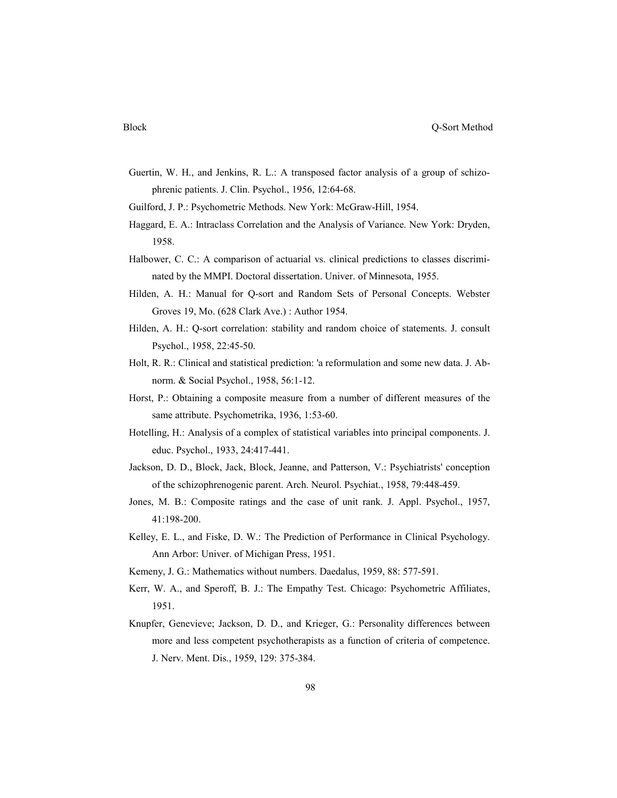- Guertin, W. H., and Jenkins, R. L.: A transposed factor analysis of a group of schizophrenic patients. J. Clin. Psychol., 1956, 12:64-68.
- Guilford, J. P.: Psychometric Methods. New York: McGraw-Hill, 1954.
- Haggard, E. A.: Intraclass Correlation and the Analysis of Variance. New York: Dryden, 1958.
- Halbower, C. C.: A comparison of actuarial vs. clinical predictions to classes discriminated by the MMPI. Doctoral dissertation. Univer. of Minnesota, 1955.
- Hilden, A. H.: Manual for Q-sort and Random Sets of Personal Concepts. Webster Groves 19, Mo. (628 Clark Ave.) : Author 1954.
- Hilden, A. H.: Q-sort correlation: stability and random choice of statements. J. consult Psychol., 1958, 22:45-50.
- Holt, R. R.: Clinical and statistical prediction: 'a reformulation and some new data. J. Abnorm. & Social Psychol., 1958, 56:1-12.
- Horst, P.: Obtaining a composite measure from a number of different measures of the same attribute. Psychometrika, 1936, 1:53-60.
- Hotelling, H.: Analysis of a complex of statistical variables into principal components. J. educ. Psychol., 1933, 24:417-441.
- Jackson, D. D., Block, Jack, Block, Jeanne, and Patterson, V.: Psychiatrists' conception of the schizophrenogenic parent. Arch. Neurol. Psychiat., 1958, 79:448-459.
- Jones, M. B.: Composite ratings and the case of unit rank. J. Appl. Psychol., 1957, 41:198-200.
- Kelley, E. L., and Fiske, D. W.: The Prediction of Performance in Clinical Psychology. Ann Arbor: Univer. of Michigan Press, 1951.
- Kemeny, J. G.: Mathematics without numbers. Daedalus, 1959, 88: 577-591.
- Kerr, W. A., and Speroff, B. J.: The Empathy Test. Chicago: Psychometric Affiliates, 1951.
- Knupfer, Genevieve; Jackson, D. D., and Krieger, G.: Personality differences between more and less competent psychotherapists as a function of criteria of competence. J. Nerv. Ment. Dis., 1959, 129: 375-384.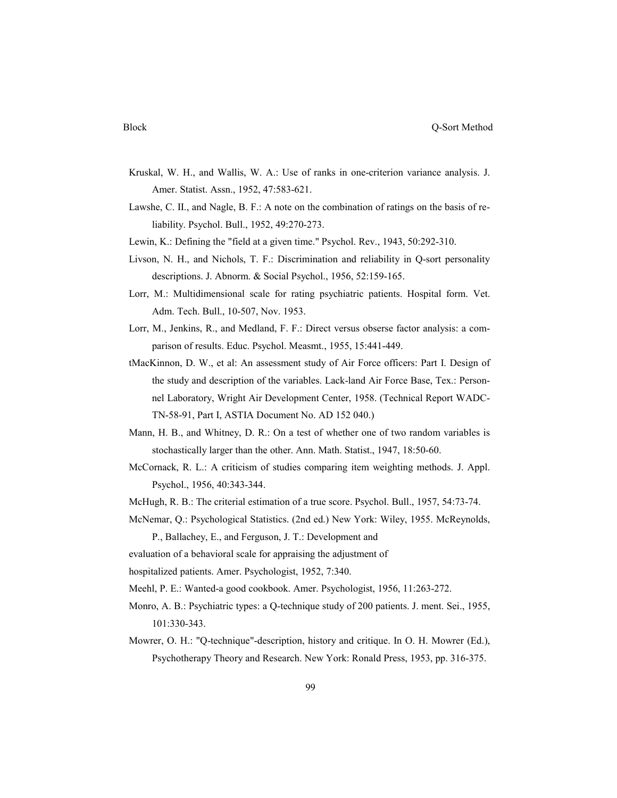- Kruskal, W. H., and Wallis, W. A.: Use of ranks in one-criterion variance analysis. J. Amer. Statist. Assn., 1952, 47:583-621.
- Lawshe, C. II., and Nagle, B. F.: A note on the combination of ratings on the basis of reliability. Psychol. Bull., 1952, 49:270-273.
- Lewin, K.: Defining the "field at a given time." Psychol. Rev., 1943, 50:292-310.
- Livson, N. H., and Nichols, T. F.: Discrimination and reliability in Q-sort personality descriptions. J. Abnorm. & Social Psychol., 1956, 52:159-165.
- Lorr, M.: Multidimensional scale for rating psychiatric patients. Hospital form. Vet. Adm. Tech. Bull., 10-507, Nov. 1953.
- Lorr, M., Jenkins, R., and Medland, F. F.: Direct versus obserse factor analysis: a comparison of results. Educ. Psychol. Measmt., 1955, 15:441-449.
- tMacKinnon, D. W., et al: An assessment study of Air Force officers: Part I. Design of the study and description of the variables. Lack-land Air Force Base, Tex.: Personnel Laboratory, Wright Air Development Center, 1958. (Technical Report WADC-TN-58-91, Part I, ASTIA Document No. AD 152 040.)
- Mann, H. B., and Whitney, D. R.: On a test of whether one of two random variables is stochastically larger than the other. Ann. Math. Statist., 1947, 18:50-60.
- McCornack, R. L.: A criticism of studies comparing item weighting methods. J. Appl. Psychol., 1956, 40:343-344.
- McHugh, R. B.: The criterial estimation of a true score. Psychol. Bull., 1957, 54:73-74.
- McNemar, Q.: Psychological Statistics. (2nd ed.) New York: Wiley, 1955. McReynolds, P., Ballachey, E., and Ferguson, J. T.: Development and
- evaluation of a behavioral scale for appraising the adjustment of
- hospitalized patients. Amer. Psychologist, 1952, 7:340.
- Meehl, P. E.: Wanted-a good cookbook. Amer. Psychologist, 1956, 11:263-272.
- Monro, A. B.: Psychiatric types: a Q-technique study of 200 patients. J. ment. Sei., 1955, 101:330-343.
- Mowrer, O. H.: "Q-technique"-description, history and critique. In O. H. Mowrer (Ed.), Psychotherapy Theory and Research. New York: Ronald Press, 1953, pp. 316-375.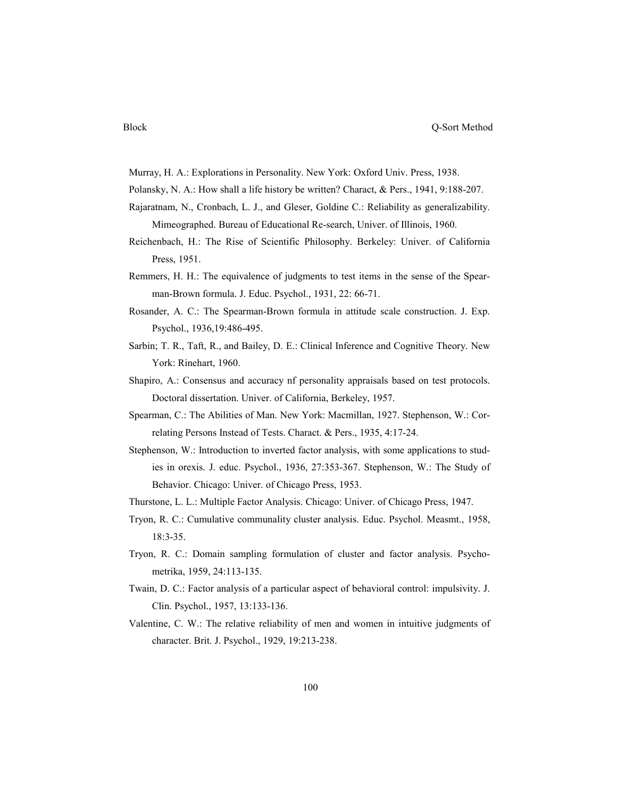Murray, H. A.: Explorations in Personality. New York: Oxford Univ. Press, 1938.

Polansky, N. A.: How shall a life history be written? Charact, & Pers., 1941, 9:188-207.

- Rajaratnam, N., Cronbach, L. J., and Gleser, Goldine C.: Reliability as generalizability. Mimeographed. Bureau of Educational Re-search, Univer. of Illinois, 1960.
- Reichenbach, H.: The Rise of Scientific Philosophy. Berkeley: Univer. of California Press, 1951.
- Remmers, H. H.: The equivalence of judgments to test items in the sense of the Spearman-Brown formula. J. Educ. Psychol., 1931, 22: 66-71.
- Rosander, A. C.: The Spearman-Brown formula in attitude scale construction. J. Exp. Psychol., 1936,19:486-495.
- Sarbin; T. R., Taft, R., and Bailey, D. E.: Clinical Inference and Cognitive Theory. New York: Rinehart, 1960.
- Shapiro, A.: Consensus and accuracy nf personality appraisals based on test protocols. Doctoral dissertation. Univer. of California, Berkeley, 1957.
- Spearman, C.: The Abilities of Man. New York: Macmillan, 1927. Stephenson, W.: Correlating Persons Instead of Tests. Charact. & Pers., 1935, 4:17-24.
- Stephenson, W.: Introduction to inverted factor analysis, with some applications to studies in orexis. J. educ. Psychol., 1936, 27:353-367. Stephenson, W.: The Study of Behavior. Chicago: Univer. of Chicago Press, 1953.
- Thurstone, L. L.: Multiple Factor Analysis. Chicago: Univer. of Chicago Press, 1947.
- Tryon, R. C.: Cumulative communality cluster analysis. Educ. Psychol. Measmt., 1958, 18:3-35.
- Tryon, R. C.: Domain sampling formulation of cluster and factor analysis. Psychometrika, 1959, 24:113-135.
- Twain, D. C.: Factor analysis of a particular aspect of behavioral control: impulsivity. J. Clin. Psychol., 1957, 13:133-136.
- Valentine, C. W.: The relative reliability of men and women in intuitive judgments of character. Brit. J. Psychol., 1929, 19:213-238.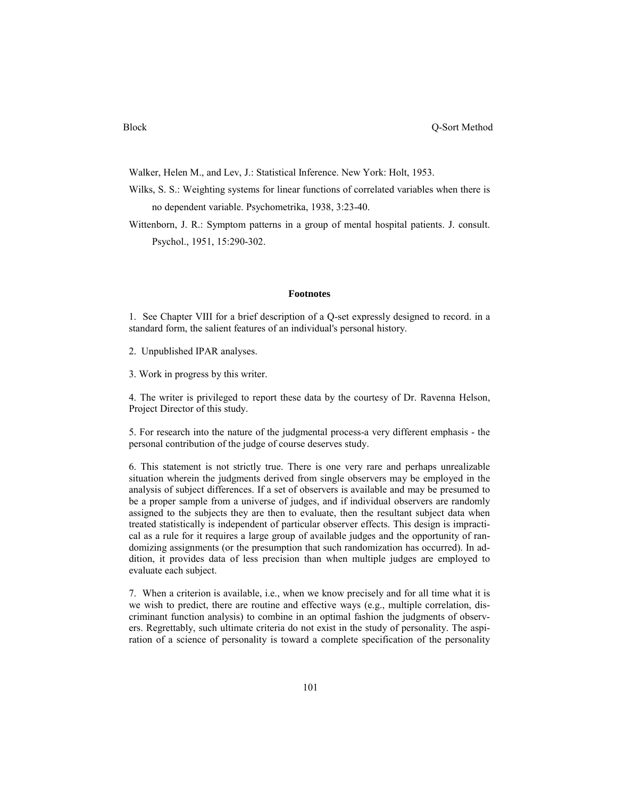Walker, Helen M., and Lev, J.: Statistical Inference. New York: Holt, 1953.

- Wilks, S. S.: Weighting systems for linear functions of correlated variables when there is no dependent variable. Psychometrika, 1938, 3:23-40.
- Wittenborn, J. R.: Symptom patterns in a group of mental hospital patients. J. consult. Psychol., 1951, 15:290-302.

# **Footnotes**

1. See Chapter VIII for a brief description of a Q-set expressly designed to record. in a standard form, the salient features of an individual's personal history.

2. Unpublished IPAR analyses.

3. Work in progress by this writer.

4. The writer is privileged to report these data by the courtesy of Dr. Ravenna Helson, Project Director of this study.

5. For research into the nature of the judgmental process-a very different emphasis - the personal contribution of the judge of course deserves study.

6. This statement is not strictly true. There is one very rare and perhaps unrealizable situation wherein the judgments derived from single observers may be employed in the analysis of subject differences. If a set of observers is available and may be presumed to be a proper sample from a universe of judges, and if individual observers are randomly assigned to the subjects they are then to evaluate, then the resultant subject data when treated statistically is independent of particular observer effects. This design is impractical as a rule for it requires a large group of available judges and the opportunity of randomizing assignments (or the presumption that such randomization has occurred). In addition, it provides data of less precision than when multiple judges are employed to evaluate each subject.

7. When a criterion is available, i.e., when we know precisely and for all time what it is we wish to predict, there are routine and effective ways (e.g., multiple correlation, discriminant function analysis) to combine in an optimal fashion the judgments of observers. Regrettably, such ultimate criteria do not exist in the study of personality. The aspiration of a science of personality is toward a complete specification of the personality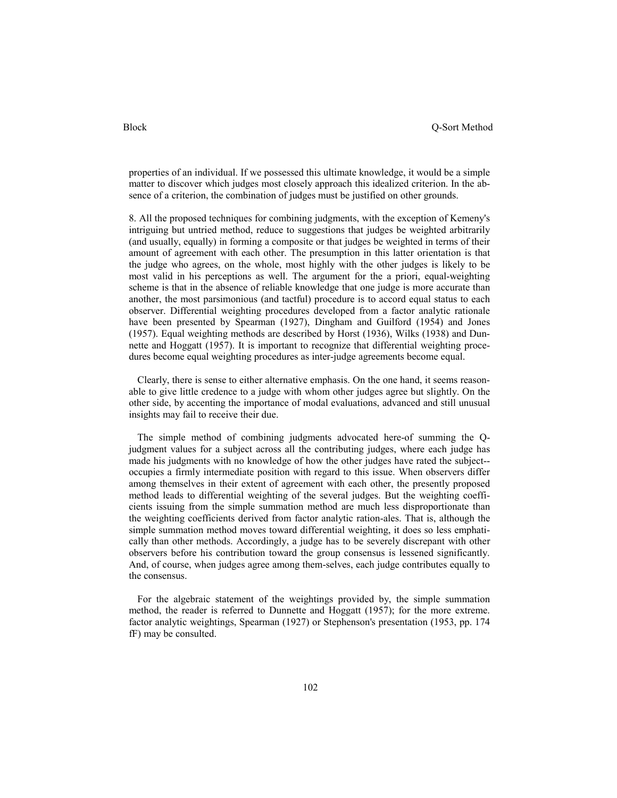properties of an individual. If we possessed this ultimate knowledge, it would be a simple matter to discover which judges most closely approach this idealized criterion. In the absence of a criterion, the combination of judges must be justified on other grounds.

8. All the proposed techniques for combining judgments, with the exception of Kemeny's intriguing but untried method, reduce to suggestions that judges be weighted arbitrarily (and usually, equally) in forming a composite or that judges be weighted in terms of their amount of agreement with each other. The presumption in this latter orientation is that the judge who agrees, on the whole, most highly with the other judges is likely to be most valid in his perceptions as well. The argument for the a priori, equal-weighting scheme is that in the absence of reliable knowledge that one judge is more accurate than another, the most parsimonious (and tactful) procedure is to accord equal status to each observer. Differential weighting procedures developed from a factor analytic rationale have been presented by Spearman (1927), Dingham and Guilford (1954) and Jones (1957). Equal weighting methods are described by Horst (1936), Wilks (1938) and Dunnette and Hoggatt (1957). It is important to recognize that differential weighting procedures become equal weighting procedures as inter-judge agreements become equal.

Clearly, there is sense to either alternative emphasis. On the one hand, it seems reasonable to give little credence to a judge with whom other judges agree but slightly. On the other side, by accenting the importance of modal evaluations, advanced and still unusual insights may fail to receive their due.

The simple method of combining judgments advocated here-of summing the Qjudgment values for a subject across all the contributing judges, where each judge has made his judgments with no knowledge of how the other judges have rated the subject- occupies a firmly intermediate position with regard to this issue. When observers differ among themselves in their extent of agreement with each other, the presently proposed method leads to differential weighting of the several judges. But the weighting coefficients issuing from the simple summation method are much less disproportionate than the weighting coefficients derived from factor analytic ration-ales. That is, although the simple summation method moves toward differential weighting, it does so less emphatically than other methods. Accordingly, a judge has to be severely discrepant with other observers before his contribution toward the group consensus is lessened significantly. And, of course, when judges agree among them-selves, each judge contributes equally to the consensus.

For the algebraic statement of the weightings provided by, the simple summation method, the reader is referred to Dunnette and Hoggatt (1957); for the more extreme. factor analytic weightings, Spearman (1927) or Stephenson's presentation (1953, pp. 174 fF) may be consulted.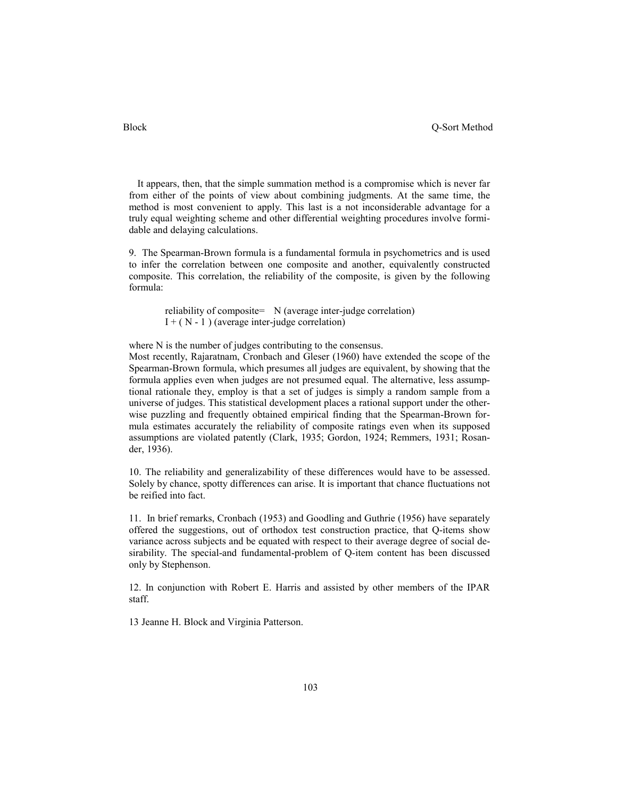It appears, then, that the simple summation method is a compromise which is never far from either of the points of view about combining judgments. At the same time, the method is most convenient to apply. This last is a not inconsiderable advantage for a truly equal weighting scheme and other differential weighting procedures involve formidable and delaying calculations.

9. The Spearman-Brown formula is a fundamental formula in psychometrics and is used to infer the correlation between one composite and another, equivalently constructed composite. This correlation, the reliability of the composite, is given by the following formula:

reliability of composite= N (average inter-judge correlation)  $I + (N - 1)$  (average inter-judge correlation)

where N is the number of judges contributing to the consensus.

Most recently, Rajaratnam, Cronbach and Gleser (1960) have extended the scope of the Spearman-Brown formula, which presumes all judges are equivalent, by showing that the formula applies even when judges are not presumed equal. The alternative, less assumptional rationale they, employ is that a set of judges is simply a random sample from a universe of judges. This statistical development places a rational support under the otherwise puzzling and frequently obtained empirical finding that the Spearman-Brown formula estimates accurately the reliability of composite ratings even when its supposed assumptions are violated patently (Clark, 1935; Gordon, 1924; Remmers, 1931; Rosander, 1936).

10. The reliability and generalizabiIity of these differences would have to be assessed. Solely by chance, spotty differences can arise. It is important that chance fluctuations not be reified into fact.

11. In brief remarks, Cronbach (1953) and Goodling and Guthrie (1956) have separately offered the suggestions, out of orthodox test construction practice, that Q-items show variance across subjects and be equated with respect to their average degree of social desirability. The special-and fundamental-problem of Q-item content has been discussed only by Stephenson.

12. In conjunction with Robert E. Harris and assisted by other members of the IPAR staff.

13 Jeanne H. Block and Virginia Patterson.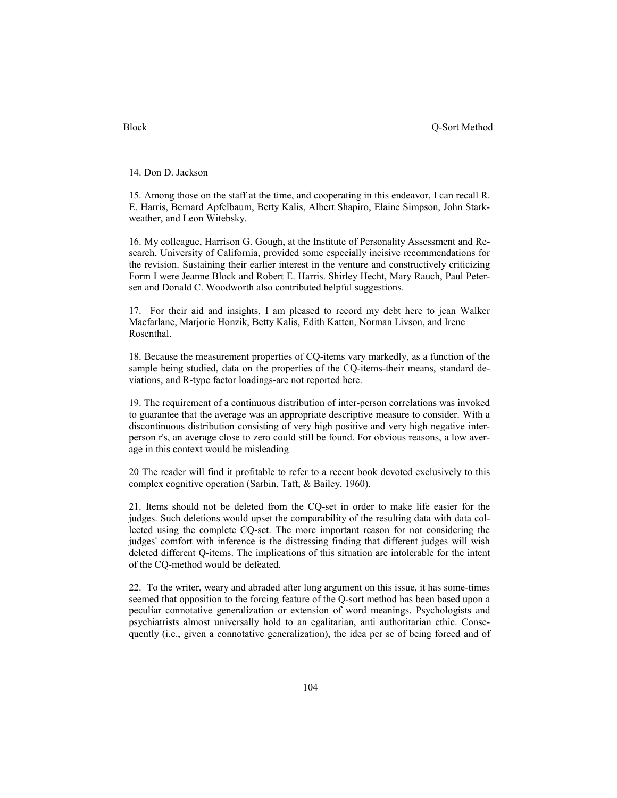14. Don D. Jackson

15. Among those on the staff at the time, and cooperating in this endeavor, I can recall R. E. Harris, Bernard Apfelbaum, Betty Kalis, Albert Shapiro, Elaine Simpson, John Starkweather, and Leon Witebsky.

16. My colleague, Harrison G. Gough, at the Institute of Personality Assessment and Research, University of California, provided some especially incisive recommendations for the revision. Sustaining their earlier interest in the venture and constructively criticizing Form I were Jeanne Block and Robert E. Harris. Shirley Hecht, Mary Rauch, Paul Petersen and Donald C. Woodworth also contributed helpful suggestions.

17. For their aid and insights, I am pleased to record my debt here to jean Walker Macfarlane, Marjorie Honzik, Betty Kalis, Edith Katten, Norman Livson, and Irene Rosenthal.

18. Because the measurement properties of CQ-items vary markedly, as a function of the sample being studied, data on the properties of the CQ-items-their means, standard deviations, and R-type factor loadings-are not reported here.

19. The requirement of a continuous distribution of inter-person correlations was invoked to guarantee that the average was an appropriate descriptive measure to consider. With a discontinuous distribution consisting of very high positive and very high negative interperson r's, an average close to zero could still be found. For obvious reasons, a low average in this context would be misleading

20 The reader will find it profitable to refer to a recent book devoted exclusively to this complex cognitive operation (Sarbin, Taft, & Bailey, 1960).

21. Items should not be deleted from the CQ-set in order to make life easier for the judges. Such deletions would upset the comparability of the resulting data with data collected using the complete CQ-set. The more important reason for not considering the judges' comfort with inference is the distressing finding that different judges will wish deleted different Q-items. The implications of this situation are intolerable for the intent of the CQ-method would be defeated.

22. To the writer, weary and abraded after long argument on this issue, it has some-times seemed that opposition to the forcing feature of the Q-sort method has been based upon a peculiar connotative generalization or extension of word meanings. Psychologists and psychiatrists almost universally hold to an egalitarian, anti authoritarian ethic. Consequently (i.e., given a connotative generalization), the idea per se of being forced and of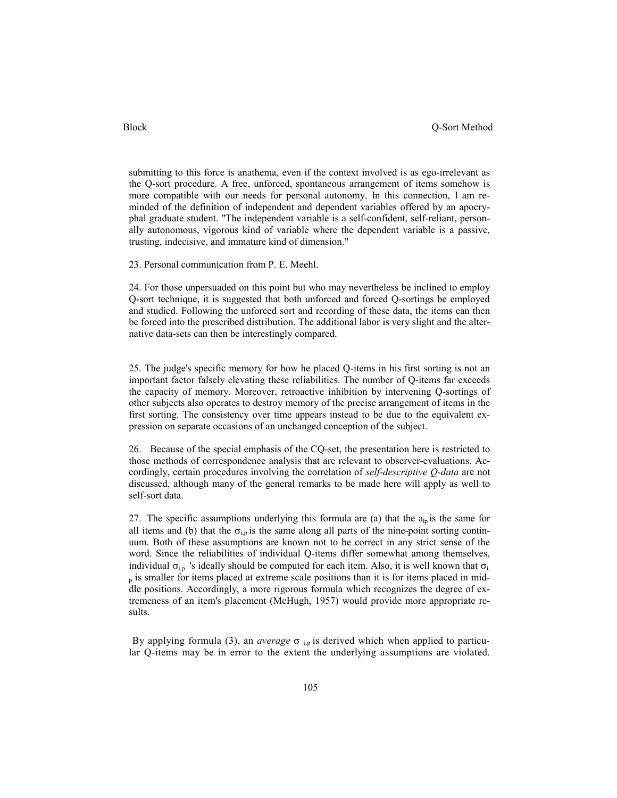submitting to this force is anathema, even if the context involved is as ego-irrelevant as the Q-sort procedure. A free, unforced, spontaneous arrangement of items somehow is more compatible with our needs for personal autonomy. In this connection, I am reminded of the definition of independent and dependent variables offered by an apocryphal graduate student. "The independent variable is a self-confident, self-reliant, personally autonomous, vigorous kind of variable where the dependent variable is a passive, trusting, indecisive, and immature kind of dimension."

23. Personal communication from P. E. Meehl.

24. For those unpersuaded on this point but who may nevertheless be inclined to employ Q-sort technique, it is suggested that both unforced and forced Q-sortings be employed and studied. Following the unforced sort and recording of these data, the items can then be forced into the prescribed distribution. The additional labor is very slight and the alternative data-sets can then be interestingly compared.

25. The judge's specific memory for how he placed Q-items in his first sorting is not an important factor falsely elevating these reliabilities. The number of Q-items far exceeds the capacity of memory. Moreover, retroactive inhibition by intervening Q-sortings of other subjects also operates to destroy memory of the precise arrangement of items in the first sorting. The consistency over time appears instead to be due to the equivalent expression on separate occasions of an unchanged conception of the subject.

26. Because of the special emphasis of the CQ-set, the presentation here is restricted to those methods of correspondence analysis that are relevant to observer-evaluations. Accordingly, certain procedures involving the correlation of *self-descriptive Q-data* are not discussed, although many of the general remarks to be made here will apply as well to self-sort data.

27. The specific assumptions underlying this formula are (a) that the  $a_{lp}$  is the same for all items and (b) that the  $\sigma_{i,p}$  is the same along all parts of the nine-point sorting continuum. Both of these assumptions are known not to be correct in any strict sense of the word. Since the reliabilities of individual Q-items differ somewhat among themselves, individual  $\sigma_{i,p}$  's ideally should be computed for each item. Also, it is well known that  $\sigma_i$ p is smaller for items placed at extreme scale positions than it is for items placed in middle positions. Accordingly, a more rigorous formula which recognizes the degree of extremeness of an item's placement (McHugh, 1957) would provide more appropriate results.

By applying formula (3), an *average*  $\sigma_{i,p}$  is derived which when applied to particular Q-items may be in error to the extent the underlying assumptions are violated.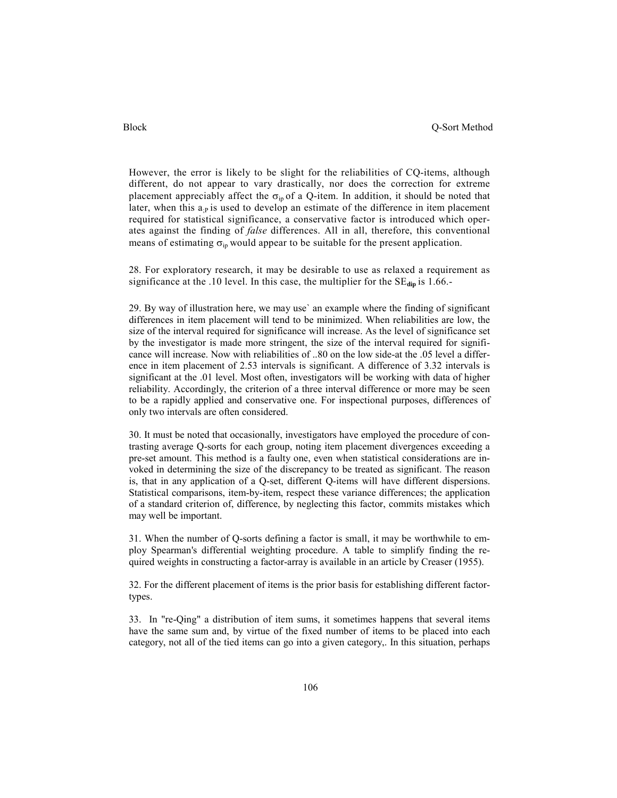However, the error is likely to be slight for the reliabilities of CQ-items, although different, do not appear to vary drastically, nor does the correction for extreme placement appreciably affect the  $\sigma_{ip}$  of a Q-item. In addition, it should be noted that later, when this  $a_{\mathcal{P}}$  is used to develop an estimate of the difference in item placement required for statistical significance, a conservative factor is introduced which operates against the finding of *false* differences. All in all, therefore, this conventional means of estimating  $\sigma_{ip}$  would appear to be suitable for the present application.

28. For exploratory research, it may be desirable to use as relaxed a requirement as significance at the .10 level. In this case, the multiplier for the SE<sub>dip</sub> is 1.66.-

29. By way of illustration here, we may use` an example where the finding of significant differences in item placement will tend to be minimized. When reliabilities are low, the size of the interval required for significance will increase. As the level of significance set by the investigator is made more stringent, the size of the interval required for significance will increase. Now with reliabilities of ..80 on the low side-at the .05 level a difference in item placement of 2.53 intervals is significant. A difference of 3.32 intervals is significant at the .01 level. Most often, investigators will be working with data of higher reliability. Accordingly, the criterion of a three interval difference or more may be seen to be a rapidly applied and conservative one. For inspectional purposes, differences of only two intervals are often considered.

30. It must be noted that occasionally, investigators have employed the procedure of contrasting average Q-sorts for each group, noting item placement divergences exceeding a pre-set amount. This method is a faulty one, even when statistical considerations are invoked in determining the size of the discrepancy to be treated as significant. The reason is, that in any application of a Q-set, different Q-items will have different dispersions. Statistical comparisons, item-by-item, respect these variance differences; the application of a standard criterion of, difference, by neglecting this factor, commits mistakes which may well be important.

31. When the number of Q-sorts defining a factor is small, it may be worthwhile to employ Spearman's differential weighting procedure. A table to simplify finding the required weights in constructing a factor-array is available in an article by Creaser (1955).

32. For the different placement of items is the prior basis for establishing different factortypes.

33. In "re-Qing" a distribution of item sums, it sometimes happens that several items have the same sum and, by virtue of the fixed number of items to be placed into each category, not all of the tied items can go into a given category,. In this situation, perhaps